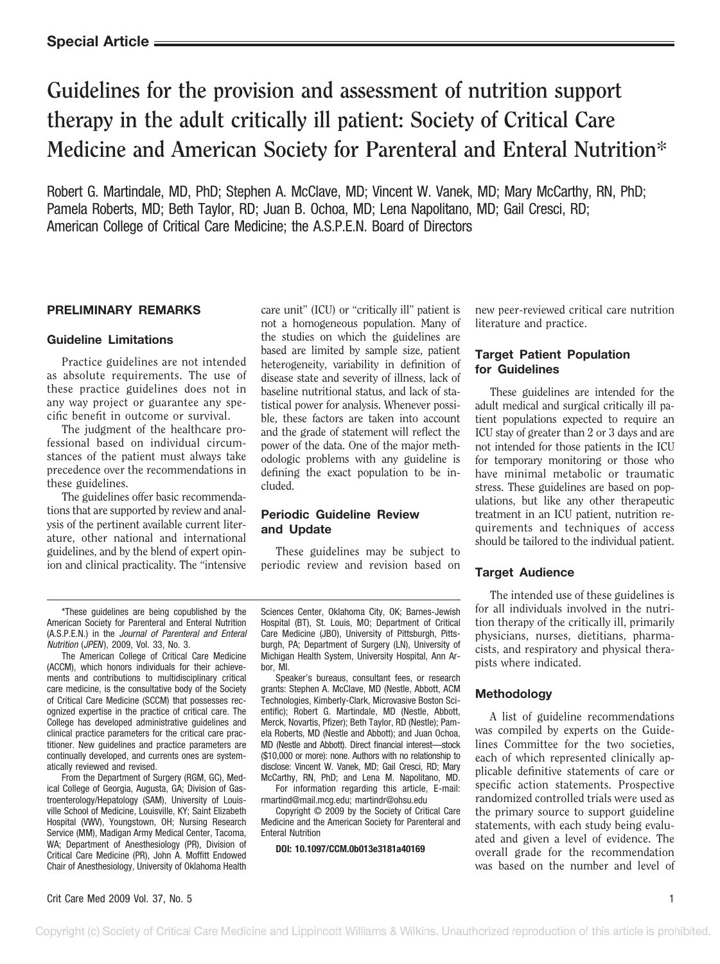# **Guidelines for the provision and assessment of nutrition support therapy in the adult critically ill patient: Society of Critical Care Medicine and American Society for Parenteral and Enteral Nutrition\***

Robert G. Martindale, MD, PhD; Stephen A. McClave, MD; Vincent W. Vanek, MD; Mary McCarthy, RN, PhD; Pamela Roberts, MD; Beth Taylor, RD; Juan B. Ochoa, MD; Lena Napolitano, MD; Gail Cresci, RD; American College of Critical Care Medicine; the A.S.P.E.N. Board of Directors

# **PRELIMINARY REMARKS**

# **Guideline Limitations**

Practice guidelines are not intended as absolute requirements. The use of these practice guidelines does not in any way project or guarantee any specific benefit in outcome or survival.

The judgment of the healthcare professional based on individual circumstances of the patient must always take precedence over the recommendations in these guidelines.

The guidelines offer basic recommendations that are supported by review and analysis of the pertinent available current literature, other national and international guidelines, and by the blend of expert opinion and clinical practicality. The "intensive

care unit" (ICU) or "critically ill" patient is not a homogeneous population. Many of the studies on which the guidelines are based are limited by sample size, patient heterogeneity, variability in definition of disease state and severity of illness, lack of baseline nutritional status, and lack of statistical power for analysis. Whenever possible, these factors are taken into account and the grade of statement will reflect the power of the data. One of the major methodologic problems with any guideline is defining the exact population to be included.

# **Periodic Guideline Review and Update**

These guidelines may be subject to periodic review and revision based on

\*These guidelines are being copublished by the American Society for Parenteral and Enteral Nutrition (A.S.P.E.N.) in the *Journal of Parenteral and Enteral Nutrition* (*JPEN*), 2009, Vol. 33, No. 3.

The American College of Critical Care Medicine (ACCM), which honors individuals for their achievements and contributions to multidisciplinary critical care medicine, is the consultative body of the Society of Critical Care Medicine (SCCM) that possesses recognized expertise in the practice of critical care. The College has developed administrative guidelines and clinical practice parameters for the critical care practitioner. New guidelines and practice parameters are continually developed, and currents ones are systematically reviewed and revised.

From the Department of Surgery (RGM, GC), Medical College of Georgia, Augusta, GA; Division of Gastroenterology/Hepatology (SAM), University of Louisville School of Medicine, Louisville, KY; Saint Elizabeth Hospital (VWV), Youngstown, OH; Nursing Research Service (MM), Madigan Army Medical Center, Tacoma, WA; Department of Anesthesiology (PR), Division of Critical Care Medicine (PR), John A. Moffitt Endowed Chair of Anesthesiology, University of Oklahoma Health

Sciences Center, Oklahoma City, OK; Barnes-Jewish Hospital (BT), St. Louis, MO; Department of Critical Care Medicine (JBO), University of Pittsburgh, Pittsburgh, PA; Department of Surgery (LN), University of Michigan Health System, University Hospital, Ann Arbor, MI.

Speaker's bureaus, consultant fees, or research grants: Stephen A. McClave, MD (Nestle, Abbott, ACM Technologies, Kimberly-Clark, Microvasive Boston Scientific); Robert G. Martindale, MD (Nestle, Abbott, Merck, Novartis, Pfizer); Beth Taylor, RD (Nestle); Pamela Roberts, MD (Nestle and Abbott); and Juan Ochoa, MD (Nestle and Abbott). Direct financial interest—stock (\$10,000 or more): none. Authors with no relationship to disclose: Vincent W. Vanek, MD; Gail Cresci, RD; Mary McCarthy, RN, PhD; and Lena M. Napolitano, MD.

For information regarding this article, E-mail: rmartind@mail.mcg.edu; martindr@ohsu.edu

Copyright © 2009 by the Society of Critical Care Medicine and the American Society for Parenteral and Enteral Nutrition

# **DOI: 10.1097/CCM.0b013e3181a40169**

new peer-reviewed critical care nutrition literature and practice.

# **Target Patient Population for Guidelines**

These guidelines are intended for the adult medical and surgical critically ill patient populations expected to require an ICU stay of greater than 2 or 3 days and are not intended for those patients in the ICU for temporary monitoring or those who have minimal metabolic or traumatic stress. These guidelines are based on populations, but like any other therapeutic treatment in an ICU patient, nutrition requirements and techniques of access should be tailored to the individual patient.

### **Target Audience**

The intended use of these guidelines is for all individuals involved in the nutrition therapy of the critically ill, primarily physicians, nurses, dietitians, pharmacists, and respiratory and physical therapists where indicated.

### **Methodology**

A list of guideline recommendations was compiled by experts on the Guidelines Committee for the two societies, each of which represented clinically applicable definitive statements of care or specific action statements. Prospective randomized controlled trials were used as the primary source to support guideline statements, with each study being evaluated and given a level of evidence. The overall grade for the recommendation was based on the number and level of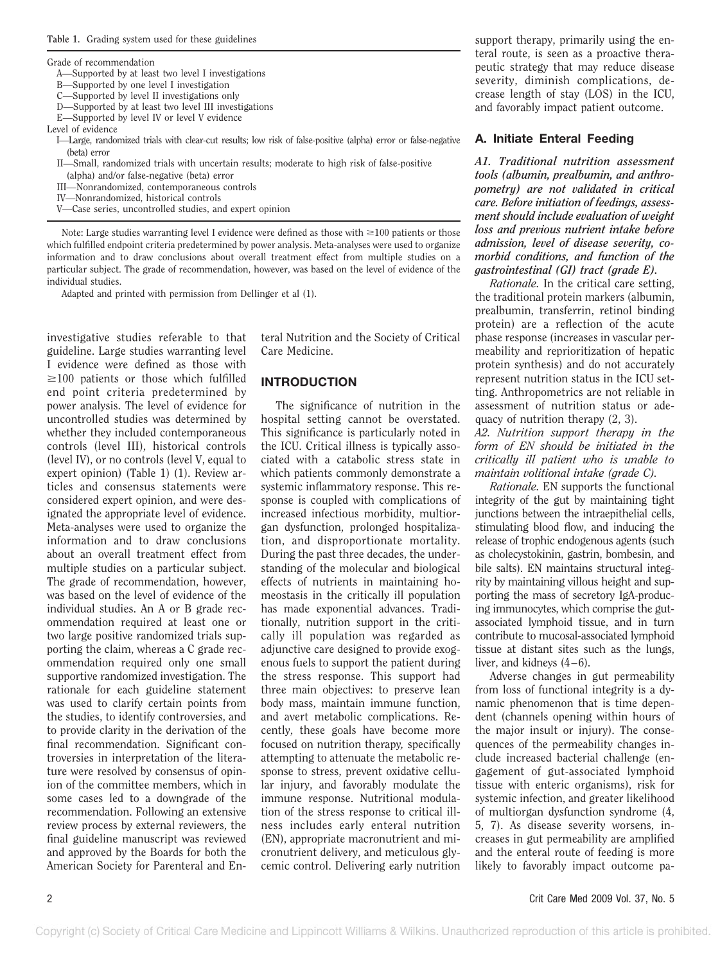Grade of recommendation

- D—Supported by at least two level III investigations
- E—Supported by level IV or level V evidence

Level of evidence

- I—Large, randomized trials with clear-cut results; low risk of false-positive (alpha) error or false-negative (beta) error
- II—Small, randomized trials with uncertain results; moderate to high risk of false-positive
- (alpha) and/or false-negative (beta) error
- III—Nonrandomized, contemporaneous controls
- IV—Nonrandomized, historical controls
- V—Case series, uncontrolled studies, and expert opinion

Note: Large studies warranting level I evidence were defined as those with  $\geq$ 100 patients or those which fulfilled endpoint criteria predetermined by power analysis. Meta-analyses were used to organize information and to draw conclusions about overall treatment effect from multiple studies on a particular subject. The grade of recommendation, however, was based on the level of evidence of the individual studies.

Adapted and printed with permission from Dellinger et al (1).

investigative studies referable to that guideline. Large studies warranting level I evidence were defined as those with  $\geq$ 100 patients or those which fulfilled end point criteria predetermined by power analysis. The level of evidence for uncontrolled studies was determined by whether they included contemporaneous controls (level III), historical controls (level IV), or no controls (level V, equal to expert opinion) (Table 1) (1). Review articles and consensus statements were considered expert opinion, and were designated the appropriate level of evidence. Meta-analyses were used to organize the information and to draw conclusions about an overall treatment effect from multiple studies on a particular subject. The grade of recommendation, however, was based on the level of evidence of the individual studies. An A or B grade recommendation required at least one or two large positive randomized trials supporting the claim, whereas a C grade recommendation required only one small supportive randomized investigation. The rationale for each guideline statement was used to clarify certain points from the studies, to identify controversies, and to provide clarity in the derivation of the final recommendation. Significant controversies in interpretation of the literature were resolved by consensus of opinion of the committee members, which in some cases led to a downgrade of the recommendation. Following an extensive review process by external reviewers, the final guideline manuscript was reviewed and approved by the Boards for both the American Society for Parenteral and Enteral Nutrition and the Society of Critical Care Medicine.

# **INTRODUCTION**

The significance of nutrition in the hospital setting cannot be overstated. This significance is particularly noted in the ICU. Critical illness is typically associated with a catabolic stress state in which patients commonly demonstrate a systemic inflammatory response. This response is coupled with complications of increased infectious morbidity, multiorgan dysfunction, prolonged hospitalization, and disproportionate mortality. During the past three decades, the understanding of the molecular and biological effects of nutrients in maintaining homeostasis in the critically ill population has made exponential advances. Traditionally, nutrition support in the critically ill population was regarded as adjunctive care designed to provide exogenous fuels to support the patient during the stress response. This support had three main objectives: to preserve lean body mass, maintain immune function, and avert metabolic complications. Recently, these goals have become more focused on nutrition therapy*,* specifically attempting to attenuate the metabolic response to stress, prevent oxidative cellular injury, and favorably modulate the immune response. Nutritional modulation of the stress response to critical illness includes early enteral nutrition (EN), appropriate macronutrient and micronutrient delivery, and meticulous glycemic control. Delivering early nutrition

support therapy, primarily using the enteral route, is seen as a proactive therapeutic strategy that may reduce disease severity, diminish complications, decrease length of stay (LOS) in the ICU, and favorably impact patient outcome.

### **A. Initiate Enteral Feeding**

*A1. Traditional nutrition assessment tools (albumin, prealbumin, and anthropometry) are not validated in critical care. Before initiation of feedings, assessment should include evaluation of weight loss and previous nutrient intake before admission, level of disease severity, comorbid conditions, and function of the gastrointestinal (GI) tract (grade E).*

*Rationale.* In the critical care setting, the traditional protein markers (albumin, prealbumin, transferrin, retinol binding protein) are a reflection of the acute phase response (increases in vascular permeability and reprioritization of hepatic protein synthesis) and do not accurately represent nutrition status in the ICU setting. Anthropometrics are not reliable in assessment of nutrition status or adequacy of nutrition therapy (2, 3).

*A2. Nutrition support therapy in the form of EN should be initiated in the critically ill patient who is unable to maintain volitional intake (grade C).*

*Rationale.* EN supports the functional integrity of the gut by maintaining tight junctions between the intraepithelial cells, stimulating blood flow, and inducing the release of trophic endogenous agents (such as cholecystokinin, gastrin, bombesin, and bile salts). EN maintains structural integrity by maintaining villous height and supporting the mass of secretory IgA-producing immunocytes, which comprise the gutassociated lymphoid tissue, and in turn contribute to mucosal-associated lymphoid tissue at distant sites such as the lungs, liver, and kidneys  $(4-6)$ .

Adverse changes in gut permeability from loss of functional integrity is a dynamic phenomenon that is time dependent (channels opening within hours of the major insult or injury). The consequences of the permeability changes include increased bacterial challenge (engagement of gut-associated lymphoid tissue with enteric organisms), risk for systemic infection, and greater likelihood of multiorgan dysfunction syndrome (4, 5, 7). As disease severity worsens, increases in gut permeability are amplified and the enteral route of feeding is more likely to favorably impact outcome pa-

A—Supported by at least two level I investigations

B—Supported by one level I investigation

C—Supported by level II investigations only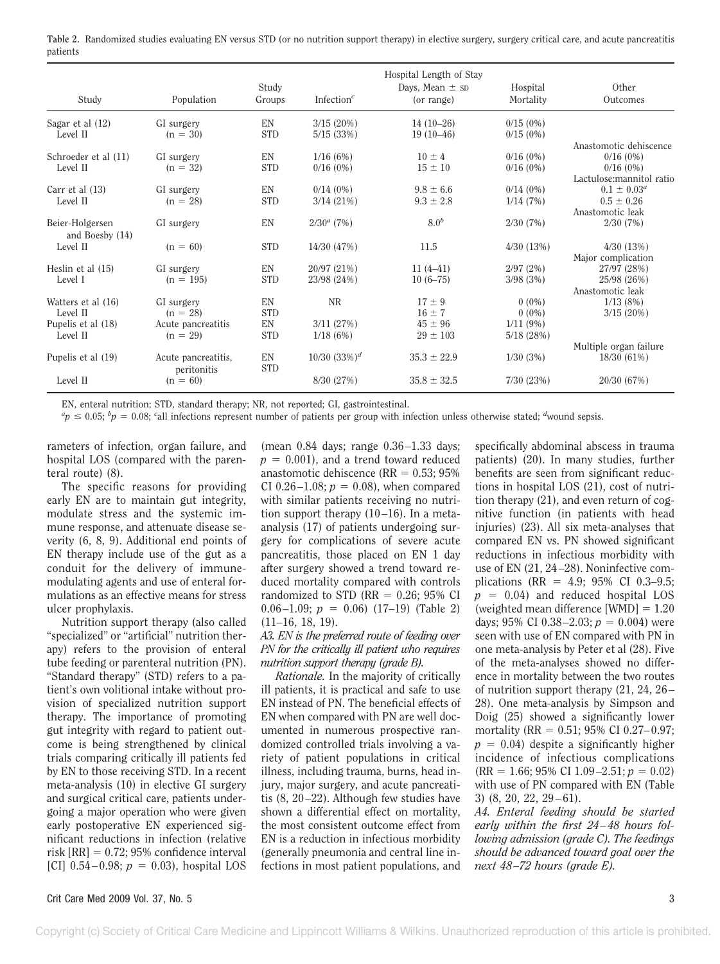**Table 2.** Randomized studies evaluating EN versus STD (or no nutrition support therapy) in elective surgery, surgery critical care, and acute pancreatitis patients

| Study                                | Population                         | Study<br>Groups  | Infection $c$            | Hospital Length of Stay<br>Days, Mean $\pm$ sD<br>(or range) | Hospital<br>Mortality | Other<br>Outcomes                                   |
|--------------------------------------|------------------------------------|------------------|--------------------------|--------------------------------------------------------------|-----------------------|-----------------------------------------------------|
| Sagar et al (12)                     | GI surgery                         | EN               | 3/15(20%)                | $14(10-26)$                                                  | $0/15(0\%)$           |                                                     |
| Level II                             | $(n = 30)$                         | <b>STD</b>       | 5/15(33%)                | $19(10-46)$                                                  | $0/15(0\%)$           |                                                     |
| Schroeder et al (11)                 | GI surgery                         | EN               | 1/16(6%)                 | $10 \pm 4$                                                   | 0/16(0%)              | Anastomotic dehiscence<br>0/16(0%)                  |
| Level II                             | $(n = 32)$                         | <b>STD</b>       | 0/16(0%)                 | $15 \pm 10$                                                  | 0/16(0%)              | 0/16(0%)                                            |
|                                      |                                    | EN               |                          | $9.8 \pm 6.6$                                                | $0/14(0\%)$           | Lactulose: mannitol ratio<br>$0.1 \pm 0.03^{\circ}$ |
| Carr et al $(13)$<br>Level II        | GI surgery<br>$(n = 28)$           | <b>STD</b>       | $0/14(0\%)$<br>3/14(21%) | $9.3 \pm 2.8$                                                | 1/14(7%)              | $0.5 \pm 0.26$                                      |
|                                      |                                    |                  |                          |                                                              |                       | Anastomotic leak                                    |
| Beier-Holgersen<br>and Boesby $(14)$ | GI surgery                         | EN               | $2/30^a$ (7%)            | 8.0 <sup>b</sup>                                             | 2/30(7%)              | 2/30(7%)                                            |
| Level II                             | $(n = 60)$                         | <b>STD</b>       | 14/30 (47%)              | 11.5                                                         | 4/30(13%)             | 4/30(13%)                                           |
|                                      |                                    |                  |                          |                                                              |                       | Major complication                                  |
| Heslin et al $(15)$                  | GI surgery                         | EN               | 20/97 (21%)              | $11(4-41)$                                                   | 2/97(2%)              | 27/97 (28%)                                         |
| Level I                              | $(n = 195)$                        | <b>STD</b>       | 23/98 (24%)              | $10(6-75)$                                                   | 3/98(3%)              | 25/98 (26%)                                         |
|                                      |                                    |                  |                          |                                                              |                       | Anastomotic leak                                    |
| Watters et al (16)                   | GI surgery                         | EN               | NR                       | $17 \pm 9$                                                   | $0(0\%)$              | 1/13(8%)                                            |
| Level II                             | $(n = 28)$                         | <b>STD</b>       |                          | $16 \pm 7$                                                   | $0(0\%)$              | 3/15(20%)                                           |
| Pupelis et al (18)                   | Acute pancreatitis                 | EN               | 3/11(27%)                | $45 \pm 96$                                                  | 1/11(9%)              |                                                     |
| Level II                             | $(n = 29)$                         | <b>STD</b>       | 1/18(6%)                 | $29 \pm 103$                                                 | 5/18(28%)             |                                                     |
|                                      |                                    |                  |                          |                                                              |                       | Multiple organ failure                              |
| Pupelis et al (19)                   | Acute pancreatitis,<br>peritonitis | EN<br><b>STD</b> | $10/30$ $(33%)^d$        | $35.3 \pm 22.9$                                              | 1/30(3%)              | 18/30 (61%)                                         |
| Level II                             | $(n = 60)$                         |                  | 8/30 (27%)               | $35.8 \pm 32.5$                                              | 7/30(23%)             | 20/30 (67%)                                         |

EN, enteral nutrition; STD, standard therapy; NR, not reported; GI, gastrointestinal.

 $a_p \leq 0.05$ ;  $b_p = 0.08$ ; call infections represent number of patients per group with infection unless otherwise stated; *d* wound sepsis.

rameters of infection, organ failure, and hospital LOS (compared with the parenteral route) (8).

The specific reasons for providing early EN are to maintain gut integrity, modulate stress and the systemic immune response, and attenuate disease severity (6, 8, 9). Additional end points of EN therapy include use of the gut as a conduit for the delivery of immunemodulating agents and use of enteral formulations as an effective means for stress ulcer prophylaxis.

Nutrition support therapy (also called "specialized" or "artificial" nutrition therapy) refers to the provision of enteral tube feeding or parenteral nutrition (PN). "Standard therapy" (STD) refers to a patient's own volitional intake without provision of specialized nutrition support therapy. The importance of promoting gut integrity with regard to patient outcome is being strengthened by clinical trials comparing critically ill patients fed by EN to those receiving STD. In a recent meta-analysis (10) in elective GI surgery and surgical critical care, patients undergoing a major operation who were given early postoperative EN experienced significant reductions in infection (relative risk  $[RR] = 0.72$ ; 95% confidence interval [CI]  $0.54 - 0.98$ ;  $p = 0.03$ ), hospital LOS

(mean 0.84 days; range 0.36 –1.33 days;  $p = 0.001$ , and a trend toward reduced anastomotic dehiscence (RR  $= 0.53$ ; 95% CI 0.26-1.08;  $p = 0.08$ ), when compared with similar patients receiving no nutrition support therapy  $(10-16)$ . In a metaanalysis (17) of patients undergoing surgery for complications of severe acute pancreatitis, those placed on EN 1 day after surgery showed a trend toward reduced mortality compared with controls randomized to STD (RR  $= 0.26$ ; 95% CI 0.06 – 1.09;  $p = 0.06$ ) (17 – 19) (Table 2) (11–16, 18, 19).

*A3. EN is the preferred route of feeding over PN for the critically ill patient who requires nutrition support therapy (grade B).*

*Rationale.* In the majority of critically ill patients, it is practical and safe to use EN instead of PN. The beneficial effects of EN when compared with PN are well documented in numerous prospective randomized controlled trials involving a variety of patient populations in critical illness, including trauma, burns, head injury, major surgery, and acute pancreatitis (8, 20–22). Although few studies have shown a differential effect on mortality, the most consistent outcome effect from EN is a reduction in infectious morbidity (generally pneumonia and central line infections in most patient populations, and

specifically abdominal abscess in trauma patients) (20). In many studies, further benefits are seen from significant reductions in hospital LOS (21), cost of nutrition therapy (21), and even return of cognitive function (in patients with head injuries) (23). All six meta-analyses that compared EN vs. PN showed significant reductions in infectious morbidity with use of EN (21, 24 –28). Noninfective complications (RR = 4.9; 95% CI 0.3–9.5;  $p = 0.04$  and reduced hospital LOS (weighted mean difference  $[WMD] = 1.20$ days; 95% CI 0.38–2.03;  $p = 0.004$ ) were seen with use of EN compared with PN in one meta-analysis by Peter et al (28). Five of the meta-analyses showed no difference in mortality between the two routes of nutrition support therapy (21, 24, 26 – 28). One meta-analysis by Simpson and Doig (25) showed a significantly lower mortality (RR =  $0.51$ ; 95% CI 0.27-0.97;  $p = 0.04$ ) despite a significantly higher incidence of infectious complications  $(RR = 1.66; 95\% \text{ CI } 1.09 - 2.51; p = 0.02)$ with use of PN compared with EN (Table  $3)$   $(8, 20, 22, 29-61)$ .

*A4. Enteral feeding should be started early within the first 24 – 48 hours following admission (grade C). The feedings should be advanced toward goal over the next 48 –72 hours (grade E).*

Crit Care Med 2009 Vol. 37, No. 5 3

Copyright (c) Society of Critical Care Medicine and Lippincott Williams & Wilkins. Unauthorized reproduction of this article is prohibited.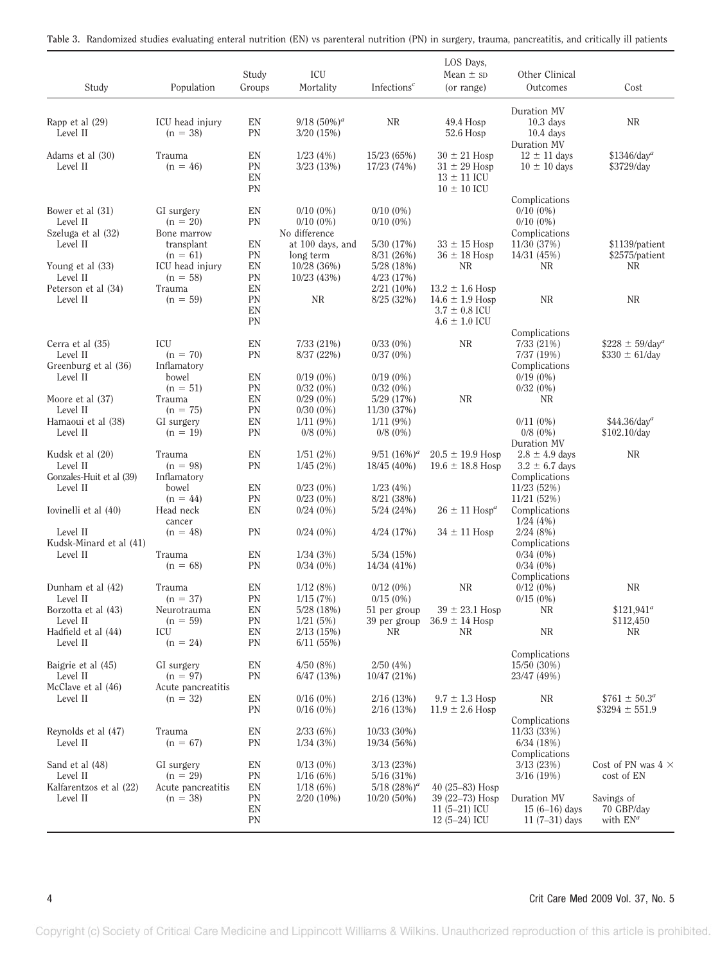|  | Table 3. Randomized studies evaluating enteral nutrition (EN) vs parenteral nutrition (PN) in surgery, trauma, pancreatitis, and critically ill patients |  |  |  |  |  |  |  |  |  |
|--|----------------------------------------------------------------------------------------------------------------------------------------------------------|--|--|--|--|--|--|--|--|--|
|--|----------------------------------------------------------------------------------------------------------------------------------------------------------|--|--|--|--|--|--|--|--|--|

| Study                          | Population                       | Study<br>Groups | ICU<br>Mortality                  | Infections <sup>c</sup>    | LOS Days,<br>Mean $\pm$ sp<br>(or range)                      | Other Clinical<br>Outcomes                 | Cost                                                  |
|--------------------------------|----------------------------------|-----------------|-----------------------------------|----------------------------|---------------------------------------------------------------|--------------------------------------------|-------------------------------------------------------|
| Rapp et al (29)                | ICU head injury                  | EN              | $9/18$ $(50\%)^a$                 | ${\rm NR}$                 | 49.4 Hosp                                                     | Duration MV<br>$10.3$ days                 | ${\rm NR}$                                            |
| Level II                       | $(n = 38)$                       | PN              | 3/20(15%)                         |                            | 52.6 Hosp                                                     | $10.4$ days<br>Duration MV                 |                                                       |
| Adams et al (30)<br>Level II   | Trauma<br>$(n = 46)$             | EN<br>PN        | 1/23(4%)<br>3/23(13%)             | 15/23 (65%)<br>17/23 (74%) | $30 \pm 21$ Hosp<br>$31 \pm 29$ Hosp                          | $12 \pm 11$ days<br>$10 \pm 10$ days       | \$1346/day <sup>a</sup><br>\$3729/day                 |
|                                |                                  | EN<br>PN        |                                   |                            | $13 \pm 11$ ICU<br>$10 \pm 10$ ICU                            |                                            |                                                       |
| Bower et al (31)               | GI surgery                       | EN              | $0/10(0\%)$                       | $0/10(0\%)$                |                                                               | Complications<br>$0/10(0\%)$               |                                                       |
| Level II                       | $(n = 20)$                       | PN              | $0/10(0\%)$                       | $0/10(0\%)$                |                                                               | $0/10(0\%)$                                |                                                       |
| Szeluga et al (32)<br>Level II | Bone marrow<br>transplant        | EN              | No difference<br>at 100 days, and | 5/30 (17%)                 | $33 \pm 15$ Hosp                                              | Complications<br>11/30 (37%)               | \$1139/patient                                        |
|                                | $(n = 61)$                       | PN              | long term                         | 8/31 (26%)                 | $36 \pm 18$ Hosp                                              | 14/31 (45%)                                | \$2575/patient                                        |
| Young et al (33)               | ICU head injury                  | EN              | 10/28 (36%)                       | 5/28 (18%)                 | NR                                                            | NR                                         | NR                                                    |
| Level II                       | $(n = 58)$                       | PN              | 10/23 (43%)                       | 4/23 (17%)                 |                                                               |                                            |                                                       |
| Peterson et al (34)            | Trauma                           | EN              |                                   | $2/21(10\%)$               | $13.2 \pm 1.6$ Hosp                                           |                                            |                                                       |
| Level II                       | $(n = 59)$                       | PN<br>EN<br>PN  | NR                                | 8/25(32%)                  | $14.6 \pm 1.9$ Hosp<br>$3.7 \pm 0.8$ ICU<br>$4.6 \pm 1.0$ ICU | NR                                         | NR                                                    |
|                                |                                  |                 |                                   |                            |                                                               | Complications                              |                                                       |
| Cerra et al (35)<br>Level II   | ICU<br>$(n = 70)$                | EN<br>PN        | 7/33(21%)                         | $0/33(0\%)$                | NR                                                            | 7/33(21%)                                  | $$228 \pm 59$ /day <sup>a</sup><br>\$330 $\pm$ 61/day |
| Greenburg et al (36)           | Inflamatory                      |                 | 8/37 (22%)                        | 0/37(0%)                   |                                                               | 7/37 (19%)<br>Complications                |                                                       |
| Level II                       | bowel                            | EN              | $0/19(0\%)$                       | $0/19(0\%)$                |                                                               | $0/19(0\%)$                                |                                                       |
|                                | $(n = 51)$                       | PN              | 0/32(0%)                          | $0/32(0\%)$                |                                                               | 0/32(0%)                                   |                                                       |
| Moore et al (37)               | Trauma                           | EN              | $0/29(0\%)$                       | 5/29 (17%)                 | <b>NR</b>                                                     | NR                                         |                                                       |
| Level II                       | $(n = 75)$                       | PN              | $0/30(0\%)$                       | 11/30 (37%)                |                                                               |                                            |                                                       |
| Hamaoui et al (38)<br>Level II | GI surgery<br>$(n = 19)$         | EN<br>PN        | 1/11(9%)<br>$0/8(0\%)$            | 1/11(9%)<br>$0/8(0\%)$     |                                                               | $0/11(0\%)$<br>$0/8$ $(0%)$<br>Duration MV | \$44.36/day <sup>a</sup><br>\$102.10/day              |
| Kudsk et al (20)               | Trauma                           | EN              | 1/51(2%)                          | $9/51$ $(16\%)^a$          | $20.5 \pm 19.9$ Hosp                                          | $2.8 \pm 4.9$ days                         | <b>NR</b>                                             |
| Level II                       | $(n = 98)$                       | PN              | 1/45(2%)                          | 18/45 (40%)                | $19.6 \pm 18.8$ Hosp                                          | $3.2 \pm 6.7$ days                         |                                                       |
| Gonzales-Huit et al (39)       | Inflamatory                      |                 |                                   |                            |                                                               | Complications                              |                                                       |
| Level II                       | bowel                            | EN              | 0/23(0%)                          | 1/23(4%)                   |                                                               | 11/23 (52%)                                |                                                       |
|                                | $(n = 44)$                       | PN<br>EN        | 0/23(0%)                          | 8/21 (38%)                 | $26 \pm 11$ Hosp <sup>a</sup>                                 | 11/21 (52%)                                |                                                       |
| Iovinelli et al (40)           | Head neck<br>cancer              |                 | 0/24(0%)                          | 5/24(24%)                  |                                                               | Complications<br>1/24(4%)                  |                                                       |
| Level II                       | $(n = 48)$                       | PN              | 0/24(0%)                          | 4/24 (17%)                 | $34 \pm 11$ Hosp                                              | 2/24 (8%)                                  |                                                       |
| Kudsk-Minard et al (41)        |                                  |                 |                                   |                            |                                                               | Complications                              |                                                       |
| Level II                       | Trauma                           | EN              | 1/34(3%)                          | 5/34 (15%)                 |                                                               | $0/34(0\%)$                                |                                                       |
|                                | $(n = 68)$                       | PN              | $0/34(0\%)$                       | 14/34 (41%)                |                                                               | $0/34(0\%)$                                |                                                       |
|                                |                                  |                 |                                   |                            |                                                               | Complications                              |                                                       |
| Dunham et al (42)<br>Level II  | Trauma<br>$(n = 37)$             | EN<br>PN        | 1/12(8%)<br>1/15(7%)              | 0/12(0%)<br>0/15(0%)       | <b>NR</b>                                                     | $0/12(0\%)$<br>0/15(0%)                    | ${\rm NR}$                                            |
| Borzotta et al (43)            | Neurotrauma                      | ΕN              | 5/28 (18%)                        | 51 per group               | $39 \pm 23.1$ Hosp                                            | NR                                         | $$121,941^a$                                          |
| Level II                       | $(n = 59)$                       | PN              | 1/21(5%)                          | 39 per group               | $36.9 \pm 14$ Hosp                                            |                                            | \$112,450                                             |
| Hadfield et al (44)            | ICU                              | EN              | 2/13(15%)                         | NR                         | <b>NR</b>                                                     | ${\rm NR}$                                 | ${\rm NR}$                                            |
| Level II                       | $(n = 24)$                       | PN              | 6/11(55%)                         |                            |                                                               |                                            |                                                       |
|                                |                                  |                 |                                   |                            |                                                               | Complications                              |                                                       |
| Baigrie et al (45)             | GI surgery                       | EN              | 4/50(8%)                          | $2/50(4\%)$                |                                                               | 15/50 (30%)                                |                                                       |
| Level II<br>McClave et al (46) | $(n = 97)$<br>Acute pancreatitis | PN              | 6/47(13%)                         | 10/47 (21%)                |                                                               | 23/47 (49%)                                |                                                       |
| Level II                       | $(n = 32)$                       | EN              | 0/16(0%)                          | 2/16(13%)                  | $9.7 \pm 1.3$ Hosp                                            | <b>NR</b>                                  | $$761 \pm 50.3^a$                                     |
|                                |                                  | PN              | 0/16(0%)                          | 2/16(13%)                  | $11.9 \pm 2.6$ Hosp                                           |                                            | $$3294 \pm 551.9$                                     |
|                                |                                  |                 |                                   |                            |                                                               | Complications                              |                                                       |
| Reynolds et al (47)            | Trauma                           | EN              | 2/33(6%)                          | 10/33 (30%)                |                                                               | 11/33 (33%)                                |                                                       |
| Level II                       | $(n = 67)$                       | PN              | 1/34(3%)                          | 19/34 (56%)                |                                                               | 6/34(18%)                                  |                                                       |
|                                |                                  |                 |                                   |                            |                                                               | Complications                              |                                                       |
| Sand et al (48)<br>Level II    | GI surgery<br>$(n = 29)$         | EN<br>PN        | $0/13(0\%)$<br>1/16(6%)           | 3/13(23%)<br>5/16(31%)     |                                                               | 3/13(23%)<br>3/16 (19%)                    | Cost of PN was 4 $\times$<br>cost of EN               |
| Kalfarentzos et al (22)        | Acute pancreatitis               | EN              | 1/18(6%)                          | $5/18$ $(28%)^a$           | $40(25-83)$ Hosp                                              |                                            |                                                       |
| Level II                       | $(n = 38)$                       | PN              | $2/20(10\%)$                      | 10/20(50%)                 | 39 (22–73) Hosp                                               | Duration MV                                | Savings of                                            |
|                                |                                  | EN              |                                   |                            | $11(5-21)$ ICU                                                | $15(6-16)$ days                            | 70 GBP/day                                            |
|                                |                                  | PN              |                                   |                            | 12 (5-24) ICU                                                 | $11(7-31)$ days                            | with $EN^a$                                           |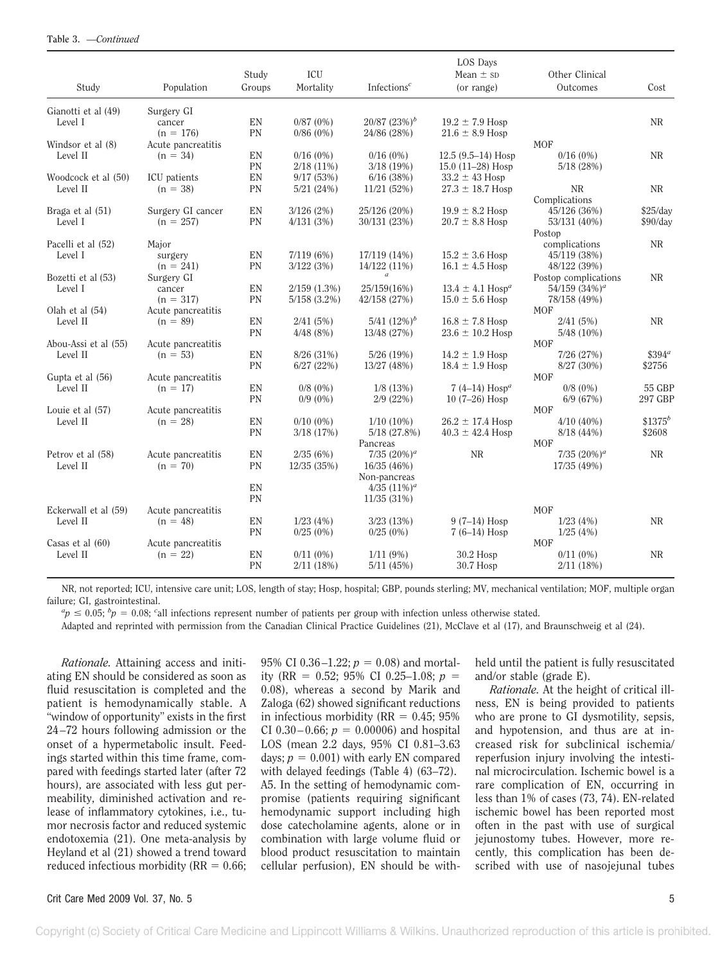|                      |                        |        |                |                                      | LOS Days                         |                      |           |
|----------------------|------------------------|--------|----------------|--------------------------------------|----------------------------------|----------------------|-----------|
|                      |                        | Study  | ICU            |                                      | Mean $\pm$ sp                    | Other Clinical       |           |
| Study                | Population             | Groups | Mortality      | Infections <sup><math>c</math></sup> | (or range)                       | Outcomes             | Cost      |
| Gianotti et al (49)  | Surgery GI             |        |                |                                      |                                  |                      |           |
| Level I              | cancer                 | EN     | 0/87(0%)       | $20/87$ $(23%)^b$                    | $19.2 \pm 7.9$ Hosp              |                      | <b>NR</b> |
|                      | $(n = 176)$            | PN     | 0/86(0%)       | 24/86 (28%)                          | $21.6 \pm 8.9$ Hosp              |                      |           |
| Windsor et al (8)    | Acute pancreatitis     |        |                |                                      |                                  | <b>MOF</b>           |           |
| Level II             | $(n = 34)$             | EN     | 0/16(0%)       | $0/16(0\%)$                          | $12.5(9.5-14)$ Hosp              | 0/16(0%)             | <b>NR</b> |
|                      |                        | PN     | $2/18(11\%)$   | 3/18(19%)                            | $15.0$ (11-28) Hosp              | 5/18(28%)            |           |
| Woodcock et al (50)  | ICU patients           | EN     | 9/17(53%)      | 6/16(38%)                            | $33.2 \pm 43$ Hosp               |                      |           |
| Level II             | $(n = 38)$             | PN     | 5/21(24%)      | 11/21 (52%)                          | $27.3 \pm 18.7$ Hosp             | NR                   | <b>NR</b> |
|                      |                        |        |                |                                      |                                  | Complications        |           |
| Braga et al (51)     | Surgery GI cancer      | EN     | 3/126(2%)      | 25/126 (20%)                         | $19.9 \pm 8.2$ Hosp              | 45/126 (36%)         | \$25/day  |
| Level I              | $(n = 257)$            | PN     | 4/131(3%)      | 30/131 (23%)                         | $20.7 \pm 8.8$ Hosp              | 53/131 (40%)         | \$90/day  |
|                      |                        |        |                |                                      |                                  | Postop               |           |
| Pacelli et al (52)   | Major                  |        |                |                                      |                                  | complications        | NR        |
| Level I              |                        | EN     | 7/119(6%)      | 17/119 (14%)                         | $15.2 \pm 3.6$ Hosp              | 45/119 (38%)         |           |
|                      | surgery<br>$(n = 241)$ | PN     |                | 14/122 (11%)                         |                                  |                      |           |
|                      |                        |        | 3/122(3%)      | $\boldsymbol{a}$                     | $16.1 \pm 4.5$ Hosp              | 48/122 (39%)         |           |
| Bozetti et al (53)   | Surgery GI             |        |                |                                      |                                  | Postop complications | <b>NR</b> |
| Level I              | cancer                 | EN     | $2/159(1.3\%)$ | 25/159(16%)                          | $13.4 \pm 4.1$ Hosp <sup>a</sup> | $54/159$ $(34\%)^a$  |           |
|                      | $(n = 317)$            | PN     | $5/158(3.2\%)$ | 42/158 (27%)                         | $15.0 \pm 5.6$ Hosp              | 78/158 (49%)         |           |
| Olah et al (54)      | Acute pancreatitis     |        |                |                                      |                                  | MOF                  |           |
| Level II             | $(n = 89)$             | EN     | 2/41(5%)       | $5/41$ $(12\%)^b$                    | $16.8 \pm 7.8$ Hosp              | 2/41 (5%)            | <b>NR</b> |
|                      |                        | PN     | 4/48(8%)       | 13/48 (27%)                          | $23.6 \pm 10.2$ Hosp             | 5/48 (10%)           |           |
| Abou-Assi et al (55) | Acute pancreatitis     |        |                |                                      |                                  | <b>MOF</b>           |           |
| Level II             | $(n = 53)$             | EN     | 8/26 (31%)     | 5/26 (19%)                           | $14.2 \pm 1.9$ Hosp              | 7/26(27%)            | $$394^a$  |
|                      |                        | PN     | 6/27(22%)      | 13/27 (48%)                          | $18.4 \pm 1.9$ Hosp              | 8/27 (30%)           | \$2756    |
| Gupta et al (56)     | Acute pancreatitis     |        |                |                                      |                                  | <b>MOF</b>           |           |
| Level II             | $(n = 17)$             | EN     | $0/8(0\%)$     | 1/8(13%)                             | 7 (4-14) $Hosp^a$                | $0/8(0\%)$           | 55 GBP    |
|                      |                        | PN     | $0/9(0\%)$     | 2/9(22%)                             | $10(7-26)$ Hosp                  | 6/9(67%)             | 297 GBP   |
| Louie et al (57)     | Acute pancreatitis     |        |                |                                      |                                  | MOF                  |           |
| Level II             | $(n = 28)$             | EN     | $0/10(0\%)$    | $1/10(10\%)$                         | $26.2 \pm 17.4$ Hosp             | $4/10(40\%)$         | $$1375^b$ |
|                      |                        | PN     | 3/18(17%)      | 5/18 (27.8%)                         | $40.3 \pm 42.4$ Hosp             | $8/18(44\%)$         | \$2608    |
|                      |                        |        |                | Pancreas                             |                                  | MOF                  |           |
| Petrov et al (58)    | Acute pancreatitis     | EN     | 2/35(6%)       | $7/35$ $(20\%)^a$                    | ${\rm NR}$                       | $7/35$ $(20\%)^a$    | <b>NR</b> |
| Level II             | $(n = 70)$             | PN     | 12/35 (35%)    | 16/35 (46%)                          |                                  | 17/35 (49%)          |           |
|                      |                        |        |                | Non-pancreas                         |                                  |                      |           |
|                      |                        | EN     |                | $4/35$ $(11\%)^a$                    |                                  |                      |           |
|                      |                        | PN     |                | 11/35(31%)                           |                                  |                      |           |
| Eckerwall et al (59) | Acute pancreatitis     |        |                |                                      |                                  | <b>MOF</b>           |           |
| Level II             | $(n = 48)$             | EN     | 1/23(4%)       | 3/23 (13%)                           | $9(7-14)$ Hosp                   | 1/23(4%)             | <b>NR</b> |
|                      |                        | PN     | 0/25(0%)       | 0/25(0%)                             | $7(6-14)$ Hosp                   | 1/25(4%)             |           |
| Casas et al $(60)$   | Acute pancreatitis     |        |                |                                      |                                  | <b>MOF</b>           |           |
| Level II             | $(n = 22)$             | EN     | $0/11(0\%)$    | 1/11(9%)                             | 30.2 Hosp                        | $0/11(0\%)$          | <b>NR</b> |
|                      |                        | PN     | 2/11(18%)      | 5/11 (45%)                           | 30.7 Hosp                        | 2/11(18%)            |           |
|                      |                        |        |                |                                      |                                  |                      |           |

NR, not reported; ICU, intensive care unit; LOS, length of stay; Hosp, hospital; GBP, pounds sterling; MV, mechanical ventilation; MOF, multiple organ failure; GI, gastrointestinal.

 $a_p \leq 0.05$ ;  $b_p = 0.08$ ; call infections represent number of patients per group with infection unless otherwise stated.

Adapted and reprinted with permission from the Canadian Clinical Practice Guidelines (21), McClave et al (17), and Braunschweig et al (24).

*Rationale.* Attaining access and initiating EN should be considered as soon as fluid resuscitation is completed and the patient is hemodynamically stable. A "window of opportunity" exists in the first 24 –72 hours following admission or the onset of a hypermetabolic insult. Feedings started within this time frame, compared with feedings started later (after 72 hours), are associated with less gut permeability, diminished activation and release of inflammatory cytokines, i.e., tumor necrosis factor and reduced systemic endotoxemia (21). One meta-analysis by Heyland et al (21) showed a trend toward reduced infectious morbidity ( $RR = 0.66$ ;

95% CI 0.36-1.22;  $p = 0.08$ ) and mortality (RR = 0.52; 95% CI 0.25–1.08;  $p =$ 0.08), whereas a second by Marik and Zaloga (62) showed significant reductions in infectious morbidity ( $RR = 0.45$ ; 95% CI 0.30 – 0.66;  $p = 0.00006$ ) and hospital LOS (mean 2.2 days, 95% CI 0.81–3.63 days;  $p = 0.001$ ) with early EN compared with delayed feedings (Table 4) (63–72). A5. In the setting of hemodynamic compromise (patients requiring significant hemodynamic support including high dose catecholamine agents, alone or in combination with large volume fluid or blood product resuscitation to maintain cellular perfusion), EN should be withheld until the patient is fully resuscitated and/or stable (grade E).

*Rationale.* At the height of critical illness, EN is being provided to patients who are prone to GI dysmotility, sepsis, and hypotension, and thus are at increased risk for subclinical ischemia/ reperfusion injury involving the intestinal microcirculation. Ischemic bowel is a rare complication of EN, occurring in less than 1% of cases (73, 74). EN-related ischemic bowel has been reported most often in the past with use of surgical jejunostomy tubes. However, more recently, this complication has been described with use of nasojejunal tubes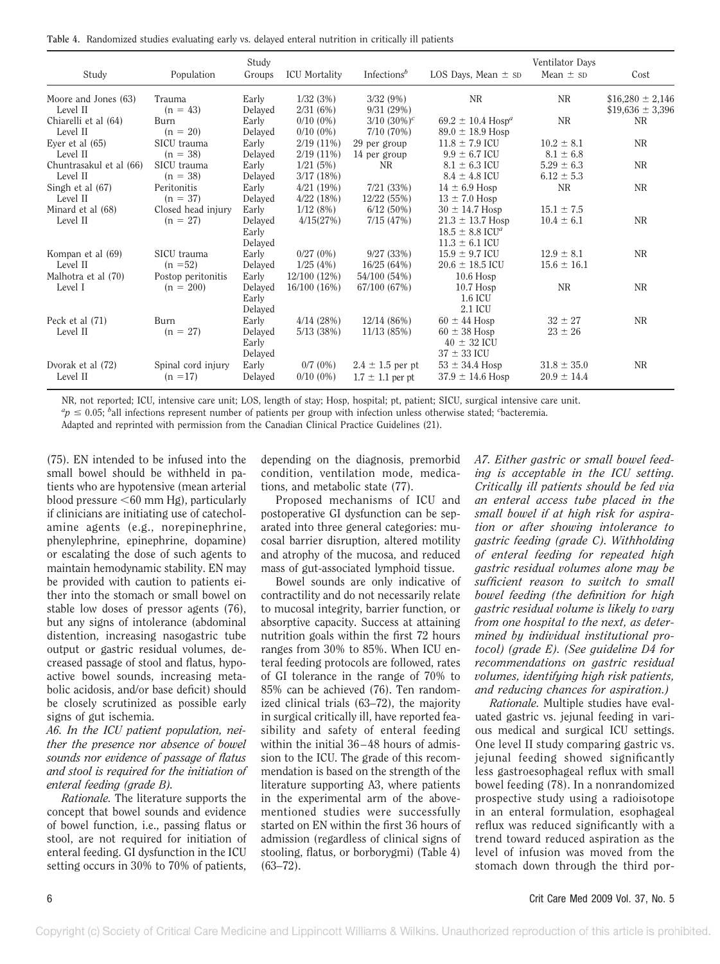|  | Table 4. Randomized studies evaluating early vs. delayed enteral nutrition in critically ill patients |  |  |  |  |  |  |  |  |  |  |
|--|-------------------------------------------------------------------------------------------------------|--|--|--|--|--|--|--|--|--|--|
|--|-------------------------------------------------------------------------------------------------------|--|--|--|--|--|--|--|--|--|--|

| Study                         | Population                       | Study<br>Groups             | <b>ICU</b> Mortality      | Infections <sup>b</sup>                      | LOS Days, Mean $\pm$ sp                                 | Ventilator Days<br>Mean $\pm$ sp   | Cost                |
|-------------------------------|----------------------------------|-----------------------------|---------------------------|----------------------------------------------|---------------------------------------------------------|------------------------------------|---------------------|
| Moore and Jones (63)          | Trauma                           | Early                       | 1/32(3%)                  | 3/32(9%)                                     | <b>NR</b>                                               | <b>NR</b>                          | $$16,280 \pm 2,146$ |
| Level II                      | $(n = 43)$                       | Delayed                     | 2/31(6%)                  | 9/31(29%)                                    |                                                         |                                    | $$19,636 \pm 3,396$ |
| Chiarelli et al (64)          | <b>Burn</b>                      | Early                       | $0/10(0\%)$               | $3/10$ $(30\%)^c$                            | $69.2 \pm 10.4$ Hosp <sup>a</sup>                       | <b>NR</b>                          | <b>NR</b>           |
| Level II                      | $(n = 20)$                       | Delayed                     | $0/10(0\%)$               | $7/10(70\%)$                                 | $89.0 \pm 18.9$ Hosp                                    |                                    |                     |
| Eyer et al $(65)$             | SICU trauma                      | Early                       | $2/19(11\%)$              | 29 per group                                 | $11.8 \pm 7.9$ ICU                                      | $10.2 \pm 8.1$                     | <b>NR</b>           |
| Level II                      | $(n = 38)$                       | Delayed                     | $2/19(11\%)$              | 14 per group                                 | $9.9 \pm 6.7$ ICU                                       | $8.1 \pm 6.8$                      |                     |
| Chuntrasakul et al (66)       | SICU trauma                      | Early                       | 1/21(5%)                  | NR                                           | $8.1 \pm 6.3$ ICU                                       | $5.29 \pm 6.3$                     | <b>NR</b>           |
| Level II                      | $(n = 38)$                       | Delayed                     | 3/17(18%)                 |                                              | $8.4 \pm 4.8$ ICU                                       | $6.12 \pm 5.3$                     |                     |
| Singh et al (67)              | Peritonitis                      | Early                       | 4/21(19%)                 | 7/21(33%)                                    | $14 \pm 6.9$ Hosp                                       | <b>NR</b>                          | <b>NR</b>           |
| Level II                      | $(n = 37)$                       | Delayed                     | 4/22(18%)                 | 12/22(55%)                                   | $13 \pm 7.0$ Hosp                                       |                                    |                     |
| Minard et al (68)             | Closed head injury               | Early                       | 1/12(8%)                  | 6/12(50%)                                    | $30 \pm 14.7$ Hosp                                      | $15.1 \pm 7.5$                     |                     |
| Level II                      | $(n = 27)$                       | Delayed<br>Early            | 4/15(27%)                 | 7/15(47%)                                    | $21.3 \pm 13.7$ Hosp<br>$18.5 \pm 8.8$ ICU <sup>a</sup> | $10.4 \pm 6.1$                     | <b>NR</b>           |
|                               |                                  | Delayed                     |                           |                                              | $11.3 \pm 6.1$ ICU                                      |                                    |                     |
| Kompan et al (69)             | SICU trauma                      | Early                       | 0/27(0%)                  | 9/27(33%)                                    | $15.9 \pm 9.7$ ICU                                      | $12.9 \pm 8.1$                     | <b>NR</b>           |
| Level II                      | $(n = 52)$                       | Delayed                     | 1/25(4%)                  | 16/25(64%)                                   | $20.6 \pm 18.5$ ICU                                     | $15.6 \pm 16.1$                    |                     |
| Malhotra et al (70)           | Postop peritonitis               | Early                       | $12/100(12\%)$            | 54/100 (54%)                                 | $10.6$ Hosp                                             |                                    |                     |
| Level I                       | $(n = 200)$                      | Delayed<br>Early<br>Delayed | 16/100 (16%)              | 67/100 (67%)                                 | $10.7$ Hosp<br>1.6 ICU<br>2.1 ICU                       | <b>NR</b>                          | <b>NR</b>           |
| Peck et al (71)               | Burn                             | Early                       | 4/14(28%)                 | 12/14(86%)                                   | $60 \pm 44$ Hosp                                        | $32 \pm 27$                        | <b>NR</b>           |
| Level II                      | $(n = 27)$                       | Delayed<br>Early<br>Delayed | 5/13(38%)                 | 11/13(85%)                                   | $60 \pm 38$ Hosp<br>$40 \pm 32$ ICU<br>$37 \pm 33$ ICU  | $23 \pm 26$                        |                     |
| Dvorak et al (72)<br>Level II | Spinal cord injury<br>$(n = 17)$ | Early<br>Delayed            | $0/7(0\%)$<br>$0/10(0\%)$ | $2.4 \pm 1.5$ per pt<br>$1.7 \pm 1.1$ per pt | $53 \pm 34.4$ Hosp<br>$37.9 \pm 14.6$ Hosp              | $31.8 \pm 35.0$<br>$20.9 \pm 14.4$ | <b>NR</b>           |

NR, not reported; ICU, intensive care unit; LOS, length of stay; Hosp, hospital; pt, patient; SICU, surgical intensive care unit.

 $a_p \leq 0.05$ ; *b* all infections represent number of patients per group with infection unless otherwise stated; *c* bacteremia.

Adapted and reprinted with permission from the Canadian Clinical Practice Guidelines (21).

(75). EN intended to be infused into the small bowel should be withheld in patients who are hypotensive (mean arterial blood pressure  $<$  60 mm Hg), particularly if clinicians are initiating use of catecholamine agents (e.g., norepinephrine, phenylephrine, epinephrine, dopamine) or escalating the dose of such agents to maintain hemodynamic stability. EN may be provided with caution to patients either into the stomach or small bowel on stable low doses of pressor agents (76), but any signs of intolerance (abdominal distention, increasing nasogastric tube output or gastric residual volumes, decreased passage of stool and flatus, hypoactive bowel sounds, increasing metabolic acidosis, and/or base deficit) should be closely scrutinized as possible early signs of gut ischemia.

*A6. In the ICU patient population, neither the presence nor absence of bowel sounds nor evidence of passage of flatus and stool is required for the initiation of enteral feeding (grade B).*

*Rationale.* The literature supports the concept that bowel sounds and evidence of bowel function, i.e., passing flatus or stool, are not required for initiation of enteral feeding. GI dysfunction in the ICU setting occurs in 30% to 70% of patients,

depending on the diagnosis, premorbid condition, ventilation mode, medications, and metabolic state (77).

Proposed mechanisms of ICU and postoperative GI dysfunction can be separated into three general categories: mucosal barrier disruption, altered motility and atrophy of the mucosa, and reduced mass of gut-associated lymphoid tissue.

Bowel sounds are only indicative of contractility and do not necessarily relate to mucosal integrity, barrier function, or absorptive capacity. Success at attaining nutrition goals within the first 72 hours ranges from 30% to 85%. When ICU enteral feeding protocols are followed, rates of GI tolerance in the range of 70% to 85% can be achieved (76). Ten randomized clinical trials (63–72), the majority in surgical critically ill, have reported feasibility and safety of enteral feeding within the initial 36-48 hours of admission to the ICU. The grade of this recommendation is based on the strength of the literature supporting A3, where patients in the experimental arm of the abovementioned studies were successfully started on EN within the first 36 hours of admission (regardless of clinical signs of stooling, flatus, or borborygmi) (Table 4) (63–72).

*A7. Either gastric or small bowel feeding is acceptable in the ICU setting. Critically ill patients should be fed via an enteral access tube placed in the small bowel if at high risk for aspiration or after showing intolerance to gastric feeding (grade C). Withholding of enteral feeding for repeated high gastric residual volumes alone may be sufficient reason to switch to small bowel feeding (the definition for high gastric residual volume is likely to vary from one hospital to the next, as determined by individual institutional protocol) (grade E). (See guideline D4 for recommendations on gastric residual volumes, identifying high risk patients, and reducing chances for aspiration.)*

*Rationale.* Multiple studies have evaluated gastric vs. jejunal feeding in various medical and surgical ICU settings. One level II study comparing gastric vs. jejunal feeding showed significantly less gastroesophageal reflux with small bowel feeding (78). In a nonrandomized prospective study using a radioisotope in an enteral formulation, esophageal reflux was reduced significantly with a trend toward reduced aspiration as the level of infusion was moved from the stomach down through the third por-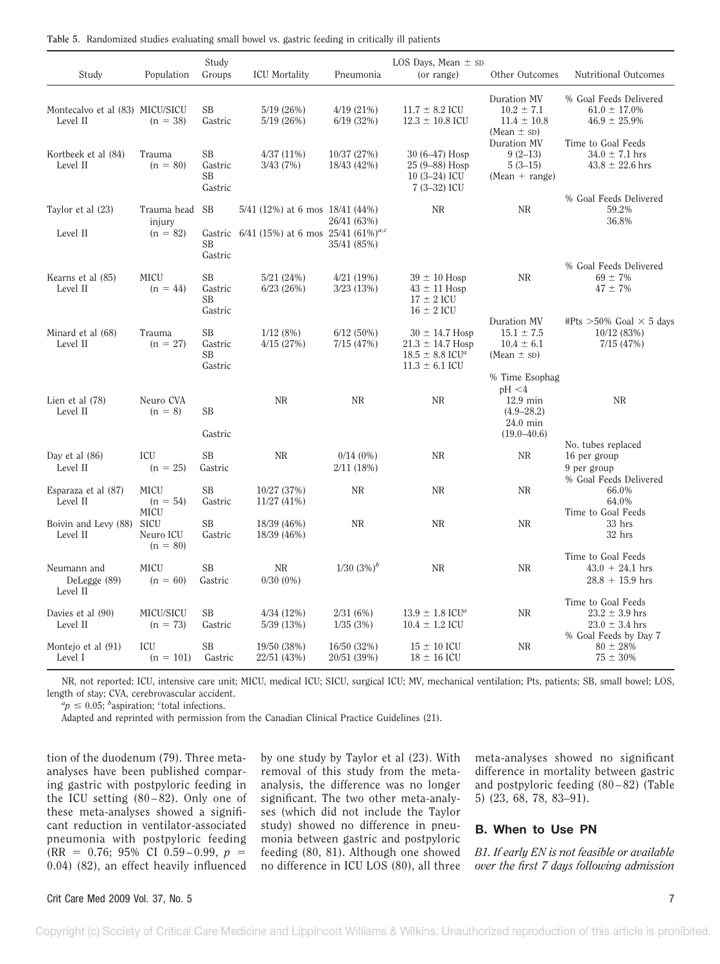|  | Table 5. Randomized studies evaluating small bowel vs. gastric feeding in critically ill patients |  |  |  |  |  |  |  |  |  |  |  |
|--|---------------------------------------------------------------------------------------------------|--|--|--|--|--|--|--|--|--|--|--|
|--|---------------------------------------------------------------------------------------------------|--|--|--|--|--|--|--|--|--|--|--|

| Study                                       | Population                                            | Study<br>Groups                              | <b>ICU</b> Mortality                                          | Pneumonia                  | LOS Days, Mean $\pm$ sp<br>(or range)                                                               | Other Outcomes                                                                          | Nutritional Outcomes                                             |
|---------------------------------------------|-------------------------------------------------------|----------------------------------------------|---------------------------------------------------------------|----------------------------|-----------------------------------------------------------------------------------------------------|-----------------------------------------------------------------------------------------|------------------------------------------------------------------|
| Montecalvo et al (83) MICU/SICU<br>Level II | $(n = 38)$                                            | SВ<br>Gastric                                | 5/19(26%)<br>5/19 (26%)                                       | 4/19(21%)<br>6/19(32%)     | $11.7 \pm 8.2$ ICU<br>$12.3 \pm 10.8$ ICU                                                           | Duration MV<br>$10.2 \pm 7.1$<br>$11.4 \pm 10.8$<br>$(Mean \pm SD)$                     | % Goal Feeds Delivered<br>$61.0 \pm 17.0\%$<br>$46.9 \pm 25.9\%$ |
| Kortbeek et al (84)<br>Level II             | Trauma<br>$(n = 80)$                                  | <b>SB</b><br>Gastric<br><b>SB</b><br>Gastric | $4/37(11\%)$<br>3/43 (7%)                                     | 10/37 (27%)<br>18/43 (42%) | 30 (6–47) Hosp<br>25 (9–88) Hosp<br>$10(3-24)$ ICU<br>$7(3-32)$ ICU                                 | Duration MV<br>$9(2-13)$<br>$5(3-15)$<br>$(Mean + range)$                               | Time to Goal Feeds<br>$34.0 \pm 7.1$ hrs<br>$43.8 \pm 22.6$ hrs  |
| Taylor et al (23)                           | Trauma head<br>injury                                 | <b>SB</b>                                    | $5/41$ (12%) at 6 mos 18/41 (44%)                             | 26/41 (63%)                | <b>NR</b>                                                                                           | NR                                                                                      | % Goal Feeds Delivered<br>59.2%<br>36.8%                         |
| Level II                                    | $(n = 82)$                                            | <b>SB</b><br>Gastric                         | Gastric 6/41 (15%) at 6 mos 25/41 (61%) <sup><i>a,c</i></sup> | 35/41 (85%)                |                                                                                                     |                                                                                         |                                                                  |
| Kearns et al (85)<br>Level II               | MICU<br>$(n = 44)$                                    | <b>SB</b><br>Gastric<br><b>SB</b><br>Gastric | 5/21(24%)<br>6/23(26%)                                        | 4/21(19%)<br>3/23 (13%)    | $39 \pm 10$ Hosp<br>$43 \pm 11$ Hosp<br>$17 \pm 2$ ICU<br>$16 \pm 2$ ICU                            | NR                                                                                      | % Goal Feeds Delivered<br>$69 \pm 7\%$<br>$47 \pm 7\%$           |
| Minard et al (68)<br>Level II               | Trauma<br>$(n = 27)$                                  | <b>SB</b><br>Gastric<br><b>SB</b><br>Gastric | 1/12(8%)<br>4/15(27%)                                         | 6/12(50%)<br>7/15(47%)     | $30 \pm 14.7$ Hosp<br>$21.3 \pm 14.7$ Hosp<br>$18.5 \pm 8.8$ ICU <sup>a</sup><br>$11.3 \pm 6.1$ ICU | Duration MV<br>$15.1 \pm 7.5$<br>$10.4 \pm 6.1$<br>$(Mean \pm SD)$                      | #Pts $>50\%$ Goal $\times$ 5 days<br>10/12 (83%)<br>7/15(47%)    |
| Lien et al $(78)$<br>Level II               | Neuro CVA<br>$(n = 8)$                                | <b>SB</b><br>Gastric                         | <b>NR</b>                                                     | <b>NR</b>                  | <b>NR</b>                                                                                           | % Time Esophag<br>pH < 4<br>12.9 min<br>$(4.9 - 28.2)$<br>$24.0$ min<br>$(19.0 - 40.6)$ | <b>NR</b>                                                        |
| Day et al $(86)$<br>Level II                | ICU<br>$(n = 25)$                                     | <b>SB</b><br>Gastric                         | <b>NR</b>                                                     | $0/14(0\%)$<br>2/11(18%)   | <b>NR</b>                                                                                           | <b>NR</b>                                                                               | No. tubes replaced<br>16 per group<br>9 per group                |
| Esparaza et al (87)<br>Level II             | MICU<br>$(n = 54)$                                    | <b>SB</b><br>Gastric                         | 10/27 (37%)<br>11/27 (41%)                                    | NR                         | NR                                                                                                  | NR                                                                                      | % Goal Feeds Delivered<br>66.0%<br>64.0%                         |
| Boivin and Levy (88)<br>Level II            | <b>MICU</b><br><b>SICU</b><br>Neuro ICU<br>$(n = 80)$ | <b>SB</b><br>Gastric                         | 18/39 (46%)<br>18/39 (46%)                                    | <b>NR</b>                  | <b>NR</b>                                                                                           | <b>NR</b>                                                                               | Time to Goal Feeds<br>33 hrs<br>32 hrs                           |
| Neumann and<br>DeLegge (89)<br>Level II     | MICU<br>$(n = 60)$                                    | <b>SB</b><br>Gastric                         | NR<br>$0/30(0\%)$                                             | $1/30$ $(3%)^b$            | <b>NR</b>                                                                                           | NR                                                                                      | Time to Goal Feeds<br>$43.0 + 24.1$ hrs<br>$28.8 + 15.9$ hrs     |
| Davies et al (90)<br>Level II               | MICU/SICU<br>$(n = 73)$                               | <b>SB</b><br>Gastric                         | 4/34 (12%)<br>5/39 (13%)                                      | 2/31(6%)<br>1/35(3%)       | $13.9 \pm 1.8$ ICU <sup>a</sup><br>$10.4 \pm 1.2$ ICU                                               | <b>NR</b>                                                                               | Time to Goal Feeds<br>$23.2 \pm 3.9$ hrs<br>$23.0 \pm 3.4$ hrs   |
| Montejo et al (91)<br>Level I               | ICU<br>$(n = 101)$                                    | <b>SB</b><br>Gastric                         | 19/50 (38%)<br>22/51 (43%)                                    | 16/50 (32%)<br>20/51 (39%) | $15 \pm 10$ ICU<br>$18 \pm 16$ ICU                                                                  | <b>NR</b>                                                                               | % Goal Feeds by Day 7<br>$80 \pm 28\%$<br>$75 \pm 30\%$          |

NR, not reported; ICU, intensive care unit; MICU, medical ICU; SICU, surgical ICU; MV, mechanical ventilation; Pts, patients; SB, small bowel; LOS, length of stay; CVA, cerebrovascular accident.

 $a_p \leq 0.05$ ; *b* aspiration; *c*total infections.

Adapted and reprinted with permission from the Canadian Clinical Practice Guidelines (21).

tion of the duodenum (79). Three metaanalyses have been published comparing gastric with postpyloric feeding in the ICU setting  $(80-82)$ . Only one of these meta-analyses showed a significant reduction in ventilator-associated pneumonia with postpyloric feeding  $(RR = 0.76; 95\% \text{ CI } 0.59 - 0.99, p =$ 0.04) (82), an effect heavily influenced

by one study by Taylor et al (23). With removal of this study from the metaanalysis, the difference was no longer significant. The two other meta-analyses (which did not include the Taylor study) showed no difference in pneumonia between gastric and postpyloric feeding (80, 81). Although one showed no difference in ICU LOS (80), all three meta-analyses showed no significant difference in mortality between gastric and postpyloric feeding (80 – 82) (Table 5) (23, 68, 78, 83–91).

### **B. When to Use PN**

*B1. If early EN is not feasible or available over the first 7 days following admission*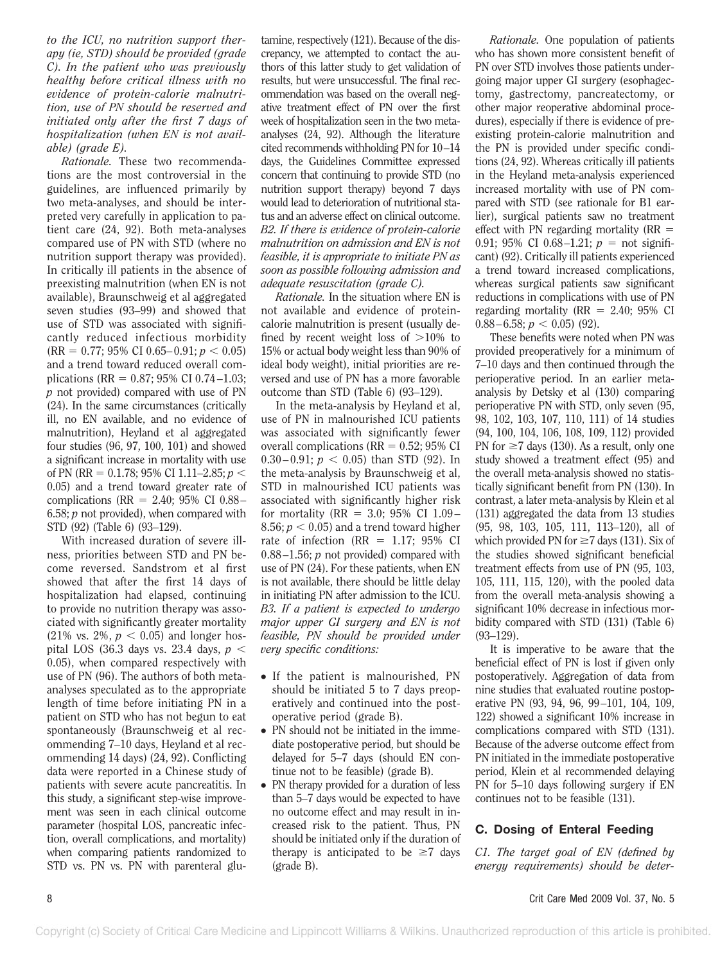*to the ICU, no nutrition support therapy (ie, STD) should be provided (grade C). In the patient who was previously healthy before critical illness with no evidence of protein-calorie malnutrition, use of PN should be reserved and initiated only after the first 7 days of hospitalization (when EN is not available) (grade E).*

*Rationale.* These two recommendations are the most controversial in the guidelines, are influenced primarily by two meta-analyses, and should be interpreted very carefully in application to patient care (24, 92). Both meta-analyses compared use of PN with STD (where no nutrition support therapy was provided). In critically ill patients in the absence of preexisting malnutrition (when EN is not available), Braunschweig et al aggregated seven studies (93–99) and showed that use of STD was associated with significantly reduced infectious morbidity  $(RR = 0.77; 95\% \text{ CI } 0.65 - 0.91; p < 0.05)$ and a trend toward reduced overall complications (RR =  $0.87$ ; 95% CI 0.74-1.03; *p* not provided) compared with use of PN (24). In the same circumstances (critically ill, no EN available, and no evidence of malnutrition), Heyland et al aggregated four studies (96, 97, 100, 101) and showed a significant increase in mortality with use of PN (RR =  $0.1.78$ ; 95% CI 1.11–2.85; *p* < 0.05) and a trend toward greater rate of complications (RR = 2.40; 95% CI 0.88 – 6.58; *p* not provided), when compared with STD (92) (Table 6) (93–129).

With increased duration of severe illness, priorities between STD and PN become reversed. Sandstrom et al first showed that after the first 14 days of hospitalization had elapsed, continuing to provide no nutrition therapy was associated with significantly greater mortality (21% vs. 2%,  $p < 0.05$ ) and longer hospital LOS (36.3 days vs. 23.4 days, *p* 0.05), when compared respectively with use of PN (96). The authors of both metaanalyses speculated as to the appropriate length of time before initiating PN in a patient on STD who has not begun to eat spontaneously (Braunschweig et al recommending 7–10 days, Heyland et al recommending 14 days) (24, 92). Conflicting data were reported in a Chinese study of patients with severe acute pancreatitis. In this study, a significant step-wise improvement was seen in each clinical outcome parameter (hospital LOS, pancreatic infection, overall complications, and mortality) when comparing patients randomized to STD vs. PN vs. PN with parenteral glu-

tamine, respectively (121). Because of the discrepancy, we attempted to contact the authors of this latter study to get validation of results, but were unsuccessful. The final recommendation was based on the overall negative treatment effect of PN over the first week of hospitalization seen in the two metaanalyses (24, 92). Although the literature cited recommends withholding PN for 10–14 days, the Guidelines Committee expressed concern that continuing to provide STD (no nutrition support therapy) beyond 7 days would lead to deterioration of nutritional status and an adverse effect on clinical outcome. *B2. If there is evidence of protein-calorie malnutrition on admission and EN is not feasible, it is appropriate to initiate PN as soon as possible following admission and adequate resuscitation (grade C).*

*Rationale.* In the situation where EN is not available and evidence of proteincalorie malnutrition is present (usually defined by recent weight loss of  $>10\%$  to 15% or actual body weight less than 90% of ideal body weight), initial priorities are reversed and use of PN has a more favorable outcome than STD (Table 6) (93–129).

In the meta-analysis by Heyland et al, use of PN in malnourished ICU patients was associated with significantly fewer overall complications ( $RR = 0.52$ ; 95% CI 0.30 – 0.91;  $p < 0.05$ ) than STD (92). In the meta-analysis by Braunschweig et al, STD in malnourished ICU patients was associated with significantly higher risk for mortality (RR = 3.0; 95% CI 1.09 – 8.56;  $p < 0.05$ ) and a trend toward higher rate of infection (RR  $=$  1.17; 95% CI 0.88 –1.56; *p* not provided) compared with use of PN (24). For these patients, when EN is not available, there should be little delay in initiating PN after admission to the ICU. *B3. If a patient is expected to undergo major upper GI surgery and EN is not feasible, PN should be provided under very specific conditions:*

- If the patient is malnourished, PN should be initiated 5 to 7 days preoperatively and continued into the postoperative period (grade B).
- PN should not be initiated in the immediate postoperative period, but should be delayed for 5–7 days (should EN continue not to be feasible) (grade B).
- PN therapy provided for a duration of less than 5–7 days would be expected to have no outcome effect and may result in increased risk to the patient. Thus, PN should be initiated only if the duration of therapy is anticipated to be  $\geq 7$  days (grade B).

*Rationale.* One population of patients who has shown more consistent benefit of PN over STD involves those patients undergoing major upper GI surgery (esophagectomy, gastrectomy, pancreatectomy, or other major reoperative abdominal procedures), especially if there is evidence of preexisting protein-calorie malnutrition and the PN is provided under specific conditions (24, 92). Whereas critically ill patients in the Heyland meta-analysis experienced increased mortality with use of PN compared with STD (see rationale for B1 earlier), surgical patients saw no treatment effect with PN regarding mortality ( $RR =$ 0.91; 95% CI 0.68-1.21;  $p =$  not significant) (92). Critically ill patients experienced a trend toward increased complications, whereas surgical patients saw significant reductions in complications with use of PN regarding mortality (RR  $= 2.40$ ; 95% CI  $0.88 - 6.58$ ;  $p < 0.05$ ) (92).

These benefits were noted when PN was provided preoperatively for a minimum of 7–10 days and then continued through the perioperative period. In an earlier metaanalysis by Detsky et al (130) comparing perioperative PN with STD, only seven (95, 98, 102, 103, 107, 110, 111) of 14 studies (94, 100, 104, 106, 108, 109, 112) provided PN for  $\geq$ 7 days (130). As a result, only one study showed a treatment effect (95) and the overall meta-analysis showed no statistically significant benefit from PN (130). In contrast, a later meta-analysis by Klein et al (131) aggregated the data from 13 studies (95, 98, 103, 105, 111, 113–120), all of which provided PN for  $\geq 7$  days (131). Six of the studies showed significant beneficial treatment effects from use of PN (95, 103, 105, 111, 115, 120), with the pooled data from the overall meta-analysis showing a significant 10% decrease in infectious morbidity compared with STD (131) (Table 6) (93–129).

It is imperative to be aware that the beneficial effect of PN is lost if given only postoperatively. Aggregation of data from nine studies that evaluated routine postoperative PN (93, 94, 96, 99 –101, 104, 109, 122) showed a significant 10% increase in complications compared with STD (131). Because of the adverse outcome effect from PN initiated in the immediate postoperative period, Klein et al recommended delaying PN for 5–10 days following surgery if EN continues not to be feasible (131).

# **C. Dosing of Enteral Feeding**

*C1. The target goal of EN (defined by energy requirements) should be deter-*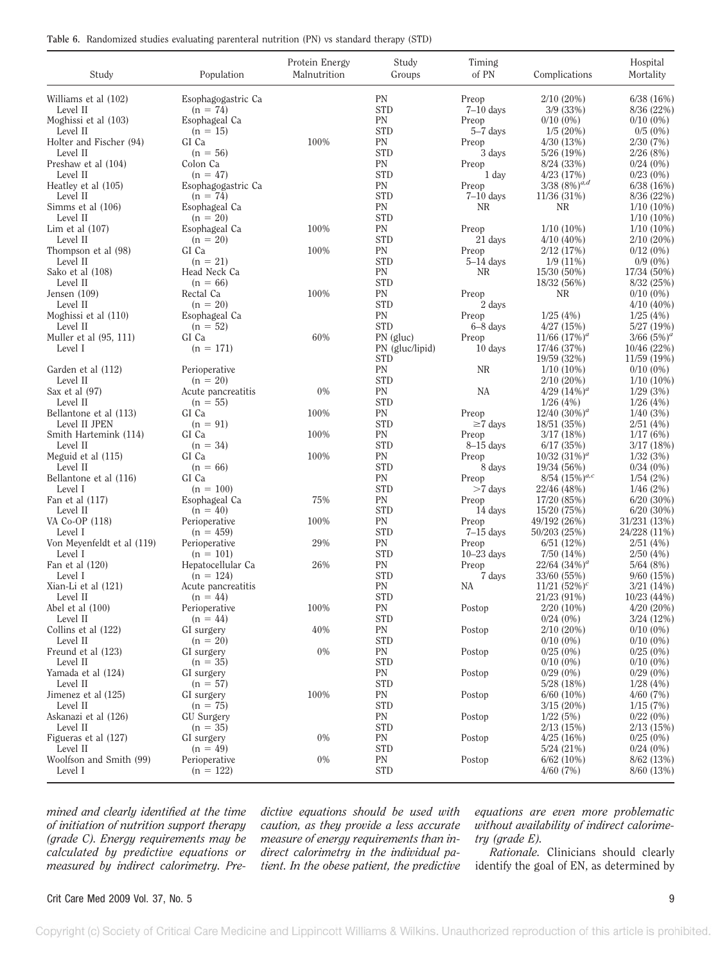|  | Table 6. Randomized studies evaluating parenteral nutrition (PN) vs standard therapy (STD) |  |  |  |  |  |  |  |  |
|--|--------------------------------------------------------------------------------------------|--|--|--|--|--|--|--|--|
|--|--------------------------------------------------------------------------------------------|--|--|--|--|--|--|--|--|

| Study                               | Population                       | Protein Energy<br>Malnutrition | Study<br>Groups  | Timing<br>of PN      | Complications                     | Hospital<br>Mortality     |
|-------------------------------------|----------------------------------|--------------------------------|------------------|----------------------|-----------------------------------|---------------------------|
| Williams et al (102)                | Esophagogastric Ca               |                                | PN               | Preop                | $2/10(20\%)$                      | 6/38(16%)                 |
| Level II                            | $(n = 74)$                       |                                | <b>STD</b>       | $7-10$ days          | 3/9(33%)                          | 8/36 (22%)                |
| Moghissi et al (103)                | Esophageal Ca                    |                                | PN               | Preop                | $0/10(0\%)$                       | $0/10(0\%)$               |
| Level II                            | $(n = 15)$                       |                                | <b>STD</b>       | $5-7$ days           | 1/5(20%)                          | $0/5(0\%)$                |
| Holter and Fischer (94)<br>Level II | GI Ca<br>$(n = 56)$              | 100%                           | PN<br><b>STD</b> | Preop<br>3 days      | 4/30(13%)<br>5/26 (19%)           | 2/30(7%)<br>2/26(8%)      |
| Preshaw et al (104)                 | Colon Ca                         |                                | PN               | Preop                | 8/24 (33%)                        | 0/24(0%)                  |
| Level II                            | $(n = 47)$                       |                                | <b>STD</b>       | $1 \text{ day}$      | 4/23(17%)                         | 0/23(0%)                  |
| Heatley et al (105)                 | Esophagogastric Ca               |                                | PN               | Preop                | $3/38$ $(8%)^{a,d}$               | 6/38(16%)                 |
| Level II                            | $(n = 74)$                       |                                | <b>STD</b>       | $7-10$ days          | 11/36 (31%)                       | 8/36 (22%)                |
| Simms et al (106)                   | Esophageal Ca                    |                                | PN               | NR                   | NR                                | $1/10(10\%)$              |
| Level II                            | $(n = 20)$                       |                                | <b>STD</b>       |                      |                                   | $1/10(10\%)$              |
| Lim et al $(107)$                   | Esophageal Ca                    | 100%                           | PN               | Preop                | $1/10(10\%)$                      | $1/10(10\%)$              |
| Level II                            | $(n = 20)$                       |                                | <b>STD</b>       | 21 days              | $4/10(40\%)$                      | $2/10(20\%)$              |
| Thompson et al (98)                 | GI Ca                            | 100%                           | PN               | Preop                | 2/12(17%)                         | $0/12(0\%)$               |
| Level II                            | $(n = 21)$                       |                                | <b>STD</b>       | $5-14$ days          | $1/9(11\%)$                       | $0/9(0\%)$                |
| Sako et al (108)                    | Head Neck Ca                     |                                | PN<br><b>STD</b> | NR                   | 15/30 (50%)<br>18/32 (56%)        | 17/34 (50%)               |
| Level II<br>Jensen $(109)$          | $(n = 66)$<br>Rectal Ca          | 100%                           | PN               | Preop                | NR                                | 8/32(25%)<br>$0/10(0\%)$  |
| Level II                            | $(n = 20)$                       |                                | <b>STD</b>       | 2 days               |                                   | $4/10(40\%)$              |
| Moghissi et al (110)                | Esophageal Ca                    |                                | PN               | Preop                | 1/25(4%)                          | 1/25(4%)                  |
| Level II                            | $(n = 52)$                       |                                | <b>STD</b>       | $6 - 8$ days         | 4/27(15%)                         | 5/27 (19%)                |
| Muller et al (95, 111)              | GI Ca                            | 60%                            | PN (gluc)        | Preop                | $11/66$ $(17\%)^a$                | $3/66$ $(5%)^a$           |
| Level I                             | $(n = 171)$                      |                                | PN (gluc/lipid)  | 10 days              | 17/46 (37%)                       | 10/46 (22%)               |
|                                     |                                  |                                | <b>STD</b>       |                      | 19/59 (32%)                       | 11/59 (19%)               |
| Garden et al (112)                  | Perioperative                    |                                | PN               | NR                   | $1/10(10\%)$                      | $0/10(0\%)$               |
| Level II                            | $(n = 20)$                       |                                | <b>STD</b>       |                      | $2/10(20\%)$                      | $1/10(10\%)$              |
| Sax et al $(97)$                    | Acute pancreatitis               | 0%                             | PN               | NA                   | $4/29$ $(14\%)^a$                 | 1/29(3%)                  |
| Level II                            | $(n = 55)$                       |                                | <b>STD</b>       |                      | 1/26(4%)                          | 1/26(4%)                  |
| Bellantone et al (113)              | GI Ca                            | 100%                           | PN               | Preop                | $12/40$ $(30\%)^a$                | 1/40(3%)                  |
| Level II JPEN                       | $(n = 91)$                       |                                | <b>STD</b>       | $\geq$ 7 days        | 18/51 (35%)                       | 2/51(4%)                  |
| Smith Hartemink (114)               | GI Ca                            | 100%                           | PN               | Preop                | 3/17(18%)                         | 1/17(6%)                  |
| Level II<br>Meguid et al (115)      | $(n = 34)$<br>GI Ca              | 100%                           | <b>STD</b><br>PN | $8-15$ days<br>Preop | 6/17(35%)<br>$10/32$ $(31\%)^a$   | 3/17(18%)<br>1/32(3%)     |
| Level II                            | $(n = 66)$                       |                                | <b>STD</b>       | 8 days               | 19/34 (56%)                       | $0/34(0\%)$               |
| Bellantone et al (116)              | GI Ca                            |                                | PN               | Preop                | $8/54$ $(15\%)^{a,c}$             | 1/54(2%)                  |
| Level I                             | $(n = 100)$                      |                                | <b>STD</b>       | $>7$ days            | 22/46 (48%)                       | 1/46(2%)                  |
| Fan et al $(117)$                   | Esophageal Ca                    | 75%                            | PN               | Preop                | 17/20 (85%)                       | 6/20(30%)                 |
| Level II                            | $(n = 40)$                       |                                | <b>STD</b>       | 14 days              | 15/20 (75%)                       | $6/20(30\%)$              |
| VA Co-OP (118)                      | Perioperative                    | 100%                           | PN               | Preop                | 49/192 (26%)                      | 31/231 (13%)              |
| Level I                             | $(n = 459)$                      |                                | <b>STD</b>       | $7-15$ days          | 50/203 (25%)                      | 24/228 (11%)              |
| Von Meyenfeldt et al (119)          | Perioperative                    | 29%                            | PN               | Preop                | 6/51(12%)                         | 2/51(4%)                  |
| Level I                             | $(n = 101)$                      |                                | <b>STD</b>       | $10-23$ days         | $7/50(14\%)$                      | 2/50(4%)                  |
| Fan et al $(120)$                   | Hepatocellular Ca                | 26%                            | ${\rm PN}$       | Preop                | $22/64$ $(34\%)^a$                | 5/64(8%)                  |
| Level I                             | $(n = 124)$                      |                                | <b>STD</b><br>PN | 7 days               | 33/60 (55%)<br>$11/21$ $(52\%)^c$ | 9/60(15%)<br>$3/21(14\%)$ |
| Xian-Li et al (121)<br>Level II     | Acute pancreatitis<br>$(n = 44)$ |                                | <b>STD</b>       | NA                   | 21/23 (91%)                       | 10/23 (44%)               |
| Abel et al $(100)$                  | Perioperative                    | 100%                           | PN               | Postop               | $2/20(10\%)$                      | $4/20(20\%)$              |
| Level II                            | $(n = 44)$                       |                                | <b>STD</b>       |                      | 0/24(0%)                          | $3/24(12\%)$              |
| Collins et al (122)                 | GI surgery                       | 40%                            | PN               | Postop               | $2/10(20\%)$                      | $0/10(0\%)$               |
| Level II                            | $(n = 20)$                       |                                | <b>STD</b>       |                      | $0/10(0\%)$                       | $0/10(0\%)$               |
| Freund et al (123)                  | GI surgery                       | 0%                             | PN               | Postop               | 0/25(0%)                          | 0/25(0%)                  |
| Level II                            | $(n = 35)$                       |                                | <b>STD</b>       |                      | $0/10(0\%)$                       | $0/10(0\%)$               |
| Yamada et al (124)                  | GI surgery                       |                                | PN               | Postop               | $0/29(0\%)$                       | $0/29(0\%)$               |
| Level II                            | $(n = 57)$                       |                                | <b>STD</b>       |                      | 5/28(18%)                         | 1/28(4%)                  |
| Jimenez et al (125)                 | GI surgery                       | 100%                           | PN               | Postop               | $6/60(10\%)$                      | 4/60(7%)                  |
| Level II                            | $(n = 75)$                       |                                | <b>STD</b>       |                      | $3/15(20\%)$                      | 1/15(7%)                  |
| Askanazi et al (126)                | GU Surgery                       |                                | PN               | Postop               | 1/22(5%)                          | 0/22(0%)                  |
| Level II<br>Figueras et al (127)    | $(n = 35)$                       | 0%                             | <b>STD</b>       |                      | 2/13(15%)                         | 2/13(15%)                 |
| Level II                            | GI surgery<br>$(n = 49)$         |                                | PN<br><b>STD</b> | Postop               | 4/25(16%)<br>5/24(21%)            | 0/25(0%)<br>0/24(0%)      |
| Woolfson and Smith (99)             | Perioperative                    | 0%                             | PN               | Postop               | 6/62(10%)                         | 8/62(13%)                 |
| Level I                             | $(n = 122)$                      |                                | <b>STD</b>       |                      | 4/60(7%)                          | $8/60$ $(13%)$            |
|                                     |                                  |                                |                  |                      |                                   |                           |

*mined and clearly identified at the time of initiation of nutrition support therapy (grade C). Energy requirements may be calculated by predictive equations or measured by indirect calorimetry. Pre-* *dictive equations should be used with caution, as they provide a less accurate measure of energy requirements than indirect calorimetry in the individual patient. In the obese patient, the predictive* *equations are even more problematic without availability of indirect calorimetry (grade E).*

*Rationale.* Clinicians should clearly identify the goal of EN, as determined by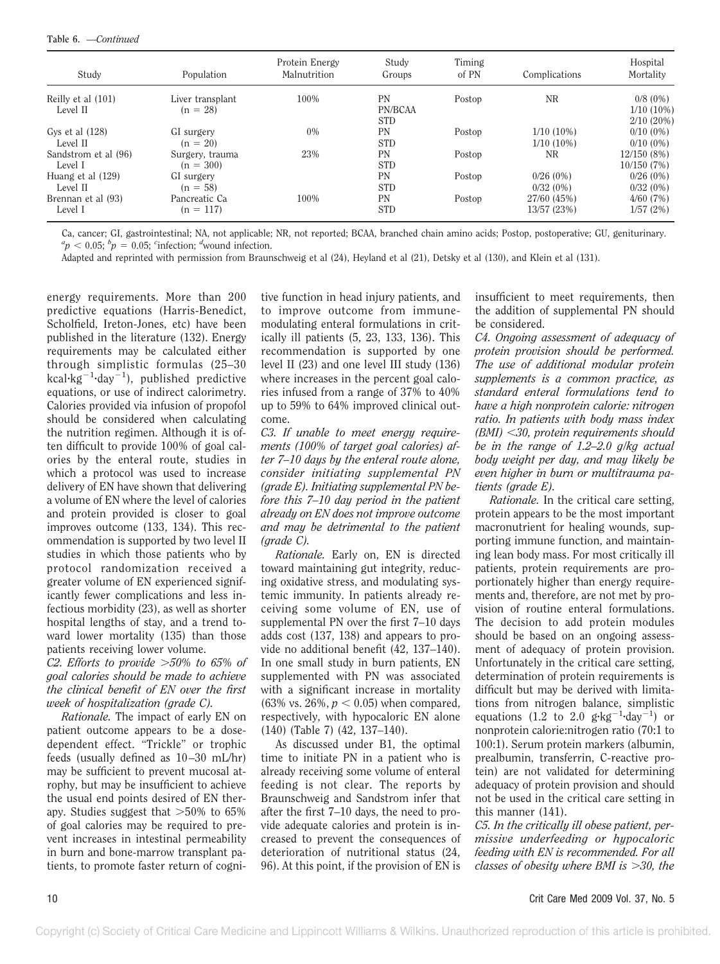| Study                           | Population                     | Protein Energy<br>Malnutrition | Study<br>Groups             | Timing<br>of PN | Complications                | Hospital<br>Mortality                      |
|---------------------------------|--------------------------------|--------------------------------|-----------------------------|-----------------|------------------------------|--------------------------------------------|
| Reilly et al (101)<br>Level II  | Liver transplant<br>$(n = 28)$ | 100%                           | PN<br>PN/BCAA<br><b>STD</b> | Postop          | <b>NR</b>                    | $0/8(0\%)$<br>$1/10(10\%)$<br>$2/10(20\%)$ |
| Gys et al $(128)$<br>Level II   | GI surgery<br>$(n = 20)$       | 0%                             | PN<br><b>STD</b>            | Postop          | $1/10(10\%)$<br>$1/10(10\%)$ | $0/10(0\%)$<br>$0/10(0\%)$                 |
| Sandstrom et al (96)<br>Level I | Surgery, trauma<br>$(n = 300)$ | 23%                            | PN<br><b>STD</b>            | Postop          | NR.                          | 12/150 (8%)<br>10/150(7%)                  |
| Huang et al (129)<br>Level II   | GI surgery<br>$(n = 58)$       |                                | <b>PN</b><br><b>STD</b>     | Postop          | 0/26(0%)<br>0/32(0%)         | 0/26(0%)<br>0/32(0%)                       |
| Brennan et al (93)<br>Level I   | Pancreatic Ca<br>$(n = 117)$   | 100%                           | PN<br><b>STD</b>            | Postop          | 27/60 (45%)<br>13/57 (23%)   | 4/60(7%)<br>1/57(2%)                       |

Ca, cancer; GI, gastrointestinal; NA, not applicable; NR, not reported; BCAA, branched chain amino acids; Postop, postoperative; GU, geniturinary.  $a_p < 0.05$ ;  $b_p = 0.05$ ; *c*infection; *d* wound infection.

Adapted and reprinted with permission from Braunschweig et al (24), Heyland et al (21), Detsky et al (130), and Klein et al (131).

energy requirements. More than 200 predictive equations (Harris-Benedict, Scholfield, Ireton-Jones, etc) have been published in the literature (132). Energy requirements may be calculated either through simplistic formulas (25–30  $kcal\cdot kg^{-1}$ ·day<sup>-1</sup>), published predictive equations, or use of indirect calorimetry. Calories provided via infusion of propofol should be considered when calculating the nutrition regimen. Although it is often difficult to provide 100% of goal calories by the enteral route, studies in which a protocol was used to increase delivery of EN have shown that delivering a volume of EN where the level of calories and protein provided is closer to goal improves outcome (133, 134). This recommendation is supported by two level II studies in which those patients who by protocol randomization received a greater volume of EN experienced significantly fewer complications and less infectious morbidity (23), as well as shorter hospital lengths of stay, and a trend toward lower mortality (135) than those patients receiving lower volume.

*C2. Efforts to provide 50% to 65% of goal calories should be made to achieve the clinical benefit of EN over the first week of hospitalization (grade C).*

*Rationale.* The impact of early EN on patient outcome appears to be a dosedependent effect. "Trickle" or trophic feeds (usually defined as  $10-30$  mL/hr) may be sufficient to prevent mucosal atrophy, but may be insufficient to achieve the usual end points desired of EN therapy. Studies suggest that  $>50\%$  to 65% of goal calories may be required to prevent increases in intestinal permeability in burn and bone-marrow transplant patients, to promote faster return of cogni-

tive function in head injury patients, and to improve outcome from immunemodulating enteral formulations in critically ill patients (5, 23, 133, 136). This recommendation is supported by one level II (23) and one level III study (136) where increases in the percent goal calories infused from a range of 37% to 40% up to 59% to 64% improved clinical outcome.

*C3. If unable to meet energy requirements (100% of target goal calories) after 7–10 days by the enteral route alone, consider initiating supplemental PN (grade E). Initiating supplemental PN before this 7–10 day period in the patient already on EN does not improve outcome and may be detrimental to the patient (grade C).*

*Rationale.* Early on, EN is directed toward maintaining gut integrity, reducing oxidative stress, and modulating systemic immunity. In patients already receiving some volume of EN, use of supplemental PN over the first 7–10 days adds cost (137, 138) and appears to provide no additional benefit (42, 137–140). In one small study in burn patients, EN supplemented with PN was associated with a significant increase in mortality  $(63\% \text{ vs. } 26\%, p < 0.05)$  when compared, respectively, with hypocaloric EN alone (140) (Table 7) (42, 137–140).

As discussed under B1, the optimal time to initiate PN in a patient who is already receiving some volume of enteral feeding is not clear. The reports by Braunschweig and Sandstrom infer that after the first 7–10 days, the need to provide adequate calories and protein is increased to prevent the consequences of deterioration of nutritional status (24, 96). At this point, if the provision of EN is insufficient to meet requirements, then the addition of supplemental PN should be considered.

*C4. Ongoing assessment of adequacy of protein provision should be performed. The use of additional modular protein supplements is a common practice, as standard enteral formulations tend to have a high nonprotein calorie: nitrogen ratio. In patients with body mass index (BMI) 30, protein requirements should be in the range of 1.2–2.0 g/kg actual body weight per day, and may likely be even higher in burn or multitrauma patients (grade E).*

*Rationale.* In the critical care setting, protein appears to be the most important macronutrient for healing wounds, supporting immune function, and maintaining lean body mass. For most critically ill patients, protein requirements are proportionately higher than energy requirements and, therefore, are not met by provision of routine enteral formulations. The decision to add protein modules should be based on an ongoing assessment of adequacy of protein provision. Unfortunately in the critical care setting, determination of protein requirements is difficult but may be derived with limitations from nitrogen balance, simplistic equations (1.2 to 2.0  $g \cdot kg^{-1} \cdot day^{-1}$ ) or nonprotein calorie:nitrogen ratio (70:1 to 100:1). Serum protein markers (albumin, prealbumin, transferrin, C-reactive protein) are not validated for determining adequacy of protein provision and should not be used in the critical care setting in this manner (141).

*C5. In the critically ill obese patient, permissive underfeeding or hypocaloric feeding with EN is recommended. For all classes of obesity where BMI is 30, the*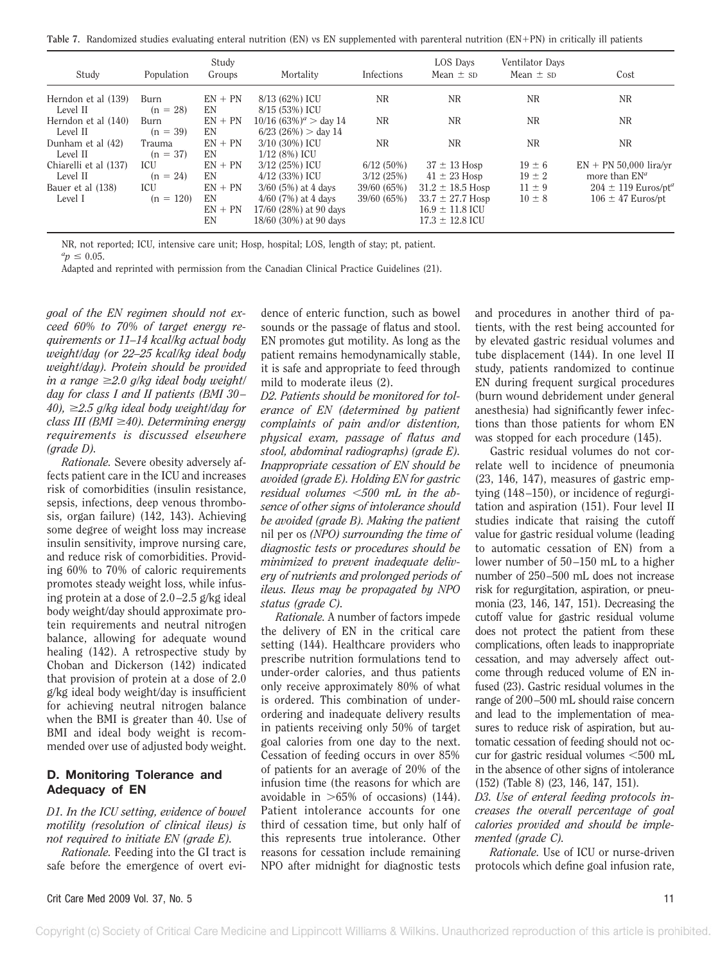Table 7. Randomized studies evaluating enteral nutrition (EN) vs EN supplemented with parenteral nutrition (EN+PN) in critically ill patients

| Study                             | Population                | Study<br>Groups                    | Mortality                                                                                          | Infections                 | LOS Days<br>Mean $\pm$ SD                                                                  | Ventilator Days<br>Mean $\pm$ SD | Cost                                                         |
|-----------------------------------|---------------------------|------------------------------------|----------------------------------------------------------------------------------------------------|----------------------------|--------------------------------------------------------------------------------------------|----------------------------------|--------------------------------------------------------------|
| Herndon et al (139)<br>Level II   | Burn<br>$(n = 28)$        | $EN + PN$<br>EN                    | 8/13 (62%) ICU<br>8/15 (53%) ICU                                                                   | <b>NR</b>                  | <b>NR</b>                                                                                  | <b>NR</b>                        | <b>NR</b>                                                    |
| Herndon et al (140)<br>Level II   | Burn<br>$(n = 39)$        | $EN + PN$<br>EN                    | $10/16$ (63%) <sup>a</sup> > day 14<br>$6/23$ (26%) $>$ day 14                                     | <b>NR</b>                  | <b>NR</b>                                                                                  | NR                               | <b>NR</b>                                                    |
| Dunham et al (42)<br>Level II     | Trauma<br>$(n = 37)$      | $EN + PN$<br>EN                    | 3/10 (30%) ICU<br>$1/12$ (8%) ICU                                                                  | <b>NR</b>                  | <b>NR</b>                                                                                  | <b>NR</b>                        | <b>NR</b>                                                    |
| Chiarelli et al (137)<br>Level II | <b>ICU</b><br>$(n = 24)$  | $EN + PN$<br>EN                    | $3/12$ (25%) ICU<br>4/12 (33%) ICU                                                                 | 6/12(50%)<br>3/12(25%)     | $37 \pm 13$ Hosp<br>$41 \pm 23$ Hosp                                                       | $19 \pm 6$<br>$19 \pm 2$         | $EN + PN 50,000$ lira/yr<br>more than $EN^a$                 |
| Bauer et al (138)<br>Level I      | <b>ICU</b><br>$(n = 120)$ | $EN + PN$<br>EN<br>$EN + PN$<br>ΕN | $3/60$ (5%) at 4 days<br>$4/60$ (7%) at 4 days<br>17/60 (28%) at 90 days<br>18/60 (30%) at 90 days | 39/60 (65%)<br>39/60 (65%) | $31.2 \pm 18.5$ Hosp<br>$33.7 \pm 27.7$ Hosp<br>$16.9 \pm 11.8$ ICU<br>$17.3 \pm 12.8$ ICU | $11 \pm 9$<br>$10 \pm 8$         | $204 \pm 119$ Euros/pt <sup>a</sup><br>$106 \pm 47$ Euros/pt |

NR, not reported; ICU, intensive care unit; Hosp, hospital; LOS, length of stay; pt, patient.  ${}^{a}p \leq 0.05$ .

Adapted and reprinted with permission from the Canadian Clinical Practice Guidelines (21).

*goal of the EN regimen should not exceed 60% to 70% of target energy requirements or 11–14 kcal/kg actual body weight/day (or 22–25 kcal/kg ideal body weight/day). Protein should be provided in a range 2.0 g/kg ideal body weight/ day for class I and II patients (BMI 30 – 40), 2.5 g/kg ideal body weight/day for class III (BMI 40). Determining energy requirements is discussed elsewhere (grade D).*

*Rationale.* Severe obesity adversely affects patient care in the ICU and increases risk of comorbidities (insulin resistance, sepsis, infections, deep venous thrombosis, organ failure) (142, 143). Achieving some degree of weight loss may increase insulin sensitivity, improve nursing care, and reduce risk of comorbidities. Providing 60% to 70% of caloric requirements promotes steady weight loss, while infusing protein at a dose of 2.0 –2.5 g/kg ideal body weight/day should approximate protein requirements and neutral nitrogen balance, allowing for adequate wound healing (142). A retrospective study by Choban and Dickerson (142) indicated that provision of protein at a dose of 2.0 g/kg ideal body weight/day is insufficient for achieving neutral nitrogen balance when the BMI is greater than 40. Use of BMI and ideal body weight is recommended over use of adjusted body weight.

# **D. Monitoring Tolerance and Adequacy of EN**

*D1. In the ICU setting, evidence of bowel motility (resolution of clinical ileus) is not required to initiate EN (grade E).*

*Rationale.* Feeding into the GI tract is safe before the emergence of overt evi-

dence of enteric function, such as bowel sounds or the passage of flatus and stool. EN promotes gut motility. As long as the patient remains hemodynamically stable, it is safe and appropriate to feed through mild to moderate ileus (2).

*D2. Patients should be monitored for tolerance of EN (determined by patient complaints of pain and/or distention, physical exam, passage of flatus and stool, abdominal radiographs) (grade E). Inappropriate cessation of EN should be avoided (grade E). Holding EN for gastric residual volumes 500 mL in the absence of other signs of intolerance should be avoided (grade B). Making the patient* nil per os *(NPO) surrounding the time of diagnostic tests or procedures should be minimized to prevent inadequate delivery of nutrients and prolonged periods of ileus. Ileus may be propagated by NPO status (grade C).*

*Rationale.* A number of factors impede the delivery of EN in the critical care setting (144). Healthcare providers who prescribe nutrition formulations tend to under-order calories, and thus patients only receive approximately 80% of what is ordered. This combination of underordering and inadequate delivery results in patients receiving only 50% of target goal calories from one day to the next. Cessation of feeding occurs in over 85% of patients for an average of 20% of the infusion time (the reasons for which are avoidable in  $>65\%$  of occasions) (144). Patient intolerance accounts for one third of cessation time, but only half of this represents true intolerance. Other reasons for cessation include remaining NPO after midnight for diagnostic tests and procedures in another third of patients, with the rest being accounted for by elevated gastric residual volumes and tube displacement (144). In one level II study, patients randomized to continue EN during frequent surgical procedures (burn wound debridement under general anesthesia) had significantly fewer infections than those patients for whom EN was stopped for each procedure (145).

Gastric residual volumes do not correlate well to incidence of pneumonia (23, 146, 147), measures of gastric emptying (148-150), or incidence of regurgitation and aspiration (151). Four level II studies indicate that raising the cutoff value for gastric residual volume (leading to automatic cessation of EN) from a lower number of  $50-150$  mL to a higher number of 250 –500 mL does not increase risk for regurgitation, aspiration, or pneumonia (23, 146, 147, 151). Decreasing the cutoff value for gastric residual volume does not protect the patient from these complications, often leads to inappropriate cessation, and may adversely affect outcome through reduced volume of EN infused (23). Gastric residual volumes in the range of 200 –500 mL should raise concern and lead to the implementation of measures to reduce risk of aspiration, but automatic cessation of feeding should not occur for gastric residual volumes  $< 500$  mL in the absence of other signs of intolerance (152) (Table 8) (23, 146, 147, 151).

*D3. Use of enteral feeding protocols increases the overall percentage of goal calories provided and should be implemented (grade C).*

*Rationale.* Use of ICU or nurse-driven protocols which define goal infusion rate,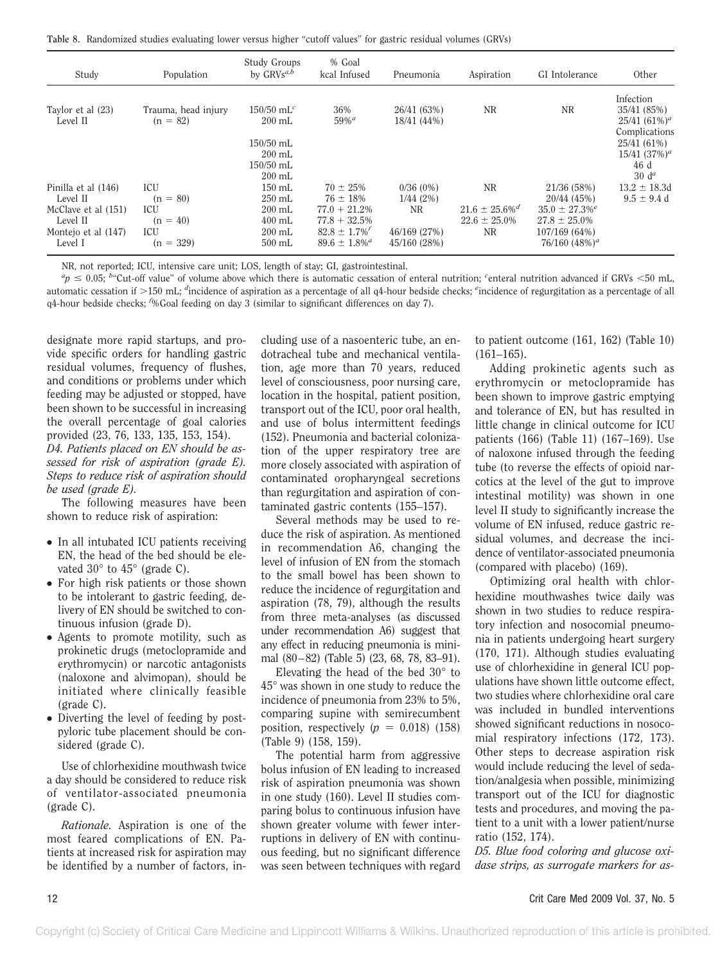**Table 8.** Randomized studies evaluating lower versus higher "cutoff values" for gastric residual volumes (GRVs)

| Study                                                  | Population                        | Study Groups<br>by $GRVs^{a,b}$                  | % Goal<br>kcal Infused                                 | Pneumonia                  | Aspiration                                                       | GI Intolerance                                                      | Other                                                         |
|--------------------------------------------------------|-----------------------------------|--------------------------------------------------|--------------------------------------------------------|----------------------------|------------------------------------------------------------------|---------------------------------------------------------------------|---------------------------------------------------------------|
| Taylor et al (23)<br>Level II                          | Trauma, head injury<br>$(n = 82)$ | $150/50$ mL <sup>c</sup><br>$200$ mL             | 36%<br>$59\%$ <sup>a</sup>                             | 26/41 (63%)<br>18/41 (44%) | <b>NR</b>                                                        | <b>NR</b>                                                           | Infection<br>35/41 (85%)<br>$25/41 (61\%)^a$<br>Complications |
|                                                        |                                   | $150/50$ mL<br>$200$ mL<br>$150/50$ mL           |                                                        |                            |                                                                  |                                                                     | 25/41 (61%)<br>$15/41$ $(37%)^a$<br>46 d                      |
| Pinilla et al (146)<br>Level II                        | ICU<br>$(n = 80)$                 | $200$ mL<br>$150$ mL<br>$250$ mL                 | $70 \pm 25\%$<br>$76 \pm 18\%$                         | 0/36(0%)<br>1/44(2%)       | <b>NR</b>                                                        | 21/36 (58%)<br>20/44 (45%)                                          | $30 d^a$<br>$13.2 \pm 18.3d$<br>$9.5 \pm 9.4$ d               |
| McClave et al (151)<br>Level II<br>Montejo et al (147) | <b>ICU</b><br>$(n = 40)$<br>ICU   | $200 \text{ mL}$<br>$400$ mL<br>$200 \text{ mL}$ | $77.0 + 21.2\%$<br>$77.8 + 32.5\%$<br>$82.8 \pm 1.7\%$ | <b>NR</b><br>46/169 (27%)  | $21.6 \pm 25.6\%$ <sup>d</sup><br>$22.6 \pm 25.0\%$<br><b>NR</b> | $35.0 \pm 27.3%$ <sup>e</sup><br>$27.8 \pm 25.0\%$<br>107/169 (64%) |                                                               |
| Level I                                                | $(n = 329)$                       | $500 \text{ mL}$                                 | $89.6 \pm 1.8\%$ <sup>a</sup>                          | 45/160 (28%)               |                                                                  | $76/160~(48\%)^a$                                                   |                                                               |

NR, not reported; ICU, intensive care unit; LOS, length of stay; GI, gastrointestinal.

 $a_p \leq 0.05$ ; *b*<sup> $a_p$ </sup>Cut-off value" of volume above which there is automatic cessation of enteral nutrition; *c*enteral nutrition advanced if GRVs <50 mL, automatic cessation if >150 mL; <sup>d</sup>incidence of aspiration as a percentage of all q4-hour bedside checks; <sup>e</sup>incidence of regurgitation as a percentage of all q4-hour bedside checks; *<sup>f</sup>* %Goal feeding on day 3 (similar to significant differences on day 7).

designate more rapid startups, and provide specific orders for handling gastric residual volumes, frequency of flushes, and conditions or problems under which feeding may be adjusted or stopped, have been shown to be successful in increasing the overall percentage of goal calories provided (23, 76, 133, 135, 153, 154). *D4. Patients placed on EN should be assessed for risk of aspiration (grade E). Steps to reduce risk of aspiration should be used (grade E).*

The following measures have been shown to reduce risk of aspiration:

- In all intubated ICU patients receiving EN, the head of the bed should be elevated 30° to 45° (grade C).
- For high risk patients or those shown to be intolerant to gastric feeding, delivery of EN should be switched to continuous infusion (grade D).
- Agents to promote motility, such as prokinetic drugs (metoclopramide and erythromycin) or narcotic antagonists (naloxone and alvimopan), should be initiated where clinically feasible (grade C).
- Diverting the level of feeding by postpyloric tube placement should be considered (grade C).

Use of chlorhexidine mouthwash twice a day should be considered to reduce risk of ventilator-associated pneumonia (grade C).

*Rationale.* Aspiration is one of the most feared complications of EN. Patients at increased risk for aspiration may be identified by a number of factors, in-

cluding use of a nasoenteric tube, an endotracheal tube and mechanical ventilation, age more than 70 years, reduced level of consciousness, poor nursing care, location in the hospital, patient position, transport out of the ICU, poor oral health, and use of bolus intermittent feedings (152). Pneumonia and bacterial colonization of the upper respiratory tree are more closely associated with aspiration of contaminated oropharyngeal secretions than regurgitation and aspiration of contaminated gastric contents (155–157).

Several methods may be used to reduce the risk of aspiration. As mentioned in recommendation A6, changing the level of infusion of EN from the stomach to the small bowel has been shown to reduce the incidence of regurgitation and aspiration (78, 79), although the results from three meta-analyses (as discussed under recommendation A6) suggest that any effect in reducing pneumonia is minimal (80 – 82) (Table 5) (23, 68, 78, 83–91).

Elevating the head of the bed 30° to 45° was shown in one study to reduce the incidence of pneumonia from 23% to 5%, comparing supine with semirecumbent position, respectively  $(p = 0.018)$  (158) (Table 9) (158, 159).

The potential harm from aggressive bolus infusion of EN leading to increased risk of aspiration pneumonia was shown in one study (160). Level II studies comparing bolus to continuous infusion have shown greater volume with fewer interruptions in delivery of EN with continuous feeding, but no significant difference was seen between techniques with regard to patient outcome (161, 162) (Table 10)  $(161–165)$ .

Adding prokinetic agents such as erythromycin or metoclopramide has been shown to improve gastric emptying and tolerance of EN, but has resulted in little change in clinical outcome for ICU patients (166) (Table 11) (167–169). Use of naloxone infused through the feeding tube (to reverse the effects of opioid narcotics at the level of the gut to improve intestinal motility) was shown in one level II study to significantly increase the volume of EN infused, reduce gastric residual volumes, and decrease the incidence of ventilator-associated pneumonia (compared with placebo) (169).

Optimizing oral health with chlorhexidine mouthwashes twice daily was shown in two studies to reduce respiratory infection and nosocomial pneumonia in patients undergoing heart surgery (170, 171). Although studies evaluating use of chlorhexidine in general ICU populations have shown little outcome effect, two studies where chlorhexidine oral care was included in bundled interventions showed significant reductions in nosocomial respiratory infections (172, 173). Other steps to decrease aspiration risk would include reducing the level of sedation/analgesia when possible, minimizing transport out of the ICU for diagnostic tests and procedures, and moving the patient to a unit with a lower patient/nurse ratio (152, 174).

*D5. Blue food coloring and glucose oxidase strips, as surrogate markers for as-*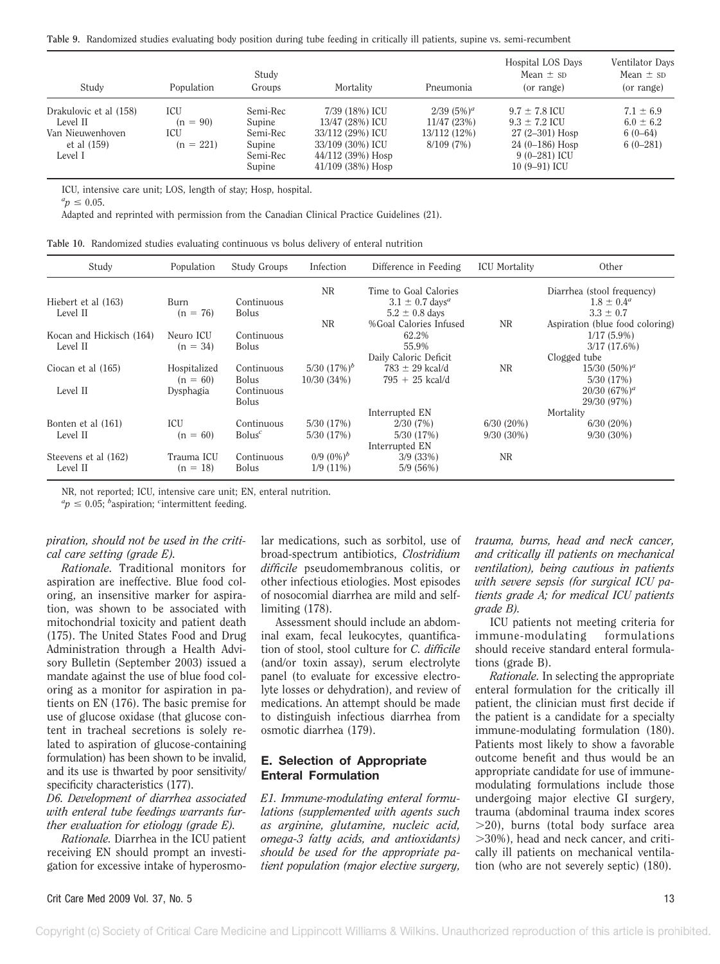|  |  |  |  |  |  |  |  |  |  |  |  |  |  | Table 9. Randomized studies evaluating body position during tube feeding in critically ill patients, supine vs. semi-recumbent |  |
|--|--|--|--|--|--|--|--|--|--|--|--|--|--|--------------------------------------------------------------------------------------------------------------------------------|--|
|--|--|--|--|--|--|--|--|--|--|--|--|--|--|--------------------------------------------------------------------------------------------------------------------------------|--|

| Study                  | Population  | Study<br>Groups | Mortality           | Pneumonia       | Hospital LOS Days<br>Mean $\pm$ SD<br>(or range) | Ventilator Days<br>Mean $\pm$ SD<br>(or range) |
|------------------------|-------------|-----------------|---------------------|-----------------|--------------------------------------------------|------------------------------------------------|
| Drakulovic et al (158) | ICU         | Semi-Rec        | 7/39 (18%) ICU      | $2/39$ $(5%)^a$ | $9.7 \pm 7.8$ ICU                                | $7.1 \pm 6.9$                                  |
| Level II               | $(n = 90)$  | Supine          | 13/47 (28%) ICU     | 11/47(23%)      | $9.3 \pm 7.2$ ICU                                | $6.0 \pm 6.2$                                  |
| Van Nieuwenhoven       | ICU         | Semi-Rec        | 33/112 (29%) ICU    | 13/112 (12%)    | $27(2-301)$ Hosp                                 | $6(0-64)$                                      |
| et al $(159)$          | $(n = 221)$ | Supine          | 33/109 (30%) ICU    | 8/109(7%)       | $24(0-186)$ Hosp                                 | $6(0-281)$                                     |
| Level I                |             | Semi-Rec        | $44/112$ (39%) Hosp |                 | $9(0-281)$ ICU                                   |                                                |
|                        |             | Supine          | $41/109$ (38%) Hosp |                 | $10(9-91)$ ICU                                   |                                                |

ICU, intensive care unit; LOS, length of stay; Hosp, hospital.

 ${}^{a}p \leq 0.05$ .

Adapted and reprinted with permission from the Canadian Clinical Practice Guidelines (21).

|  | Table 10. Randomized studies evaluating continuous vs bolus delivery of enteral nutrition |  |  |  |  |  |  |  |
|--|-------------------------------------------------------------------------------------------|--|--|--|--|--|--|--|
|--|-------------------------------------------------------------------------------------------|--|--|--|--|--|--|--|

| Study                    | Population   | Study Groups | Infection         | Difference in Feeding           | <b>ICU</b> Mortality | Other                           |
|--------------------------|--------------|--------------|-------------------|---------------------------------|----------------------|---------------------------------|
|                          |              |              | <b>NR</b>         | Time to Goal Calories           |                      | Diarrhea (stool frequency)      |
| Hiebert et al (163)      | Burn         | Continuous   |                   | $3.1 \pm 0.7$ days <sup>a</sup> |                      | $1.8 \pm 0.4^a$                 |
| Level II                 | $(n = 76)$   | <b>Bolus</b> |                   | $5.2 \pm 0.8$ days              |                      | $3.3 \pm 0.7$                   |
|                          |              |              | <b>NR</b>         | %Goal Calories Infused          | <b>NR</b>            | Aspiration (blue food coloring) |
| Kocan and Hickisch (164) | Neuro ICU    | Continuous   |                   | 62.2%                           |                      | $1/17(5.9\%)$                   |
| Level II                 | $(n = 34)$   | <b>Bolus</b> |                   | 55.9%                           |                      | $3/17(17.6\%)$                  |
|                          |              |              |                   | Daily Caloric Deficit           |                      | Clogged tube                    |
| Ciocan et al (165)       | Hospitalized | Continuous   | $5/30$ $(17\%)^b$ | $783 \pm 29$ kcal/d             | <b>NR</b>            | $15/30$ $(50\%)^a$              |
|                          | $(n = 60)$   | <b>Bolus</b> | 10/30(34%)        | $795 + 25$ kcal/d               |                      | 5/30 (17%)                      |
| Level II                 | Dysphagia    | Continuous   |                   |                                 |                      | $20/30~(67%)^a$                 |
|                          |              | <b>Bolus</b> |                   |                                 |                      | 29/30 (97%)                     |
|                          |              |              |                   | Interrupted EN                  |                      | Mortality                       |
| Bonten et al (161)       | ICU          | Continuous   | 5/30 (17%)        | 2/30(7%)                        | $6/30(20\%)$         | $6/30(20\%)$                    |
| Level II                 | $(n = 60)$   | $Bolus^c$    | 5/30 (17%)        | 5/30 (17%)                      | $9/30(30\%)$         | $9/30(30\%)$                    |
|                          |              |              |                   | Interrupted EN                  |                      |                                 |
| Steevens et al (162)     | Trauma ICU   | Continuous   | $0/9$ $(0\%)^b$   | 3/9(33%)                        | <b>NR</b>            |                                 |
| Level II                 | $(n = 18)$   | <b>Bolus</b> | $1/9(11\%)$       | 5/9(56%)                        |                      |                                 |

NR, not reported; ICU, intensive care unit; EN, enteral nutrition.

 ${}^{a}p \leq 0.05$ ; <sup>*b*</sup> aspiration; *c* intermittent feeding.

### *piration, should not be used in the critical care setting (grade E).*

*Rationale.* Traditional monitors for aspiration are ineffective. Blue food coloring, an insensitive marker for aspiration, was shown to be associated with mitochondrial toxicity and patient death (175). The United States Food and Drug Administration through a Health Advisory Bulletin (September 2003) issued a mandate against the use of blue food coloring as a monitor for aspiration in patients on EN (176). The basic premise for use of glucose oxidase (that glucose content in tracheal secretions is solely related to aspiration of glucose-containing formulation) has been shown to be invalid, and its use is thwarted by poor sensitivity/ specificity characteristics (177).

*D6. Development of diarrhea associated with enteral tube feedings warrants further evaluation for etiology (grade E).*

*Rationale.* Diarrhea in the ICU patient receiving EN should prompt an investigation for excessive intake of hyperosmo-

lar medications, such as sorbitol, use of broad-spectrum antibiotics, *Clostridium difficile* pseudomembranous colitis, or other infectious etiologies. Most episodes of nosocomial diarrhea are mild and selflimiting (178).

Assessment should include an abdominal exam, fecal leukocytes, quantification of stool, stool culture for *C. difficile* (and/or toxin assay), serum electrolyte panel (to evaluate for excessive electrolyte losses or dehydration), and review of medications. An attempt should be made to distinguish infectious diarrhea from osmotic diarrhea (179).

# **E. Selection of Appropriate Enteral Formulation**

*E1. Immune-modulating enteral formulations (supplemented with agents such as arginine, glutamine, nucleic acid, omega-3 fatty acids, and antioxidants) should be used for the appropriate patient population (major elective surgery,*

*trauma, burns, head and neck cancer, and critically ill patients on mechanical ventilation), being cautious in patients with severe sepsis (for surgical ICU patients grade A; for medical ICU patients grade B).*

ICU patients not meeting criteria for immune-modulating formulations should receive standard enteral formulations (grade B).

*Rationale.* In selecting the appropriate enteral formulation for the critically ill patient, the clinician must first decide if the patient is a candidate for a specialty immune-modulating formulation (180). Patients most likely to show a favorable outcome benefit and thus would be an appropriate candidate for use of immunemodulating formulations include those undergoing major elective GI surgery, trauma (abdominal trauma index scores  $>20$ ), burns (total body surface area 30%), head and neck cancer, and critically ill patients on mechanical ventilation (who are not severely septic) (180).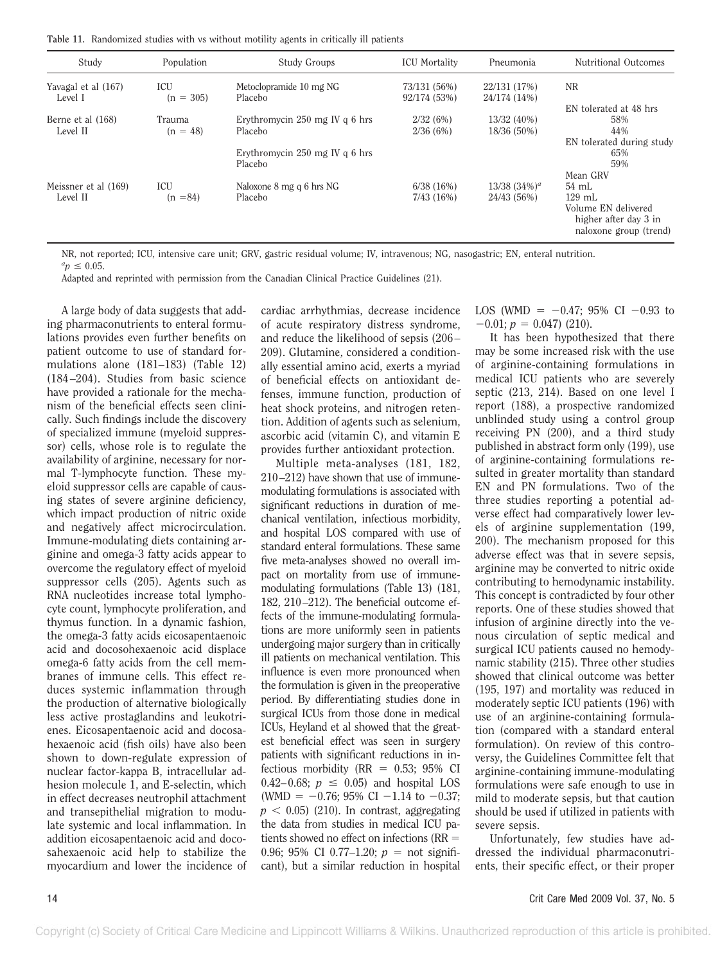**Table 11.** Randomized studies with vs without motility agents in critically ill patients

| Study                          | Population         | Study Groups                       | <b>ICU</b> Mortality         | Pneumonia                    | Nutritional Outcomes                                                   |
|--------------------------------|--------------------|------------------------------------|------------------------------|------------------------------|------------------------------------------------------------------------|
| Yavagal et al (167)<br>Level I | ICU<br>$(n = 305)$ | Metoclopramide 10 mg NG<br>Placebo | 73/131 (56%)<br>92/174 (53%) | 22/131 (17%)<br>24/174 (14%) | <b>NR</b>                                                              |
|                                |                    |                                    |                              |                              | EN tolerated at 48 hrs                                                 |
| Berne et al (168)              | Trauma             | Erythromycin $250$ mg IV q 6 hrs   | 2/32(6%)                     | 13/32 (40%)                  | 58%                                                                    |
| Level II                       | $(n = 48)$         | Placebo                            | 2/36(6%)                     | 18/36 (50%)                  | 44%                                                                    |
|                                |                    |                                    |                              |                              | EN tolerated during study                                              |
|                                |                    | Erythromycin $250$ mg IV q 6 hrs   |                              |                              | 65%                                                                    |
|                                |                    | Placebo                            |                              |                              | 59%                                                                    |
|                                |                    |                                    |                              |                              | Mean GRV                                                               |
| Meissner et al (169)           | ICU                | Naloxone 8 mg q 6 hrs NG           | 6/38(16%)                    | $13/38$ $(34\%)^a$           | 54 mL                                                                  |
| Level II                       | $(n = 84)$         | Placebo                            | 7/43(16%)                    | 24/43 (56%)                  | $129$ mL                                                               |
|                                |                    |                                    |                              |                              | Volume EN delivered<br>higher after day 3 in<br>naloxone group (trend) |

NR, not reported; ICU, intensive care unit; GRV, gastric residual volume; IV, intravenous; NG, nasogastric; EN, enteral nutrition.

 ${}^{a}p \leq 0.05$ .

Adapted and reprinted with permission from the Canadian Clinical Practice Guidelines (21).

A large body of data suggests that adding pharmaconutrients to enteral formulations provides even further benefits on patient outcome to use of standard formulations alone (181–183) (Table 12) (184 –204). Studies from basic science have provided a rationale for the mechanism of the beneficial effects seen clinically. Such findings include the discovery of specialized immune (myeloid suppressor) cells, whose role is to regulate the availability of arginine, necessary for normal T-lymphocyte function. These myeloid suppressor cells are capable of causing states of severe arginine deficiency, which impact production of nitric oxide and negatively affect microcirculation. Immune-modulating diets containing arginine and omega-3 fatty acids appear to overcome the regulatory effect of myeloid suppressor cells (205). Agents such as RNA nucleotides increase total lymphocyte count, lymphocyte proliferation, and thymus function. In a dynamic fashion, the omega-3 fatty acids eicosapentaenoic acid and docosohexaenoic acid displace omega-6 fatty acids from the cell membranes of immune cells. This effect reduces systemic inflammation through the production of alternative biologically less active prostaglandins and leukotrienes. Eicosapentaenoic acid and docosahexaenoic acid (fish oils) have also been shown to down-regulate expression of nuclear factor-kappa B, intracellular adhesion molecule 1, and E-selectin, which in effect decreases neutrophil attachment and transepithelial migration to modulate systemic and local inflammation. In addition eicosapentaenoic acid and docosahexaenoic acid help to stabilize the myocardium and lower the incidence of

cardiac arrhythmias, decrease incidence of acute respiratory distress syndrome, and reduce the likelihood of sepsis (206 – 209). Glutamine, considered a conditionally essential amino acid, exerts a myriad of beneficial effects on antioxidant defenses, immune function, production of heat shock proteins, and nitrogen retention. Addition of agents such as selenium, ascorbic acid (vitamin C), and vitamin E provides further antioxidant protection.

Multiple meta-analyses (181, 182, 210 –212) have shown that use of immunemodulating formulations is associated with significant reductions in duration of mechanical ventilation, infectious morbidity, and hospital LOS compared with use of standard enteral formulations. These same five meta-analyses showed no overall impact on mortality from use of immunemodulating formulations (Table 13) (181, 182, 210 –212). The beneficial outcome effects of the immune-modulating formulations are more uniformly seen in patients undergoing major surgery than in critically ill patients on mechanical ventilation. This influence is even more pronounced when the formulation is given in the preoperative period. By differentiating studies done in surgical ICUs from those done in medical ICUs, Heyland et al showed that the greatest beneficial effect was seen in surgery patients with significant reductions in infectious morbidity ( $RR = 0.53$ ; 95% CI  $0.42 - 0.68$ ;  $p \le 0.05$ ) and hospital LOS (WMD =  $-0.76$ ; 95% CI  $-1.14$  to  $-0.37$ ;  $p < 0.05$  (210). In contrast, aggregating the data from studies in medical ICU patients showed no effect on infections (RR 0.96; 95% CI 0.77-1.20;  $p =$  not significant), but a similar reduction in hospital LOS (WMD =  $-0.47$ ; 95% CI  $-0.93$  to  $-0.01; p = 0.047$  (210).

It has been hypothesized that there may be some increased risk with the use of arginine-containing formulations in medical ICU patients who are severely septic (213, 214). Based on one level I report (188), a prospective randomized unblinded study using a control group receiving PN (200), and a third study published in abstract form only (199), use of arginine-containing formulations resulted in greater mortality than standard EN and PN formulations. Two of the three studies reporting a potential adverse effect had comparatively lower levels of arginine supplementation (199, 200). The mechanism proposed for this adverse effect was that in severe sepsis, arginine may be converted to nitric oxide contributing to hemodynamic instability. This concept is contradicted by four other reports. One of these studies showed that infusion of arginine directly into the venous circulation of septic medical and surgical ICU patients caused no hemodynamic stability (215). Three other studies showed that clinical outcome was better (195, 197) and mortality was reduced in moderately septic ICU patients (196) with use of an arginine-containing formulation (compared with a standard enteral formulation). On review of this controversy, the Guidelines Committee felt that arginine-containing immune-modulating formulations were safe enough to use in mild to moderate sepsis, but that caution should be used if utilized in patients with severe sepsis.

Unfortunately, few studies have addressed the individual pharmaconutrients, their specific effect, or their proper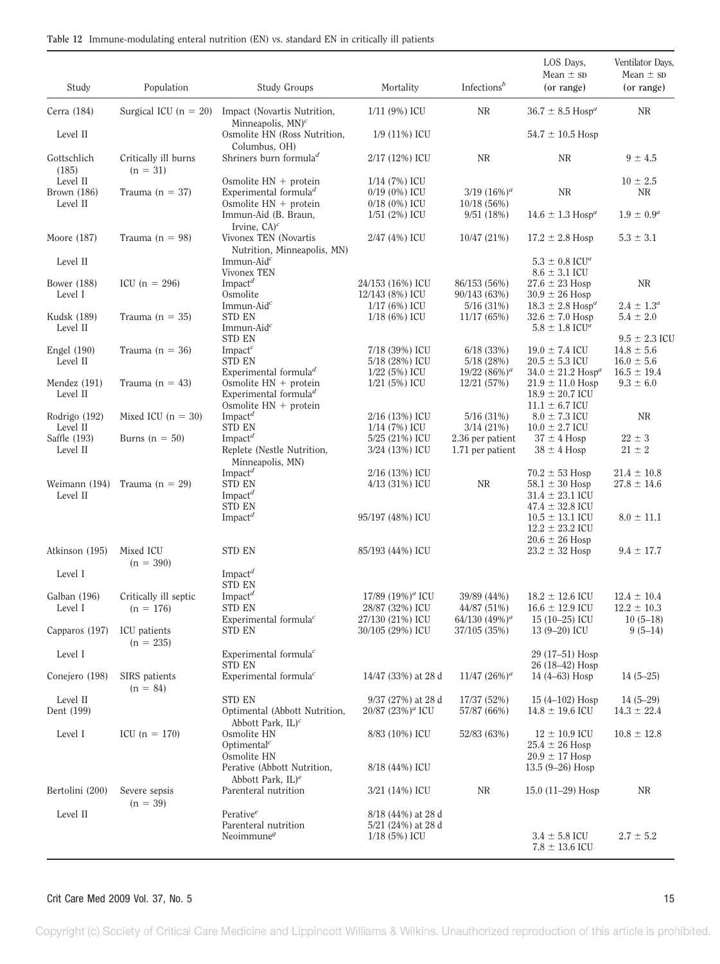|  | Table 12 Immune-modulating enteral nutrition (EN) vs. standard EN in critically ill patients |  |  |  |  |  |  |  |  |  |
|--|----------------------------------------------------------------------------------------------|--|--|--|--|--|--|--|--|--|
|--|----------------------------------------------------------------------------------------------|--|--|--|--|--|--|--|--|--|

| Study                     | Population                           | Study Groups                                                                | Mortality                                     | Infections <sup>b</sup>          | LOS Days,<br>Mean $\pm$ sp<br>(or range)   | Ventilator Days,<br>Mean $\pm$ sp<br>(or range) |
|---------------------------|--------------------------------------|-----------------------------------------------------------------------------|-----------------------------------------------|----------------------------------|--------------------------------------------|-------------------------------------------------|
| Cerra (184)               | Surgical ICU ( $n = 20$ )            | Impact (Novartis Nutrition,<br>Minneapolis, $MN$ <sup>c</sup>               | $1/11$ (9%) ICU                               | <b>NR</b>                        | $36.7 \pm 8.5$ Hosp <sup>a</sup>           | NR                                              |
| Level II                  |                                      | Osmolite HN (Ross Nutrition,<br>Columbus, OH)                               | $1/9$ (11%) ICU                               |                                  | $54.7 \pm 10.5$ Hosp                       |                                                 |
| Gottschlich<br>(185)      | Critically ill burns<br>$(n = 31)$   | Shriners burn formula <sup>d</sup>                                          | 2/17 (12%) ICU                                | <b>NR</b>                        | <b>NR</b>                                  | $9 \pm 4.5$                                     |
| Level II                  |                                      | Osmolite $HN + protein$                                                     | $1/14$ (7%) ICU                               |                                  |                                            | $10 \pm 2.5$                                    |
| Brown $(186)$<br>Level II | Trauma $(n = 37)$                    | Experimental formula <sup><math>d</math></sup><br>Osmolite $HN + protein$   | $0/19$ (0%) ICU<br>$0/18$ (0%) ICU            | $3/19$ $(16\%)^a$<br>10/18 (56%) | NR                                         | NR                                              |
|                           |                                      | Immun-Aid (B. Braun,<br>Irvine, $CA)^c$                                     | $1/51$ (2%) ICU                               | 9/51(18%)                        | $14.6 \pm 1.3$ Hosp <sup>a</sup>           | $1.9 \pm 0.9^a$                                 |
| Moore $(187)$             | Trauma $(n = 98)$                    | Vivonex TEN (Novartis<br>Nutrition, Minneapolis, MN)                        | 2/47 (4%) ICU                                 | 10/47(21%)                       | $17.2 \pm 2.8$ Hosp                        | $5.3 \pm 3.1$                                   |
| Level II                  |                                      | Immun-Aid $^c$                                                              |                                               |                                  | $5.3 \pm 0.8$ ICU <sup>a</sup>             |                                                 |
| Bower (188)               | ICU $(n = 296)$                      | Vivonex TEN<br>Impact <sup><math>d</math></sup>                             | 24/153 (16%) ICU                              | 86/153 (56%)                     | $8.6 \pm 3.1$ ICU<br>$27.6 \pm 23$ Hosp    | NR                                              |
| Level I                   |                                      | Osmolite                                                                    | 12/143 (8%) ICU                               | 90/143 (63%)                     | $30.9 \pm 26$ Hosp                         |                                                 |
|                           |                                      | Immun-Aid $c$                                                               | $1/17(6%)$ ICU                                | 5/16(31%)                        | $18.3 \pm 2.8$ Hosp <sup>a</sup>           | $2.4 \pm 1.3^a$                                 |
| Kudsk (189)               | Trauma $(n = 35)$                    | <b>STD EN</b>                                                               | $1/18(6%)$ ICU                                | 11/17 (65%)                      | $32.6 \pm 7.0$ Hosp                        | $5.4 \pm 2.0$                                   |
| Level II                  |                                      | Immun-Aid <sup>c</sup>                                                      |                                               |                                  | $5.8 \pm 1.8$ ICU <sup>a</sup>             |                                                 |
| Engel $(190)$             | Trauma $(n = 36)$                    | <b>STD EN</b><br>Impact <sup><math>c</math></sup>                           | 7/18 (39%) ICU                                | 6/18(33%)                        | $19.0 \pm 7.4$ ICU                         | $9.5 \pm 2.3$ ICU<br>$14.8 \pm 5.6$             |
| Level II                  |                                      | <b>STD EN</b>                                                               | 5/18 (28%) ICU                                | 5/18(28%)                        | $20.5\,\pm\,5.3$ ICU                       | $16.0 \pm 5.6$                                  |
|                           |                                      | Experimental formula <sup><math>d</math></sup>                              | $1/22(5%)$ ICU                                | $19/22$ $(86\%)^a$               | $34.0 \pm 21.2$ Hosp <sup>a</sup>          | $16.5 \pm 19.4$                                 |
| Mendez (191)              | Trauma $(n = 43)$                    | Osmolite $HN + protein$                                                     | $1/21(5%)$ ICU                                | 12/21 (57%)                      | $21.9 \pm 11.0$ Hosp                       | $9.3 \pm 6.0$                                   |
| Level II                  |                                      | Experimental formula $d$                                                    |                                               |                                  | $18.9 \pm 20.7$ ICU                        |                                                 |
|                           |                                      | Osmolite $HN + protein$                                                     |                                               |                                  | $11.1 \pm 6.7$ ICU                         |                                                 |
| Rodrigo (192)<br>Level II | Mixed ICU $(n = 30)$                 | Impact <sup><math>d</math></sup><br><b>STD EN</b>                           | 2/16 (13%) ICU<br>$1/14$ (7%) ICU             | 5/16(31%)<br>3/14(21%)           | $8.0 \pm 7.3$ ICU<br>$10.0 \pm 2.7$ ICU    | NR                                              |
| Saffle (193)              | Burns ( $n = 50$ )                   | Impact <sup><math>d</math></sup>                                            | 5/25 (21%) ICU                                | 2.36 per patient                 | $37 \pm 4$ Hosp                            | $22 \pm 3$                                      |
| Level II                  |                                      | Replete (Nestle Nutrition,<br>Minneapolis, MN)                              | 3/24 (13%) ICU                                | 1.71 per patient                 | $38 \pm 4$ Hosp                            | $21 \pm 2$                                      |
|                           |                                      | Impact <sup><math>d</math></sup>                                            | $2/16$ (13%) ICU                              |                                  | $70.2 \pm 53$ Hosp                         | $21.4 \pm 10.8$                                 |
| Weimann (194)             | Trauma $(n = 29)$                    | <b>STD EN</b>                                                               | 4/13 (31%) ICU                                | NR                               | $58.1 \pm 30$ Hosp                         | $27.8 \pm 14.6$                                 |
| Level II                  |                                      | Impact <sup><math>d</math></sup>                                            |                                               |                                  | $31.4 \pm 23.1$ ICU                        |                                                 |
|                           |                                      | <b>STD EN</b><br>Impact <sup><math>d</math></sup>                           | 95/197 (48%) ICU                              |                                  | $47.4 \pm 32.8$ ICU<br>$10.5 \pm 13.1$ ICU | $8.0 \pm 11.1$                                  |
|                           |                                      |                                                                             |                                               |                                  | $12.2 \pm 23.2$ ICU                        |                                                 |
|                           |                                      |                                                                             |                                               |                                  | $20.6 \pm 26$ Hosp                         |                                                 |
| Atkinson (195)            | Mixed ICU<br>$(n = 390)$             | <b>STD EN</b>                                                               | 85/193 (44%) ICU                              |                                  | $23.2 \pm 32$ Hosp                         | $9.4 \pm 17.7$                                  |
| Level I                   |                                      | Impact <sup><math>d</math></sup>                                            |                                               |                                  |                                            |                                                 |
|                           |                                      | <b>STD EN</b>                                                               |                                               |                                  |                                            |                                                 |
| Galban (196)<br>Level I   | Critically ill septic<br>$(n = 176)$ | Impact <sup><math>d</math></sup><br>STD EN                                  | 17/89 $(19\%)^a$ ICU<br>28/87 (32%) ICU       | 39/89 (44%)<br>44/87 (51%)       | $18.2 \pm 12.6$ ICU<br>$16.6 \pm 12.9$ ICU | $12.4 \pm 10.4$<br>$12.2 \pm 10.3$              |
|                           |                                      | Experimental formula $c$                                                    | 27/130 (21%) ICU                              | $64/130$ $(49\%)^a$              | 15 (10-25) ICU                             | $10(5-18)$                                      |
| Capparos (197)            | ICU patients<br>$(n = 235)$          | STD EN                                                                      | 30/105 (29%) ICU                              | 37/105 (35%)                     | 13 (9-20) ICU                              | $9(5-14)$                                       |
| Level I                   |                                      | Experimental formula <sup>c</sup><br><b>STD EN</b>                          |                                               |                                  | 29 (17-51) Hosp<br>26 (18–42) Hosp         |                                                 |
| Conejero (198)            | SIRS patients<br>$(n = 84)$          | Experimental formula $c$                                                    | 14/47 (33%) at 28 d                           | $11/47$ $(26\%)^a$               | $14(4-63)$ Hosp                            | $14(5-25)$                                      |
| Level II<br>Dent (199)    |                                      | <b>STD EN</b><br>Optimental (Abbott Nutrition,                              | $9/37$ (27%) at 28 d<br>$20/87$ $(23%)^a$ ICU | 17/37 (52%)<br>57/87 (66%)       | $15(4-102)$ Hosp<br>$14.8 \pm 19.6$ ICU    | $14(5-29)$<br>$14.3 \pm 22.4$                   |
| Level I                   | ICU $(n = 170)$                      | Abbott Park, $IL)^c$<br>Osmolite HN<br>Optimental <sup><math>c</math></sup> | 8/83 (10%) ICU                                | 52/83 (63%)                      | $12 \pm 10.9$ ICU<br>$25.4 \pm 26$ Hosp    | $10.8 \pm 12.8$                                 |
|                           |                                      | Osmolite HN<br>Perative (Abbott Nutrition,                                  | 8/18 (44%) ICU                                |                                  | $20.9 \pm 17$ Hosp<br>$13.5(9-26)$ Hosp    |                                                 |
| Bertolini (200)           | Severe sepsis                        | Abbott Park, $IL)^e$<br>Parenteral nutrition                                | 3/21 (14%) ICU                                | <b>NR</b>                        | $15.0(11-29)$ Hosp                         | NR                                              |
| Level II                  | $(n = 39)$                           | Perative <sup>e</sup>                                                       | $8/18$ (44%) at 28 d                          |                                  |                                            |                                                 |
|                           |                                      | Parenteral nutrition<br>Neoimmune <sup>g</sup>                              | $5/21$ (24%) at 28 d<br>$1/18$ (5%) ICU       |                                  | $3.4 \pm 5.8$ ICU<br>$7.8 \pm 13.6$ ICU    | $2.7 \pm 5.2$                                   |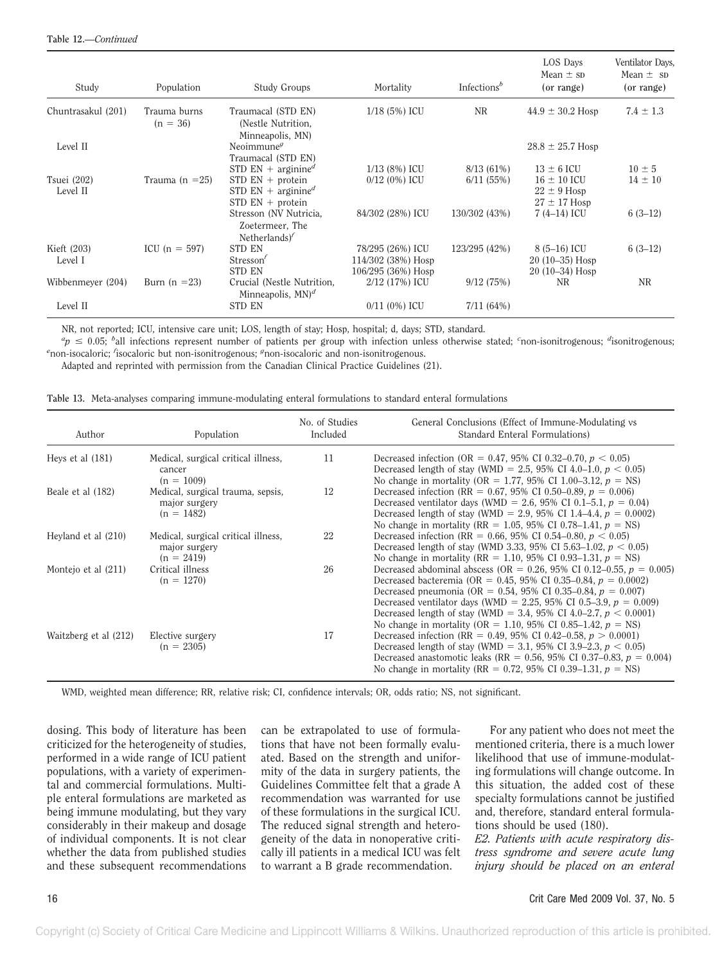| Study                   | Population                 | Study Groups                                                               | Mortality                                                    | Infections <sup>b</sup> | LOS Days<br>Mean $\pm$ sp<br>(or range)                | Ventilator Days,<br>Mean $\pm$ sp<br>(or range) |
|-------------------------|----------------------------|----------------------------------------------------------------------------|--------------------------------------------------------------|-------------------------|--------------------------------------------------------|-------------------------------------------------|
| Chuntrasakul (201)      | Trauma burns<br>$(n = 36)$ | Traumacal (STD EN)<br>(Nestle Nutrition,<br>Minneapolis, MN)               | $1/18$ (5%) ICU                                              | <b>NR</b>               | $44.9 \pm 30.2$ Hosp                                   | $7.4 \pm 1.3$                                   |
| Level II                |                            | Neoimmune $\mathcal{I}$<br>Traumacal (STD EN)                              |                                                              |                         | $28.8 \pm 25.7$ Hosp                                   |                                                 |
|                         |                            | STD EN + arginine <sup>d</sup>                                             | $1/13$ (8%) ICU                                              | $8/13(61\%)$            | $13 \pm 6$ ICU                                         | $10 \pm 5$                                      |
| Tsuei (202)<br>Level II | Trauma $(n = 25)$          | $STD EN + protein$<br>STD EN + arginine <sup>d</sup><br>$STD EN + protein$ | $0/12$ (0%) ICU                                              | 6/11(55%)               | $16 \pm 10$ ICU<br>$22 \pm 9$ Hosp<br>$27 \pm 17$ Hosp | $14 \pm 10$                                     |
|                         |                            | Stresson (NV Nutricia,<br>Zoetermeer, The<br>Netherlands $)'$              | 84/302 (28%) ICU                                             | 130/302 (43%)           | 7 (4–14) ICU                                           | $6(3-12)$                                       |
| Kieft (203)<br>Level I  | ICU $(n = 597)$            | <b>STD EN</b><br>Stresson'<br><b>STD EN</b>                                | 78/295 (26%) ICU<br>114/302 (38%) Hosp<br>106/295 (36%) Hosp | 123/295 (42%)           | $8(5-16)$ ICU<br>$20(10-35)$ Hosp<br>$20(10-34)$ Hosp  | $6(3-12)$                                       |
| Wibbenmeyer (204)       | Burn $(n = 23)$            | Crucial (Nestle Nutrition,<br>Minneapolis, $MN$ <sup>d</sup>               | 2/12 (17%) ICU                                               | 9/12(75%)               | <b>NR</b>                                              | NR                                              |
| Level II                |                            | <b>STD EN</b>                                                              | $0/11$ $(0%)$ ICU                                            | 7/11(64%)               |                                                        |                                                 |

NR, not reported; ICU, intensive care unit; LOS, length of stay; Hosp, hospital; d, days; STD, standard.

 $a_p \leq 0.05$ ; <sup>b</sup>all infections represent number of patients per group with infection unless otherwise stated; *c*hon-isonitrogenous; *d*isonitrogenous; <sup>e</sup>non-isocaloric; *f* isocaloric but non-isonitrogenous; <sup>g</sup>non-isocaloric and non-isonitrogenous.

Adapted and reprinted with permission from the Canadian Clinical Practice Guidelines (21).

|  |  |  | Table 13. Meta-analyses comparing immune-modulating enteral formulations to standard enteral formulations |  |  |  |  |  |
|--|--|--|-----------------------------------------------------------------------------------------------------------|--|--|--|--|--|
|--|--|--|-----------------------------------------------------------------------------------------------------------|--|--|--|--|--|

| Author                | Population                                                           | No. of Studies<br>Included | General Conclusions (Effect of Immune-Modulating vs.<br>Standard Enteral Formulations)                                                                                                                                                                                                                                                                                                                                              |
|-----------------------|----------------------------------------------------------------------|----------------------------|-------------------------------------------------------------------------------------------------------------------------------------------------------------------------------------------------------------------------------------------------------------------------------------------------------------------------------------------------------------------------------------------------------------------------------------|
| Heys et al $(181)$    | Medical, surgical critical illness,<br>cancer<br>$(n = 1009)$        | 11                         | Decreased infection (OR = 0.47, 95% CI 0.32–0.70, $p < 0.05$ )<br>Decreased length of stay (WMD = 2.5, 95% CI 4.0–1.0, $p < 0.05$ )<br>No change in mortality (OR = 1.77, 95% CI 1.00–3.12, $p = NS$ )                                                                                                                                                                                                                              |
| Beale et al (182)     | Medical, surgical trauma, sepsis,<br>major surgery<br>$(n = 1482)$   | 12                         | Decreased infection (RR = 0.67, 95% CI 0.50–0.89, $p = 0.006$ )<br>Decreased ventilator days (WMD = 2.6, 95% CI 0.1–5.1, $p = 0.04$ )<br>Decreased length of stay (WMD = 2.9, 95% CI 1.4–4.4, $p = 0.0002$ )<br>No change in mortality (RR = 1.05, 95% CI 0.78–1.41, $p = NS$ )                                                                                                                                                     |
| Heyland et al $(210)$ | Medical, surgical critical illness,<br>major surgery<br>$(n = 2419)$ | 22                         | Decreased infection (RR = $0.66$ , 95% CI 0.54–0.80, $p < 0.05$ )<br>Decreased length of stay (WMD 3.33, 95% CI 5.63–1.02, $p < 0.05$ )<br>No change in mortality (RR = 1.10, 95% CI 0.93–1.31, $p = NS$ )                                                                                                                                                                                                                          |
| Montejo et al (211)   | Critical illness<br>$(n = 1270)$                                     | 26                         | Decreased abdominal abscess (OR = 0.26, 95% CI 0.12–0.55, $p = 0.005$ )<br>Decreased bacteremia (OR = $0.45,95\%$ CI 0.35–0.84, $p = 0.0002$ )<br>Decreased pneumonia (OR = 0.54, 95% CI 0.35–0.84, $p = 0.007$ )<br>Decreased ventilator days (WMD = 2.25, 95% CI 0.5–3.9, $p = 0.009$ )<br>Decreased length of stay (WMD = 3.4, 95% CI 4.0–2.7, $p < 0.0001$ )<br>No change in mortality (OR = 1.10, 95% CI 0.85–1.42, $p = NS$ ) |
| Waitzberg et al (212) | Elective surgery<br>$(n = 2305)$                                     | 17                         | Decreased infection (RR = 0.49, 95% CI 0.42–0.58, $p > 0.0001$ )<br>Decreased length of stay (WMD = 3.1, 95% CI 3.9–2.3, $p < 0.05$ )<br>Decreased anastomotic leaks (RR = $0.56$ , 95% CI 0.37–0.83, $p = 0.004$ )<br>No change in mortality (RR = 0.72, 95% CI 0.39–1.31, $p = NS$ )                                                                                                                                              |

WMD, weighted mean difference; RR, relative risk; CI, confidence intervals; OR, odds ratio; NS, not significant.

dosing. This body of literature has been criticized for the heterogeneity of studies, performed in a wide range of ICU patient populations, with a variety of experimental and commercial formulations. Multiple enteral formulations are marketed as being immune modulating, but they vary considerably in their makeup and dosage of individual components. It is not clear whether the data from published studies and these subsequent recommendations

can be extrapolated to use of formulations that have not been formally evaluated. Based on the strength and uniformity of the data in surgery patients, the Guidelines Committee felt that a grade A recommendation was warranted for use of these formulations in the surgical ICU. The reduced signal strength and heterogeneity of the data in nonoperative critically ill patients in a medical ICU was felt to warrant a B grade recommendation.

For any patient who does not meet the mentioned criteria, there is a much lower likelihood that use of immune-modulating formulations will change outcome. In this situation, the added cost of these specialty formulations cannot be justified and, therefore, standard enteral formulations should be used (180).

*E2. Patients with acute respiratory distress syndrome and severe acute lung injury should be placed on an enteral*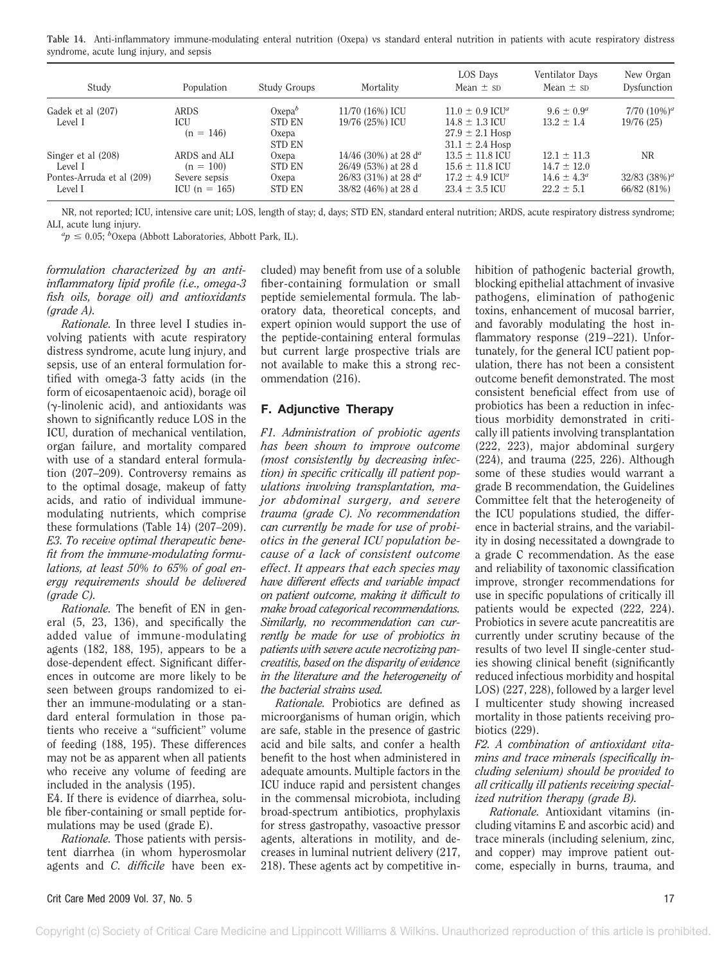**Table 14.** Anti-inflammatory immune-modulating enteral nutrition (Oxepa) vs standard enteral nutrition in patients with acute respiratory distress syndrome, acute lung injury, and sepsis

| Study                                | Population                       | Study Groups              | Mortality                                      | LOS Days<br>Mean $\pm$ sp                                        | Ventilator Days<br>Mean $\pm$ sp         | New Organ<br>Dysfunction          |
|--------------------------------------|----------------------------------|---------------------------|------------------------------------------------|------------------------------------------------------------------|------------------------------------------|-----------------------------------|
| Gadek et al (207)                    | <b>ARDS</b>                      | $Oxepa^b$                 | 11/70 (16%) ICU                                | $11.0 \pm 0.9$ ICU <sup><math>a</math></sup>                     | $9.6 \pm 0.9^a$                          | $7/70~(10\%)^a$                   |
| Level I                              | ICU<br>$(n = 146)$               | STD EN<br>Oxepa<br>STD EN | 19/76 (25%) ICU                                | $14.8 \pm 1.3$ ICU<br>$27.9 \pm 2.1$ Hosp<br>$31.1 \pm 2.4$ Hosp | $13.2 \pm 1.4$                           | 19/76 (25)                        |
| Singer et al (208)<br>Level I        | ARDS and ALI<br>$(n = 100)$      | Oxepa<br>STD EN           | 14/46 (30%) at 28 $d^a$<br>26/49 (53%) at 28 d | $13.5 \pm 11.8$ ICU<br>$15.6 \pm 11.8$ ICU                       | $12.1 \pm 11.3$<br>$14.7 \pm 12.0$       | NR                                |
| Pontes-Arruda et al (209)<br>Level I | Severe sepsis<br>ICU $(n = 165)$ | Oxepa<br>STD EN           | 26/83 (31%) at 28 $d^a$<br>38/82 (46%) at 28 d | $17.2 \pm 4.9$ ICU <sup>a</sup><br>$23.4 \pm 3.5$ ICU            | $14.6 \pm 4.3^{\circ}$<br>$22.2 \pm 5.1$ | $32/83$ $(38\%)^a$<br>66/82 (81%) |

NR, not reported; ICU, intensive care unit; LOS, length of stay; d, days; STD EN, standard enteral nutrition; ARDS, acute respiratory distress syndrome; ALI, acute lung injury.

 $a_p \leq 0.05$ ; <sup>*b*</sup>Oxepa (Abbott Laboratories, Abbott Park, IL).

### *formulation characterized by an antiinflammatory lipid profile (i.e., omega-3 fish oils, borage oil) and antioxidants (grade A).*

*Rationale.* In three level I studies involving patients with acute respiratory distress syndrome, acute lung injury, and sepsis, use of an enteral formulation fortified with omega-3 fatty acids (in the form of eicosapentaenoic acid), borage oil  $(\gamma$ -linolenic acid), and antioxidants was shown to significantly reduce LOS in the ICU, duration of mechanical ventilation, organ failure, and mortality compared with use of a standard enteral formulation (207–209). Controversy remains as to the optimal dosage, makeup of fatty acids, and ratio of individual immunemodulating nutrients, which comprise these formulations (Table 14) (207–209). *E3. To receive optimal therapeutic benefit from the immune-modulating formulations, at least 50% to 65% of goal energy requirements should be delivered (grade C).*

*Rationale.* The benefit of EN in general (5, 23, 136), and specifically the added value of immune-modulating agents (182, 188, 195), appears to be a dose-dependent effect. Significant differences in outcome are more likely to be seen between groups randomized to either an immune-modulating or a standard enteral formulation in those patients who receive a "sufficient" volume of feeding (188, 195). These differences may not be as apparent when all patients who receive any volume of feeding are included in the analysis (195).

E4. If there is evidence of diarrhea, soluble fiber-containing or small peptide formulations may be used (grade E).

*Rationale.* Those patients with persistent diarrhea (in whom hyperosmolar agents and *C. difficile* have been ex-

cluded) may benefit from use of a soluble fiber-containing formulation or small peptide semielemental formula. The laboratory data, theoretical concepts, and expert opinion would support the use of the peptide-containing enteral formulas but current large prospective trials are not available to make this a strong recommendation (216).

# **F. Adjunctive Therapy**

*F1. Administration of probiotic agents has been shown to improve outcome (most consistently by decreasing infection) in specific critically ill patient populations involving transplantation, major abdominal surgery, and severe trauma (grade C). No recommendation can currently be made for use of probiotics in the general ICU population because of a lack of consistent outcome effect. It appears that each species may have different effects and variable impact on patient outcome, making it difficult to make broad categorical recommendations. Similarly, no recommendation can currently be made for use of probiotics in patients with severe acute necrotizing pancreatitis, based on the disparity of evidence in the literature and the heterogeneity of the bacterial strains used.*

*Rationale.* Probiotics are defined as microorganisms of human origin, which are safe, stable in the presence of gastric acid and bile salts, and confer a health benefit to the host when administered in adequate amounts. Multiple factors in the ICU induce rapid and persistent changes in the commensal microbiota, including broad-spectrum antibiotics, prophylaxis for stress gastropathy, vasoactive pressor agents, alterations in motility, and decreases in luminal nutrient delivery (217, 218). These agents act by competitive inhibition of pathogenic bacterial growth, blocking epithelial attachment of invasive pathogens, elimination of pathogenic toxins, enhancement of mucosal barrier, and favorably modulating the host inflammatory response (219–221). Unfortunately, for the general ICU patient population, there has not been a consistent outcome benefit demonstrated. The most consistent beneficial effect from use of probiotics has been a reduction in infectious morbidity demonstrated in critically ill patients involving transplantation (222, 223), major abdominal surgery (224), and trauma (225, 226). Although some of these studies would warrant a grade B recommendation, the Guidelines Committee felt that the heterogeneity of the ICU populations studied, the difference in bacterial strains, and the variability in dosing necessitated a downgrade to a grade C recommendation. As the ease and reliability of taxonomic classification improve, stronger recommendations for use in specific populations of critically ill patients would be expected (222, 224). Probiotics in severe acute pancreatitis are currently under scrutiny because of the results of two level II single-center studies showing clinical benefit (significantly reduced infectious morbidity and hospital LOS) (227, 228), followed by a larger level I multicenter study showing increased mortality in those patients receiving probiotics (229).

*F2. A combination of antioxidant vitamins and trace minerals (specifically including selenium) should be provided to all critically ill patients receiving specialized nutrition therapy (grade B).*

*Rationale.* Antioxidant vitamins (including vitamins E and ascorbic acid) and trace minerals (including selenium, zinc, and copper) may improve patient outcome, especially in burns, trauma, and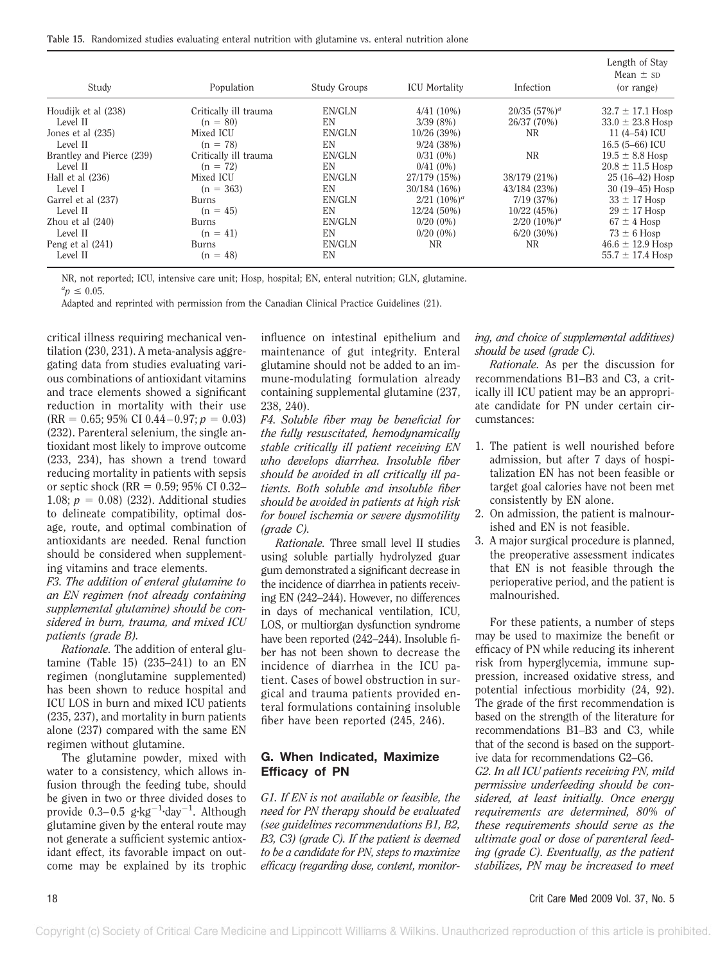|  | Table 15. Randomized studies evaluating enteral nutrition with glutamine vs. enteral nutrition alone |  |  |  |  |  |  |  |  |  |  |
|--|------------------------------------------------------------------------------------------------------|--|--|--|--|--|--|--|--|--|--|
|--|------------------------------------------------------------------------------------------------------|--|--|--|--|--|--|--|--|--|--|

| Study                                                                                                                                                                                                                                  | Population                                                                                                                                                                               | Study Groups                                                                                           | <b>ICU</b> Mortality                                                                                                                                                                        | Infection                                                                                                                                                        | Length of Stay<br>Mean $\pm$ sp<br>(or range)                                                                                                                                                                                                                                   |
|----------------------------------------------------------------------------------------------------------------------------------------------------------------------------------------------------------------------------------------|------------------------------------------------------------------------------------------------------------------------------------------------------------------------------------------|--------------------------------------------------------------------------------------------------------|---------------------------------------------------------------------------------------------------------------------------------------------------------------------------------------------|------------------------------------------------------------------------------------------------------------------------------------------------------------------|---------------------------------------------------------------------------------------------------------------------------------------------------------------------------------------------------------------------------------------------------------------------------------|
| Houdijk et al (238)<br>Level II<br>Jones et al $(235)$<br>Level II<br>Brantley and Pierce (239)<br>Level II<br>Hall et al $(236)$<br>Level I<br>Garrel et al (237)<br>Level II<br>Zhou et al $(240)$<br>Level II<br>Peng et al $(241)$ | Critically ill trauma<br>$(n = 80)$<br>Mixed ICU<br>$(n = 78)$<br>Critically ill trauma<br>$(n = 72)$<br>Mixed ICU<br>$(n = 363)$<br>Burns<br>$(n = 45)$<br>Burns<br>$(n = 41)$<br>Burns | EN/GLN<br>EN<br>EN/GLN<br>EN<br>EN/GLN<br>EN<br>EN/GLN<br>EN<br>EN/GLN<br>ΕN<br>EN/GLN<br>EN<br>EN/GLN | $4/41(10\%)$<br>3/39(8%)<br>10/26 (39%)<br>9/24(38%)<br>$0/31(0\%)$<br>$0/41(0\%)$<br>27/179 (15%)<br>30/184 (16%)<br>$2/21$ $(10\%)^a$<br>12/24 (50%)<br>$0/20(0\%)$<br>$0/20(0\%)$<br>NR. | $20/35$ $(57%)^a$<br>26/37 (70%)<br><b>NR</b><br><b>NR</b><br>38/179 (21%)<br>43/184 (23%)<br>7/19(37%)<br>10/22(45%)<br>$2/20$ $(10\%)^a$<br>$6/20(30\%)$<br>NR | $32.7 \pm 17.1$ Hosp<br>$33.0 \pm 23.8$ Hosp<br>$11(4-54)$ ICU<br>$16.5(5-66)$ ICU<br>$19.5 \pm 8.8$ Hosp<br>$20.8 \pm 11.5$ Hosp<br>$25(16-42)$ Hosp<br>$30(19-45)$ Hosp<br>$33 \pm 17$ Hosp<br>$29 \pm 17$ Hosp<br>$67 \pm 4$ Hosp<br>$73 \pm 6$ Hosp<br>$46.6 \pm 12.9$ Hosp |
| Level II                                                                                                                                                                                                                               | $(n = 48)$                                                                                                                                                                               | EN                                                                                                     |                                                                                                                                                                                             |                                                                                                                                                                  | $55.7 \pm 17.4$ Hosp                                                                                                                                                                                                                                                            |

NR, not reported; ICU, intensive care unit; Hosp, hospital; EN, enteral nutrition; GLN, glutamine.

 ${}^{a}p \leq 0.05$ .

Adapted and reprinted with permission from the Canadian Clinical Practice Guidelines (21).

critical illness requiring mechanical ventilation (230, 231). A meta-analysis aggregating data from studies evaluating various combinations of antioxidant vitamins and trace elements showed a significant reduction in mortality with their use  $(RR = 0.65; 95\% \text{ CI } 0.44 - 0.97; p = 0.03)$ (232). Parenteral selenium, the single antioxidant most likely to improve outcome (233, 234), has shown a trend toward reducing mortality in patients with sepsis or septic shock (RR =  $0.59$ ; 95% CI 0.32– 1.08;  $p = 0.08$ ) (232). Additional studies to delineate compatibility, optimal dosage, route, and optimal combination of antioxidants are needed. Renal function should be considered when supplementing vitamins and trace elements.

*F3. The addition of enteral glutamine to an EN regimen (not already containing supplemental glutamine) should be considered in burn, trauma, and mixed ICU patients (grade B).*

*Rationale.* The addition of enteral glutamine (Table 15) (235–241) to an EN regimen (nonglutamine supplemented) has been shown to reduce hospital and ICU LOS in burn and mixed ICU patients (235, 237), and mortality in burn patients alone (237) compared with the same EN regimen without glutamine.

The glutamine powder, mixed with water to a consistency, which allows infusion through the feeding tube, should be given in two or three divided doses to provide  $0.3-0.5$  g·kg<sup>-1</sup>·day<sup>-1</sup>. Although glutamine given by the enteral route may not generate a sufficient systemic antioxidant effect, its favorable impact on outcome may be explained by its trophic influence on intestinal epithelium and maintenance of gut integrity. Enteral glutamine should not be added to an immune-modulating formulation already containing supplemental glutamine (237, 238, 240).

*F4. Soluble fiber may be beneficial for the fully resuscitated, hemodynamically stable critically ill patient receiving EN who develops diarrhea. Insoluble fiber should be avoided in all critically ill patients. Both soluble and insoluble fiber should be avoided in patients at high risk for bowel ischemia or severe dysmotility (grade C).*

*Rationale.* Three small level II studies using soluble partially hydrolyzed guar gum demonstrated a significant decrease in the incidence of diarrhea in patients receiving EN (242–244). However, no differences in days of mechanical ventilation, ICU, LOS, or multiorgan dysfunction syndrome have been reported (242–244). Insoluble fiber has not been shown to decrease the incidence of diarrhea in the ICU patient. Cases of bowel obstruction in surgical and trauma patients provided enteral formulations containing insoluble fiber have been reported (245, 246).

# **G. When Indicated, Maximize Efficacy of PN**

*G1. If EN is not available or feasible, the need for PN therapy should be evaluated (see guidelines recommendations B1, B2, B3, C3) (grade C). If the patient is deemed to be a candidate for PN, steps to maximize efficacy (regarding dose, content, monitor-*

### *ing, and choice of supplemental additives) should be used (grade C).*

*Rationale.* As per the discussion for recommendations B1–B3 and C3, a critically ill ICU patient may be an appropriate candidate for PN under certain circumstances:

- 1. The patient is well nourished before admission, but after 7 days of hospitalization EN has not been feasible or target goal calories have not been met consistently by EN alone.
- 2. On admission, the patient is malnourished and EN is not feasible.
- 3. A major surgical procedure is planned, the preoperative assessment indicates that EN is not feasible through the perioperative period, and the patient is malnourished.

For these patients, a number of steps may be used to maximize the benefit or efficacy of PN while reducing its inherent risk from hyperglycemia, immune suppression, increased oxidative stress, and potential infectious morbidity (24, 92). The grade of the first recommendation is based on the strength of the literature for recommendations B1–B3 and C3, while that of the second is based on the supportive data for recommendations G2–G6. *G2. In all ICU patients receiving PN, mild permissive underfeeding should be considered, at least initially. Once energy requirements are determined, 80% of these requirements should serve as the ultimate goal or dose of parenteral feeding (grade C). Eventually, as the patient stabilizes, PN may be increased to meet*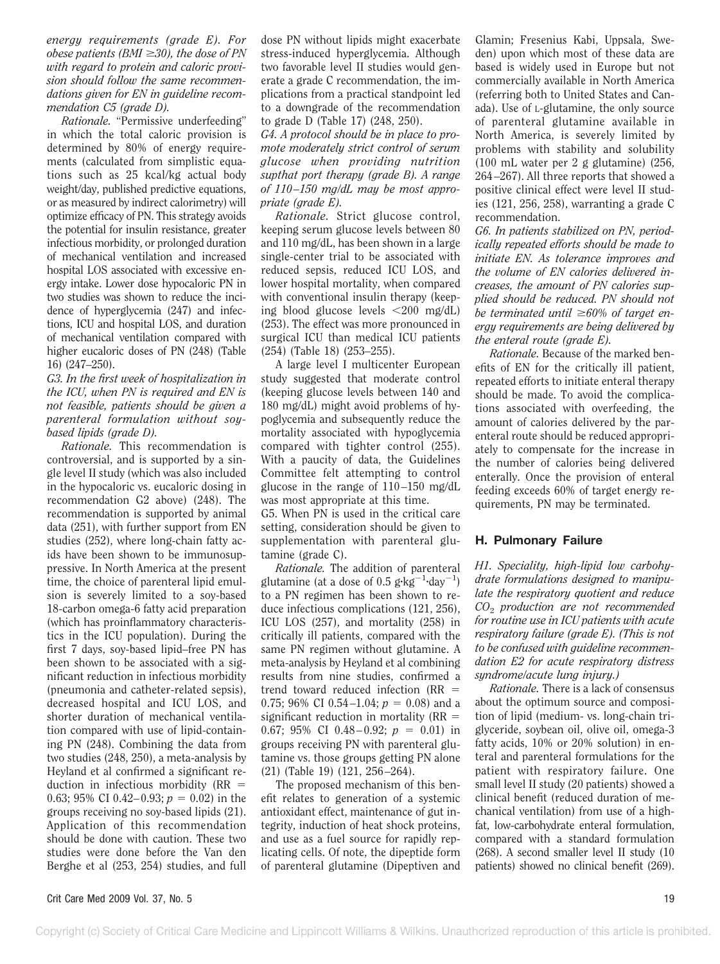*energy requirements (grade E). For obese patients (BMI 30), the dose of PN with regard to protein and caloric provision should follow the same recommendations given for EN in guideline recommendation C5 (grade D).*

*Rationale.* "Permissive underfeeding" in which the total caloric provision is determined by 80% of energy requirements (calculated from simplistic equations such as 25 kcal/kg actual body weight/day, published predictive equations, or as measured by indirect calorimetry) will optimize efficacy of PN. This strategy avoids the potential for insulin resistance, greater infectious morbidity, or prolonged duration of mechanical ventilation and increased hospital LOS associated with excessive energy intake. Lower dose hypocaloric PN in two studies was shown to reduce the incidence of hyperglycemia (247) and infections, ICU and hospital LOS, and duration of mechanical ventilation compared with higher eucaloric doses of PN (248) (Table 16) (247–250).

*G3. In the first week of hospitalization in the ICU, when PN is required and EN is not feasible, patients should be given a parenteral formulation without soybased lipids (grade D).*

*Rationale.* This recommendation is controversial, and is supported by a single level II study (which was also included in the hypocaloric vs. eucaloric dosing in recommendation G2 above) (248). The recommendation is supported by animal data (251), with further support from EN studies (252), where long-chain fatty acids have been shown to be immunosuppressive. In North America at the present time, the choice of parenteral lipid emulsion is severely limited to a soy-based 18-carbon omega-6 fatty acid preparation (which has proinflammatory characteristics in the ICU population). During the first 7 days, soy-based lipid–free PN has been shown to be associated with a significant reduction in infectious morbidity (pneumonia and catheter-related sepsis), decreased hospital and ICU LOS, and shorter duration of mechanical ventilation compared with use of lipid-containing PN (248). Combining the data from two studies (248, 250), a meta-analysis by Heyland et al confirmed a significant reduction in infectious morbidity (RR 0.63; 95% CI 0.42–0.93;  $p = 0.02$ ) in the groups receiving no soy-based lipids (21). Application of this recommendation should be done with caution. These two studies were done before the Van den Berghe et al (253, 254) studies, and full

dose PN without lipids might exacerbate stress-induced hyperglycemia. Although two favorable level II studies would generate a grade C recommendation, the implications from a practical standpoint led to a downgrade of the recommendation to grade D (Table 17) (248, 250).

*G4. A protocol should be in place to promote moderately strict control of serum glucose when providing nutrition supthat port therapy (grade B). A range of 110 –150 mg/dL may be most appropriate (grade E).*

*Rationale.* Strict glucose control, keeping serum glucose levels between 80 and 110 mg/dL, has been shown in a large single-center trial to be associated with reduced sepsis, reduced ICU LOS, and lower hospital mortality, when compared with conventional insulin therapy (keeping blood glucose levels  $\langle 200 \rangle$  mg/dL) (253). The effect was more pronounced in surgical ICU than medical ICU patients (254) (Table 18) (253–255).

A large level I multicenter European study suggested that moderate control (keeping glucose levels between 140 and 180 mg/dL) might avoid problems of hypoglycemia and subsequently reduce the mortality associated with hypoglycemia compared with tighter control (255). With a paucity of data, the Guidelines Committee felt attempting to control glucose in the range of  $110 - 150$  mg/dL was most appropriate at this time.

G5. When PN is used in the critical care setting, consideration should be given to supplementation with parenteral glutamine (grade C).

*Rationale.* The addition of parenteral glutamine (at a dose of  $0.5$  g·kg<sup>-1</sup>·day<sup>-1</sup>) to a PN regimen has been shown to reduce infectious complications (121, 256), ICU LOS (257), and mortality (258) in critically ill patients, compared with the same PN regimen without glutamine. A meta-analysis by Heyland et al combining results from nine studies, confirmed a trend toward reduced infection (RR 0.75; 96% CI 0.54 $-1.04$ ;  $p = 0.08$ ) and a significant reduction in mortality  $(RR =$ 0.67; 95% CI 0.48 – 0.92;  $p = 0.01$  in groups receiving PN with parenteral glutamine vs. those groups getting PN alone (21) (Table 19) (121, 256 –264).

The proposed mechanism of this benefit relates to generation of a systemic antioxidant effect, maintenance of gut integrity, induction of heat shock proteins, and use as a fuel source for rapidly replicating cells. Of note, the dipeptide form of parenteral glutamine (Dipeptiven and Glamin; Fresenius Kabi, Uppsala, Sweden) upon which most of these data are based is widely used in Europe but not commercially available in North America (referring both to United States and Canada). Use of L-glutamine, the only source of parenteral glutamine available in North America, is severely limited by problems with stability and solubility (100 mL water per 2 g glutamine) (256, 264 –267). All three reports that showed a positive clinical effect were level II studies (121, 256, 258), warranting a grade C recommendation.

*G6. In patients stabilized on PN, periodically repeated efforts should be made to initiate EN. As tolerance improves and the volume of EN calories delivered increases, the amount of PN calories supplied should be reduced. PN should not be terminated until 60% of target energy requirements are being delivered by the enteral route (grade E).*

*Rationale.* Because of the marked benefits of EN for the critically ill patient, repeated efforts to initiate enteral therapy should be made. To avoid the complications associated with overfeeding, the amount of calories delivered by the parenteral route should be reduced appropriately to compensate for the increase in the number of calories being delivered enterally. Once the provision of enteral feeding exceeds 60% of target energy requirements, PN may be terminated.

### **H. Pulmonary Failure**

*H1. Speciality, high-lipid low carbohydrate formulations designed to manipulate the respiratory quotient and reduce CO*<sup>2</sup> *production are not recommended for routine use in ICU patients with acute respiratory failure (grade E). (This is not to be confused with guideline recommendation E2 for acute respiratory distress syndrome/acute lung injury.)*

*Rationale.* There is a lack of consensus about the optimum source and composition of lipid (medium- vs. long-chain triglyceride, soybean oil, olive oil, omega-3 fatty acids, 10% or 20% solution) in enteral and parenteral formulations for the patient with respiratory failure. One small level II study (20 patients) showed a clinical benefit (reduced duration of mechanical ventilation) from use of a highfat, low-carbohydrate enteral formulation, compared with a standard formulation (268). A second smaller level II study (10 patients) showed no clinical benefit (269).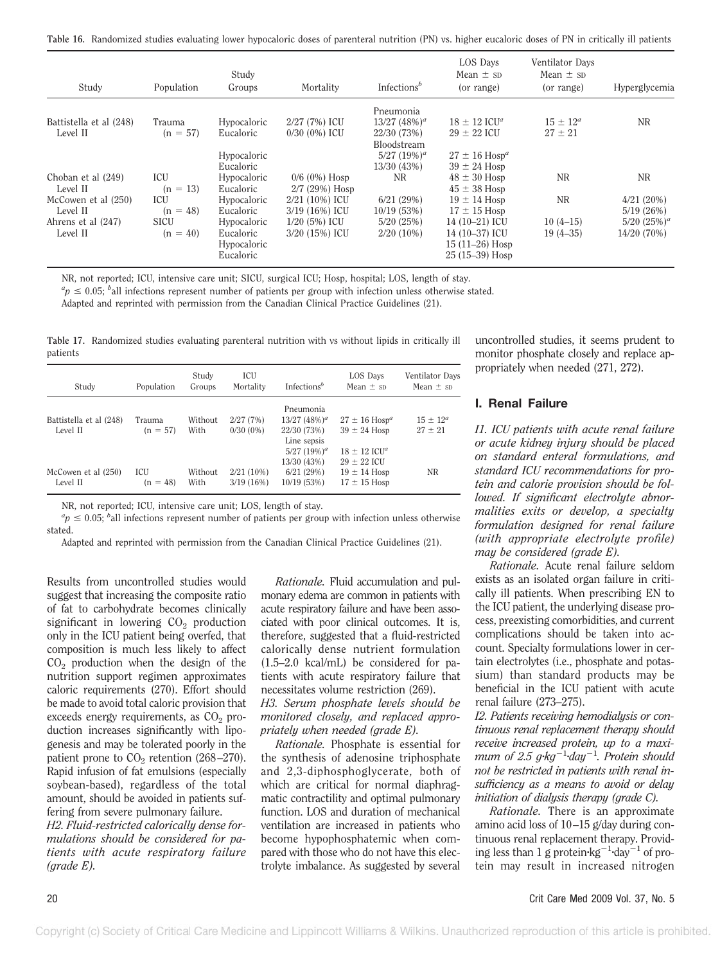**Table 16.** Randomized studies evaluating lower hypocaloric doses of parenteral nutrition (PN) vs. higher eucaloric doses of PN in critically ill patients

| Hyperglycemia    |
|------------------|
|                  |
| NR.              |
|                  |
|                  |
|                  |
| NR.              |
|                  |
| 4/21(20%)        |
| 5/19(26%)        |
| $5/20$ $(25%)^a$ |
| 14/20 (70%)      |
|                  |
|                  |
|                  |

NR, not reported; ICU, intensive care unit; SICU, surgical ICU; Hosp, hospital; LOS, length of stay.

 $a_p \leq 0.05$ ; <sup>*b*</sup> all infections represent number of patients per group with infection unless otherwise stated.

Adapted and reprinted with permission from the Canadian Clinical Practice Guidelines (21).

**Table 17.** Randomized studies evaluating parenteral nutrition with vs without lipids in critically ill patients

| Study                           | Population               | Study<br>Groups | ICU<br>Mortality             | Infections <sup><math>b</math></sup> | LOS Days<br>Mean $\pm$ sp            | Ventilator Days<br>Mean $\pm$ sp |
|---------------------------------|--------------------------|-----------------|------------------------------|--------------------------------------|--------------------------------------|----------------------------------|
|                                 |                          |                 |                              | Pneumonia                            |                                      |                                  |
| Battistella et al (248)         | Trauma                   | Without         | 2/27(7%)                     | $13/27$ $(48\%)^a$                   | $27 \pm 16$ Hosp <sup>a</sup>        | $15 \pm 12^a$                    |
| Level II                        | $(n = 57)$               | With            | $0/30(0\%)$                  | 22/30 (73%)<br>Line sepsis           | $39 \pm 24$ Hosp                     | $27 \pm 21$                      |
|                                 |                          |                 |                              | $5/27$ $(19%)^a$                     | $18 \pm 12$ ICU <sup>a</sup>         |                                  |
|                                 |                          |                 |                              | 13/30 (43%)                          | $29 \pm 22$ ICU                      |                                  |
| McCowen et al (250)<br>Level II | <b>ICU</b><br>$(n = 48)$ | Without<br>With | $2/21(10\%)$<br>$3/19(16\%)$ | 6/21(29%)<br>10/19 (53%)             | $19 \pm 14$ Hosp<br>$17 \pm 15$ Hosp | NR                               |

NR, not reported; ICU, intensive care unit; LOS, length of stay.

 $a_p \leq 0.05$ ; <sup>*b*</sup> all infections represent number of patients per group with infection unless otherwise stated.

Adapted and reprinted with permission from the Canadian Clinical Practice Guidelines (21).

Results from uncontrolled studies would suggest that increasing the composite ratio of fat to carbohydrate becomes clinically significant in lowering  $CO<sub>2</sub>$  production only in the ICU patient being overfed, that composition is much less likely to affect  $CO<sub>2</sub>$  production when the design of the nutrition support regimen approximates caloric requirements (270). Effort should be made to avoid total caloric provision that exceeds energy requirements, as  $CO<sub>2</sub>$  production increases significantly with lipogenesis and may be tolerated poorly in the patient prone to  $CO<sub>2</sub>$  retention (268–270). Rapid infusion of fat emulsions (especially soybean-based), regardless of the total amount, should be avoided in patients suffering from severe pulmonary failure.

*H2. Fluid-restricted calorically dense formulations should be considered for patients with acute respiratory failure (grade E).*

*Rationale.* Fluid accumulation and pulmonary edema are common in patients with acute respiratory failure and have been associated with poor clinical outcomes. It is, therefore, suggested that a fluid-restricted calorically dense nutrient formulation (1.5–2.0 kcal/mL) be considered for patients with acute respiratory failure that necessitates volume restriction (269). *H3. Serum phosphate levels should be*

*monitored closely, and replaced appropriately when needed (grade E).*

*Rationale.* Phosphate is essential for the synthesis of adenosine triphosphate and 2,3-diphosphoglycerate, both of which are critical for normal diaphragmatic contractility and optimal pulmonary function. LOS and duration of mechanical ventilation are increased in patients who become hypophosphatemic when compared with those who do not have this electrolyte imbalance. As suggested by several uncontrolled studies, it seems prudent to monitor phosphate closely and replace appropriately when needed (271, 272).

### **I. Renal Failure**

*I1. ICU patients with acute renal failure or acute kidney injury should be placed on standard enteral formulations, and standard ICU recommendations for protein and calorie provision should be followed. If significant electrolyte abnormalities exits or develop, a specialty formulation designed for renal failure (with appropriate electrolyte profile) may be considered (grade E).*

*Rationale.* Acute renal failure seldom exists as an isolated organ failure in critically ill patients. When prescribing EN to the ICU patient, the underlying disease process, preexisting comorbidities, and current complications should be taken into account. Specialty formulations lower in certain electrolytes (i.e., phosphate and potassium) than standard products may be beneficial in the ICU patient with acute renal failure (273–275).

*I2. Patients receiving hemodialysis or continuous renal replacement therapy should receive increased protein, up to a maximum of 2.5 g*-*kg*<sup>1</sup> -*day*<sup>1</sup> *. Protein should not be restricted in patients with renal insufficiency as a means to avoid or delay initiation of dialysis therapy (grade C).*

*Rationale.* There is an approximate amino acid loss of  $10-15$  g/day during continuous renal replacement therapy. Providing less than 1 g protein  $kg^{-1}$  day<sup>-1</sup> of protein may result in increased nitrogen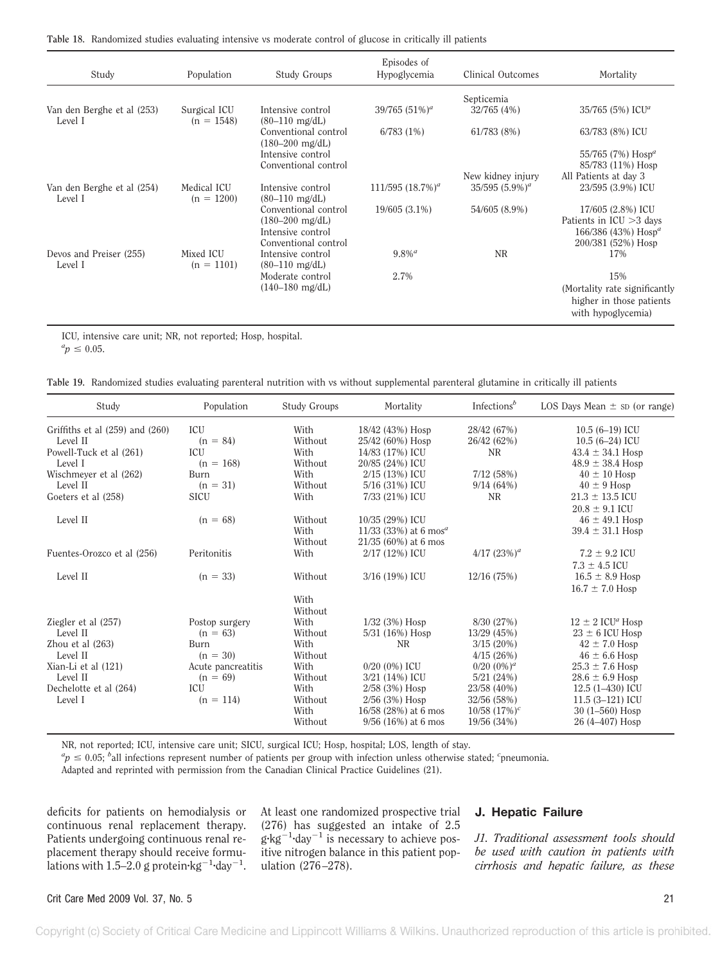|  | Table 18. Randomized studies evaluating intensive vs moderate control of glucose in critically ill patients |  |  |  |  |  |  |  |  |  |  |  |
|--|-------------------------------------------------------------------------------------------------------------|--|--|--|--|--|--|--|--|--|--|--|
|--|-------------------------------------------------------------------------------------------------------------|--|--|--|--|--|--|--|--|--|--|--|

| Study                                 | Population                   | Study Groups                                                                                     | Episodes of<br>Hypoglycemia | Clinical Outcomes  | Mortality                                                                                       |
|---------------------------------------|------------------------------|--------------------------------------------------------------------------------------------------|-----------------------------|--------------------|-------------------------------------------------------------------------------------------------|
|                                       |                              |                                                                                                  |                             | Septicemia         |                                                                                                 |
| Van den Berghe et al (253)<br>Level I | Surgical ICU<br>$(n = 1548)$ | Intensive control<br>$(80-110 \text{ mg/dL})$                                                    | $39/765$ $(51\%)^a$         | 32/765 (4%)        | 35/765 (5%) ICU <sup>a</sup>                                                                    |
|                                       |                              | Conventional control<br>$(180 - 200 \text{ mg/dL})$                                              | $6/783(1\%)$                | 61/783 (8%)        | 63/783 (8%) ICU                                                                                 |
|                                       |                              | Intensive control                                                                                |                             |                    | 55/765 (7%) $Hosp^a$                                                                            |
|                                       |                              | Conventional control                                                                             |                             |                    | 85/783 (11%) Hosp                                                                               |
|                                       |                              |                                                                                                  |                             | New kidney injury  | All Patients at day 3                                                                           |
| Van den Berghe et al (254)<br>Level I | Medical ICU<br>$(n = 1200)$  | Intensive control<br>$(80-110 \text{ mg/dL})$                                                    | $111/595$ $(18.7%)^a$       | $35/595 (5.9\%)^a$ | 23/595 (3.9%) ICU                                                                               |
|                                       |                              | Conventional control<br>$(180 - 200 \text{ mg/dL})$<br>Intensive control<br>Conventional control | $19/605(3.1\%)$             | 54/605 (8.9%)      | 17/605 (2.8%) ICU<br>Patients in $ICU > 3$ days<br>166/386 (43%) $Hosp^a$<br>200/381 (52%) Hosp |
| Devos and Preiser (255)<br>Level I    | Mixed ICU<br>$(n = 1101)$    | Intensive control<br>$(80-110 \text{ mg/dL})$                                                    | $9.8\%$ <sup><i>a</i></sup> | <b>NR</b>          | 17%                                                                                             |
|                                       |                              | Moderate control<br>$(140-180 \text{ mg/dL})$                                                    | 2.7%                        |                    | 15%<br>(Mortality rate significantly<br>higher in those patients<br>with hypoglycemia)          |

ICU, intensive care unit; NR, not reported; Hosp, hospital.

 ${}^{a}p \leq 0.05$ .

|  |  |  |  |  |  |  |  | Table 19. Randomized studies evaluating parenteral nutrition with vs without supplemental parenteral glutamine in critically ill patients |  |  |  |  |  |
|--|--|--|--|--|--|--|--|-------------------------------------------------------------------------------------------------------------------------------------------|--|--|--|--|--|
|--|--|--|--|--|--|--|--|-------------------------------------------------------------------------------------------------------------------------------------------|--|--|--|--|--|

| Study                               | Population         | Study Groups | Mortality                         | Infections <sup><math>b</math></sup> | LOS Days Mean $\pm$ sp (or range) |
|-------------------------------------|--------------------|--------------|-----------------------------------|--------------------------------------|-----------------------------------|
| Griffiths et al $(259)$ and $(260)$ | ICU                | With         | 18/42 (43%) Hosp                  | 28/42 (67%)                          | $10.5(6-19)$ ICU                  |
| Level II                            | $(n = 84)$         | Without      | 25/42 (60%) Hosp                  | 26/42 (62%)                          | $10.5(6-24)$ ICU                  |
| Powell-Tuck et al (261)             | <b>ICU</b>         | With         | 14/83 (17%) ICU                   | <b>NR</b>                            | $43.4 \pm 34.1$ Hosp              |
| Level I                             | $(n = 168)$        | Without      | 20/85 (24%) ICU                   |                                      | $48.9 \pm 38.4$ Hosp              |
| Wischmeyer et al (262)              | Burn               | With         | 2/15 (13%) ICU                    | 7/12(58%)                            | $40 \pm 10$ Hosp                  |
| Level II                            | $(n = 31)$         | Without      | 5/16 (31%) ICU                    | 9/14(64%)                            | $40 \pm 9$ Hosp                   |
| Goeters et al (258)                 | <b>SICU</b>        | With         | 7/33 (21%) ICU                    | <b>NR</b>                            | $21.3 \pm 13.5$ ICU               |
|                                     |                    |              |                                   |                                      | $20.8 \pm 9.1$ ICU                |
| Level II                            | $(n = 68)$         | Without      | 10/35 (29%) ICU                   |                                      | $46 \pm 49.1$ Hosp                |
|                                     |                    | With         | 11/33 (33%) at 6 mos <sup>a</sup> |                                      | $39.4 \pm 31.1$ Hosp              |
|                                     |                    | Without      | $21/35(60%)$ at 6 mos             |                                      |                                   |
| Fuentes-Orozco et al (256)          | Peritonitis        | With         | 2/17 (12%) ICU                    | $4/17$ $(23%)^a$                     | $7.2 \pm 9.2$ ICU                 |
|                                     |                    |              |                                   |                                      | $7.3 \pm 4.5$ ICU                 |
| Level II                            | $(n = 33)$         | Without      | 3/16 (19%) ICU                    | 12/16 (75%)                          | $16.5 \pm 8.9$ Hosp               |
|                                     |                    |              |                                   |                                      | $16.7 \pm 7.0$ Hosp               |
|                                     |                    | With         |                                   |                                      |                                   |
|                                     |                    | Without      |                                   |                                      |                                   |
| Ziegler et al $(257)$               | Postop surgery     | With         | $1/32$ (3%) Hosp                  | 8/30 (27%)                           | $12 \pm 2$ ICU <sup>a</sup> Hosp  |
| Level II                            | $(n = 63)$         | Without      | $5/31$ (16%) Hosp                 | 13/29 (45%)                          | $23 \pm 6$ ICU Hosp               |
| Zhou et al $(263)$                  | Burn               | With         | <b>NR</b>                         | $3/15(20\%)$                         | $42 \pm 7.0$ Hosp                 |
| Level II                            | $(n = 30)$         | Without      |                                   | 4/15(26%)                            | $46 \pm 6.6$ Hosp                 |
| Xian-Li et al (121)                 | Acute pancreatitis | With         | $0/20$ (0%) ICU                   | $0/20~(0\%)^a$                       | $25.3 \pm 7.6$ Hosp               |
| Level II                            | $(n = 69)$         | Without      | 3/21 (14%) ICU                    | 5/21(24%)                            | $28.6 \pm 6.9$ Hosp               |
| Dechelotte et al (264)              | ICU                | With         | $2/58$ (3%) Hosp                  | 23/58 (40%)                          | $12.5(1-430)$ ICU                 |
| Level I                             | $(n = 114)$        | Without      | $2/56$ (3%) Hosp                  | 32/56 (58%)                          | $11.5(3-121)$ ICU                 |
|                                     |                    | With         | 16/58 (28%) at 6 mos              | $10/58$ $(17%)^c$                    | $30(1-560)$ Hosp                  |
|                                     |                    | Without      | $9/56$ (16%) at 6 mos             | 19/56 (34%)                          | 26 (4-407) Hosp                   |
|                                     |                    |              |                                   |                                      |                                   |

NR, not reported; ICU, intensive care unit; SICU, surgical ICU; Hosp, hospital; LOS, length of stay.

 $a_p \leq 0.05$ ; *b* all infections represent number of patients per group with infection unless otherwise stated; *c* pneumonia.

Adapted and reprinted with permission from the Canadian Clinical Practice Guidelines (21).

deficits for patients on hemodialysis or continuous renal replacement therapy. Patients undergoing continuous renal replacement therapy should receive formulations with 1.5–2.0 g protein $\cdot$ kg<sup>-1</sup> $\cdot$ day<sup>-1</sup>.

At least one randomized prospective trial (276) has suggested an intake of 2.5  $g$ ·kg<sup>-1</sup>·day<sup>-1</sup> is necessary to achieve positive nitrogen balance in this patient population (276 –278).

### **J. Hepatic Failure**

*J1. Traditional assessment tools should be used with caution in patients with cirrhosis and hepatic failure, as these*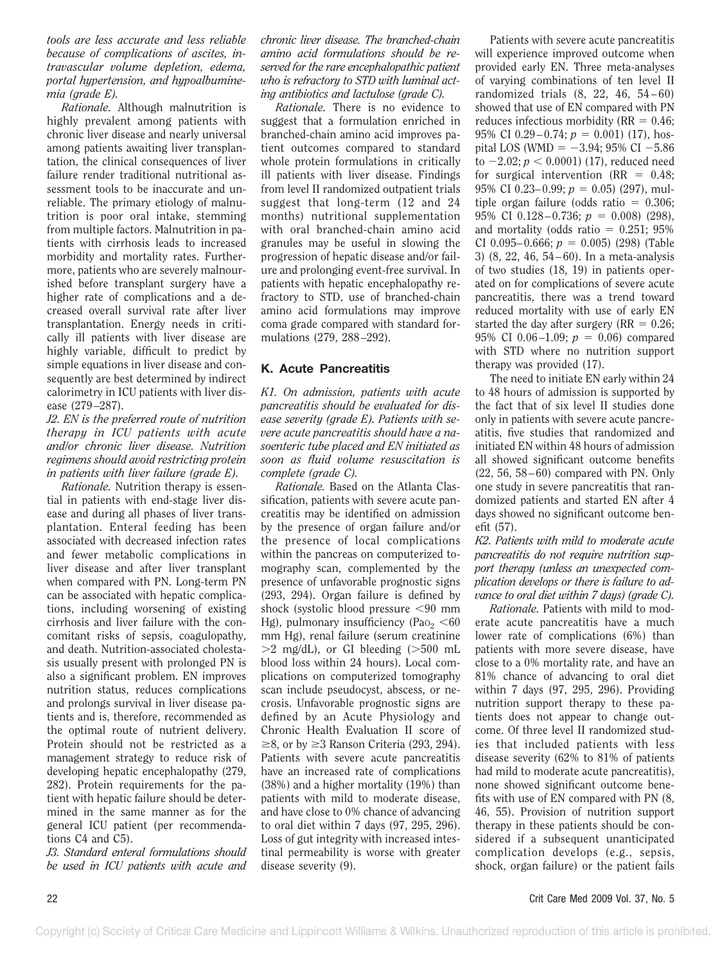*tools are less accurate and less reliable because of complications of ascites, intravascular volume depletion, edema, portal hypertension, and hypoalbuminemia (grade E).*

*Rationale.* Although malnutrition is highly prevalent among patients with chronic liver disease and nearly universal among patients awaiting liver transplantation, the clinical consequences of liver failure render traditional nutritional assessment tools to be inaccurate and unreliable. The primary etiology of malnutrition is poor oral intake, stemming from multiple factors. Malnutrition in patients with cirrhosis leads to increased morbidity and mortality rates. Furthermore, patients who are severely malnourished before transplant surgery have a higher rate of complications and a decreased overall survival rate after liver transplantation. Energy needs in critically ill patients with liver disease are highly variable, difficult to predict by simple equations in liver disease and consequently are best determined by indirect calorimetry in ICU patients with liver disease (279 –287).

*J2. EN is the preferred route of nutrition therapy in ICU patients with acute and/or chronic liver disease. Nutrition regimens should avoid restricting protein in patients with liver failure (grade E).*

*Rationale.* Nutrition therapy is essential in patients with end-stage liver disease and during all phases of liver transplantation. Enteral feeding has been associated with decreased infection rates and fewer metabolic complications in liver disease and after liver transplant when compared with PN. Long-term PN can be associated with hepatic complications, including worsening of existing cirrhosis and liver failure with the concomitant risks of sepsis, coagulopathy, and death. Nutrition-associated cholestasis usually present with prolonged PN is also a significant problem. EN improves nutrition status, reduces complications and prolongs survival in liver disease patients and is, therefore, recommended as the optimal route of nutrient delivery. Protein should not be restricted as a management strategy to reduce risk of developing hepatic encephalopathy (279, 282). Protein requirements for the patient with hepatic failure should be determined in the same manner as for the general ICU patient (per recommendations C4 and C5).

*J3. Standard enteral formulations should be used in ICU patients with acute and* *chronic liver disease. The branched-chain amino acid formulations should be reserved for the rare encephalopathic patient who is refractory to STD with luminal acting antibiotics and lactulose (grade C).*

*Rationale.* There is no evidence to suggest that a formulation enriched in branched-chain amino acid improves patient outcomes compared to standard whole protein formulations in critically ill patients with liver disease. Findings from level II randomized outpatient trials suggest that long-term (12 and 24 months) nutritional supplementation with oral branched-chain amino acid granules may be useful in slowing the progression of hepatic disease and/or failure and prolonging event-free survival. In patients with hepatic encephalopathy refractory to STD, use of branched-chain amino acid formulations may improve coma grade compared with standard formulations (279, 288 –292).

# **K. Acute Pancreatitis**

*K1. On admission, patients with acute pancreatitis should be evaluated for disease severity (grade E). Patients with severe acute pancreatitis should have a nasoenteric tube placed and EN initiated as soon as fluid volume resuscitation is complete (grade C).*

*Rationale.* Based on the Atlanta Classification, patients with severe acute pancreatitis may be identified on admission by the presence of organ failure and/or the presence of local complications within the pancreas on computerized tomography scan, complemented by the presence of unfavorable prognostic signs (293, 294). Organ failure is defined by shock (systolic blood pressure  $\leq 90$  mm Hg), pulmonary insufficiency (Pa $\sigma$ <sub>2</sub>  $<$  60 mm Hg), renal failure (serum creatinine  $>2$  mg/dL), or GI bleeding ( $>500$  mL blood loss within 24 hours). Local complications on computerized tomography scan include pseudocyst, abscess, or necrosis. Unfavorable prognostic signs are defined by an Acute Physiology and Chronic Health Evaluation II score of  $\geq$ 8, or by  $\geq$ 3 Ranson Criteria (293, 294). Patients with severe acute pancreatitis have an increased rate of complications (38%) and a higher mortality (19%) than patients with mild to moderate disease, and have close to 0% chance of advancing to oral diet within 7 days (97, 295, 296). Loss of gut integrity with increased intestinal permeability is worse with greater disease severity (9).

Patients with severe acute pancreatitis will experience improved outcome when provided early EN. Three meta-analyses of varying combinations of ten level II randomized trials  $(8, 22, 46, 54 - 60)$ showed that use of EN compared with PN reduces infectious morbidity ( $RR = 0.46$ ; 95% CI 0.29 $-0.74$ ;  $p = 0.001$ ) (17), hospital LOS (WMD =  $-3.94$ ; 95% CI  $-5.86$ to  $-2.02$ ;  $p < 0.0001$ ) (17), reduced need for surgical intervention ( $RR = 0.48$ ; 95% CI 0.23–0.99;  $p = 0.05$ ) (297), multiple organ failure (odds ratio  $= 0.306$ ; 95% CI 0.128 – 0.736;  $p = 0.008$  (298), and mortality (odds ratio  $= 0.251$ ; 95% CI 0.095–0.666;  $p = 0.005$ ) (298) (Table 3)  $(8, 22, 46, 54 - 60)$ . In a meta-analysis of two studies (18, 19) in patients operated on for complications of severe acute pancreatitis, there was a trend toward reduced mortality with use of early EN started the day after surgery ( $RR = 0.26$ ; 95% CI 0.06-1.09;  $p = 0.06$ ) compared with STD where no nutrition support therapy was provided (17).

The need to initiate EN early within 24 to 48 hours of admission is supported by the fact that of six level II studies done only in patients with severe acute pancreatitis, five studies that randomized and initiated EN within 48 hours of admission all showed significant outcome benefits (22, 56, 58 – 60) compared with PN. Only one study in severe pancreatitis that randomized patients and started EN after 4 days showed no significant outcome benefit (57).

*K2. Patients with mild to moderate acute pancreatitis do not require nutrition support therapy (unless an unexpected complication develops or there is failure to advance to oral diet within 7 days) (grade C).*

*Rationale.* Patients with mild to moderate acute pancreatitis have a much lower rate of complications (6%) than patients with more severe disease, have close to a 0% mortality rate, and have an 81% chance of advancing to oral diet within 7 days (97, 295, 296). Providing nutrition support therapy to these patients does not appear to change outcome. Of three level II randomized studies that included patients with less disease severity (62% to 81% of patients had mild to moderate acute pancreatitis), none showed significant outcome benefits with use of EN compared with PN (8, 46, 55). Provision of nutrition support therapy in these patients should be considered if a subsequent unanticipated complication develops (e.g., sepsis, shock, organ failure) or the patient fails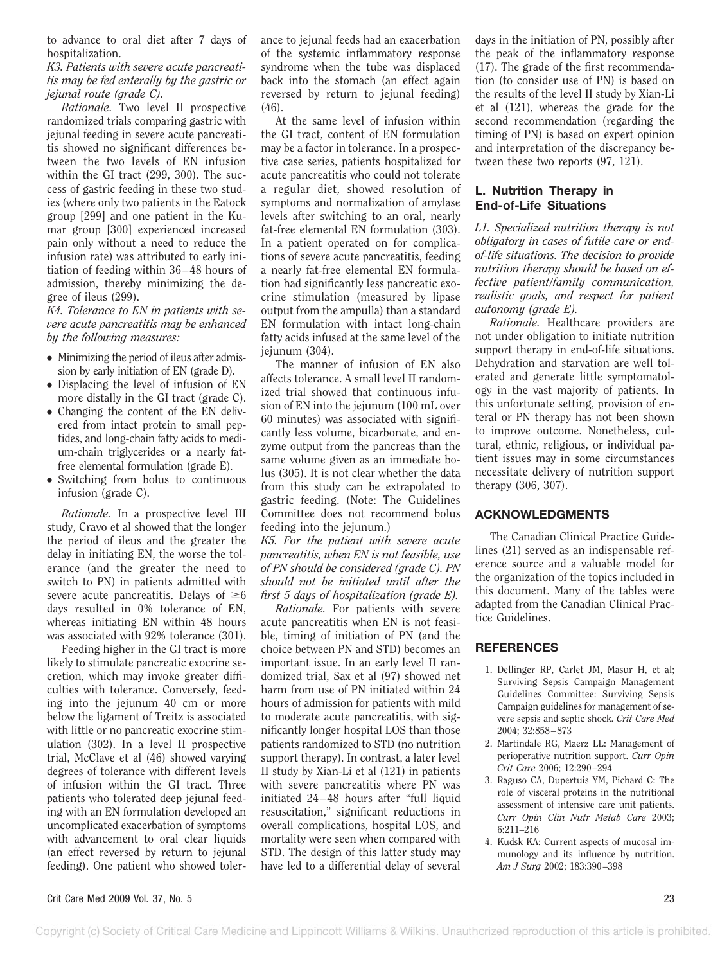to advance to oral diet after 7 days of hospitalization.

*K3. Patients with severe acute pancreatitis may be fed enterally by the gastric or jejunal route (grade C).*

*Rationale.* Two level II prospective randomized trials comparing gastric with jejunal feeding in severe acute pancreatitis showed no significant differences between the two levels of EN infusion within the GI tract (299, 300). The success of gastric feeding in these two studies (where only two patients in the Eatock group [299] and one patient in the Kumar group [300] experienced increased pain only without a need to reduce the infusion rate) was attributed to early initiation of feeding within 36 – 48 hours of admission, thereby minimizing the degree of ileus (299).

*K4. Tolerance to EN in patients with severe acute pancreatitis may be enhanced by the following measures:*

- Minimizing the period of ileus after admission by early initiation of EN (grade D).
- Displacing the level of infusion of EN more distally in the GI tract (grade C).
- Changing the content of the EN delivered from intact protein to small peptides, and long-chain fatty acids to medium-chain triglycerides or a nearly fatfree elemental formulation (grade E).
- Switching from bolus to continuous infusion (grade C).

*Rationale.* In a prospective level III study, Cravo et al showed that the longer the period of ileus and the greater the delay in initiating EN, the worse the tolerance (and the greater the need to switch to PN) in patients admitted with severe acute pancreatitis. Delays of  $\geq 6$ days resulted in 0% tolerance of EN, whereas initiating EN within 48 hours was associated with 92% tolerance (301).

Feeding higher in the GI tract is more likely to stimulate pancreatic exocrine secretion, which may invoke greater difficulties with tolerance. Conversely, feeding into the jejunum 40 cm or more below the ligament of Treitz is associated with little or no pancreatic exocrine stimulation (302). In a level II prospective trial, McClave et al (46) showed varying degrees of tolerance with different levels of infusion within the GI tract. Three patients who tolerated deep jejunal feeding with an EN formulation developed an uncomplicated exacerbation of symptoms with advancement to oral clear liquids (an effect reversed by return to jejunal feeding). One patient who showed tolerance to jejunal feeds had an exacerbation of the systemic inflammatory response syndrome when the tube was displaced back into the stomach (an effect again reversed by return to jejunal feeding) (46).

At the same level of infusion within the GI tract, content of EN formulation may be a factor in tolerance. In a prospective case series, patients hospitalized for acute pancreatitis who could not tolerate a regular diet, showed resolution of symptoms and normalization of amylase levels after switching to an oral, nearly fat-free elemental EN formulation (303). In a patient operated on for complications of severe acute pancreatitis, feeding a nearly fat-free elemental EN formulation had significantly less pancreatic exocrine stimulation (measured by lipase output from the ampulla) than a standard EN formulation with intact long-chain fatty acids infused at the same level of the jejunum (304).

The manner of infusion of EN also affects tolerance. A small level II randomized trial showed that continuous infusion of EN into the jejunum (100 mL over 60 minutes) was associated with significantly less volume, bicarbonate, and enzyme output from the pancreas than the same volume given as an immediate bolus (305). It is not clear whether the data from this study can be extrapolated to gastric feeding. (Note: The Guidelines Committee does not recommend bolus feeding into the jejunum.)

*K5. For the patient with severe acute pancreatitis, when EN is not feasible, use of PN should be considered (grade C). PN should not be initiated until after the first 5 days of hospitalization (grade E).*

*Rationale.* For patients with severe acute pancreatitis when EN is not feasible, timing of initiation of PN (and the choice between PN and STD) becomes an important issue. In an early level II randomized trial, Sax et al (97) showed net harm from use of PN initiated within 24 hours of admission for patients with mild to moderate acute pancreatitis, with significantly longer hospital LOS than those patients randomized to STD (no nutrition support therapy). In contrast, a later level II study by Xian-Li et al (121) in patients with severe pancreatitis where PN was initiated 24 – 48 hours after "full liquid resuscitation," significant reductions in overall complications, hospital LOS, and mortality were seen when compared with STD. The design of this latter study may have led to a differential delay of several

days in the initiation of PN, possibly after the peak of the inflammatory response (17). The grade of the first recommendation (to consider use of PN) is based on the results of the level II study by Xian-Li et al (121), whereas the grade for the second recommendation (regarding the timing of PN) is based on expert opinion and interpretation of the discrepancy between these two reports (97, 121).

# **L. Nutrition Therapy in End-of-Life Situations**

*L1. Specialized nutrition therapy is not obligatory in cases of futile care or endof-life situations. The decision to provide nutrition therapy should be based on effective patient/family communication, realistic goals, and respect for patient autonomy (grade E).*

*Rationale.* Healthcare providers are not under obligation to initiate nutrition support therapy in end-of-life situations. Dehydration and starvation are well tolerated and generate little symptomatology in the vast majority of patients. In this unfortunate setting, provision of enteral or PN therapy has not been shown to improve outcome. Nonetheless, cultural, ethnic, religious, or individual patient issues may in some circumstances necessitate delivery of nutrition support therapy (306, 307).

# **ACKNOWLEDGMENTS**

The Canadian Clinical Practice Guidelines (21) served as an indispensable reference source and a valuable model for the organization of the topics included in this document. Many of the tables were adapted from the Canadian Clinical Practice Guidelines.

### **REFERENCES**

- 1. Dellinger RP, Carlet JM, Masur H, et al; Surviving Sepsis Campaign Management Guidelines Committee: Surviving Sepsis Campaign guidelines for management of severe sepsis and septic shock. *Crit Care Med* 2004; 32:858 – 873
- 2. Martindale RG, Maerz LL: Management of perioperative nutrition support. *Curr Opin Crit Care* 2006; 12:290 –294
- 3. Raguso CA, Dupertuis YM, Pichard C: The role of visceral proteins in the nutritional assessment of intensive care unit patients. *Curr Opin Clin Nutr Metab Care* 2003; 6:211–216
- 4. Kudsk KA: Current aspects of mucosal immunology and its influence by nutrition. *Am J Surg* 2002; 183:390 –398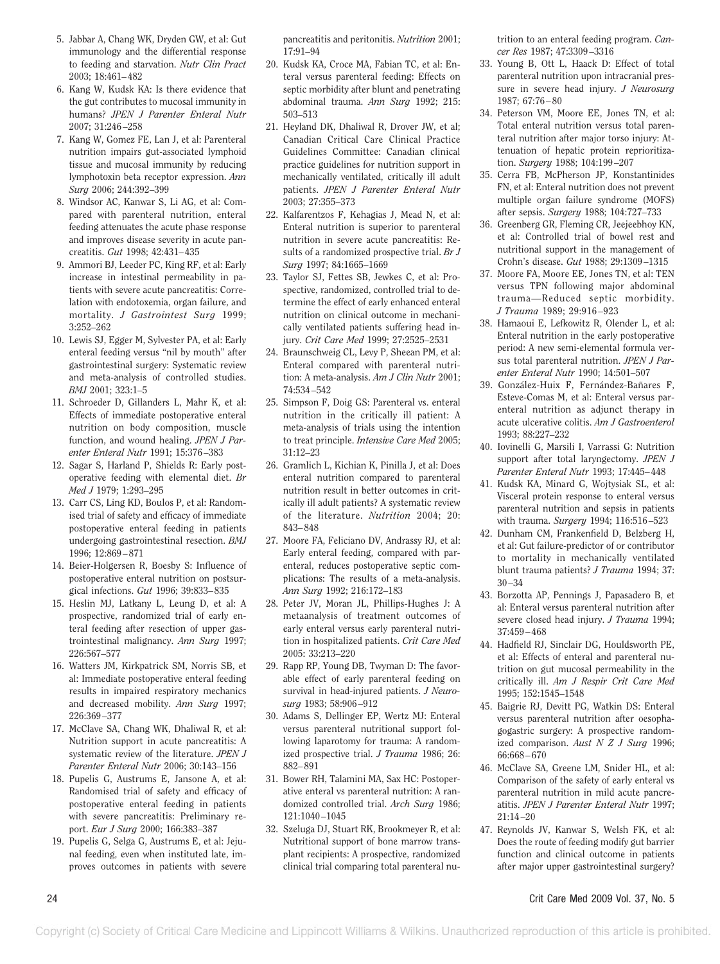- 5. Jabbar A, Chang WK, Dryden GW, et al: Gut immunology and the differential response to feeding and starvation. *Nutr Clin Pract* 2003; 18:461– 482
- 6. Kang W, Kudsk KA: Is there evidence that the gut contributes to mucosal immunity in humans? *JPEN J Parenter Enteral Nutr* 2007; 31:246 –258
- 7. Kang W, Gomez FE, Lan J, et al: Parenteral nutrition impairs gut-associated lymphoid tissue and mucosal immunity by reducing lymphotoxin beta receptor expression. *Ann Surg* 2006; 244:392–399
- 8. Windsor AC, Kanwar S, Li AG, et al: Compared with parenteral nutrition, enteral feeding attenuates the acute phase response and improves disease severity in acute pancreatitis. *Gut* 1998; 42:431– 435
- 9. Ammori BJ, Leeder PC, King RF, et al: Early increase in intestinal permeability in patients with severe acute pancreatitis: Correlation with endotoxemia, organ failure, and mortality. *J Gastrointest Surg* 1999; 3:252–262
- 10. Lewis SJ, Egger M, Sylvester PA, et al: Early enteral feeding versus "nil by mouth" after gastrointestinal surgery: Systematic review and meta-analysis of controlled studies. *BMJ* 2001; 323:1–5
- 11. Schroeder D, Gillanders L, Mahr K, et al: Effects of immediate postoperative enteral nutrition on body composition, muscle function, and wound healing. *JPEN J Parenter Enteral Nutr* 1991; 15:376 –383
- 12. Sagar S, Harland P, Shields R: Early postoperative feeding with elemental diet. *Br Med J* 1979; 1:293–295
- 13. Carr CS, Ling KD, Boulos P, et al: Randomised trial of safety and efficacy of immediate postoperative enteral feeding in patients undergoing gastrointestinal resection. *BMJ* 1996; 12:869 – 871
- 14. Beier-Holgersen R, Boesby S: Influence of postoperative enteral nutrition on postsurgical infections. *Gut* 1996; 39:833– 835
- 15. Heslin MJ, Latkany L, Leung D, et al: A prospective, randomized trial of early enteral feeding after resection of upper gastrointestinal malignancy. *Ann Surg* 1997; 226:567–577
- 16. Watters JM, Kirkpatrick SM, Norris SB, et al: Immediate postoperative enteral feeding results in impaired respiratory mechanics and decreased mobility. *Ann Surg* 1997; 226:369 –377
- 17. McClave SA, Chang WK, Dhaliwal R, et al: Nutrition support in acute pancreatitis: A systematic review of the literature. *JPEN J Parenter Enteral Nutr* 2006; 30:143–156
- 18. Pupelis G, Austrums E, Jansone A, et al: Randomised trial of safety and efficacy of postoperative enteral feeding in patients with severe pancreatitis: Preliminary report. *Eur J Surg* 2000; 166:383–387
- 19. Pupelis G, Selga G, Austrums E, et al: Jejunal feeding, even when instituted late, improves outcomes in patients with severe

pancreatitis and peritonitis. *Nutrition* 2001; 17:91–94

- 20. Kudsk KA, Croce MA, Fabian TC, et al: Enteral versus parenteral feeding: Effects on septic morbidity after blunt and penetrating abdominal trauma. *Ann Surg* 1992; 215: 503–513
- 21. Heyland DK, Dhaliwal R, Drover JW, et al; Canadian Critical Care Clinical Practice Guidelines Committee: Canadian clinical practice guidelines for nutrition support in mechanically ventilated, critically ill adult patients. *JPEN J Parenter Enteral Nutr* 2003; 27:355–373
- 22. Kalfarentzos F, Kehagias J, Mead N, et al: Enteral nutrition is superior to parenteral nutrition in severe acute pancreatitis: Results of a randomized prospective trial. *Br J Surg* 1997; 84:1665–1669
- 23. Taylor SJ, Fettes SB, Jewkes C, et al: Prospective, randomized, controlled trial to determine the effect of early enhanced enteral nutrition on clinical outcome in mechanically ventilated patients suffering head injury. *Crit Care Med* 1999; 27:2525–2531
- 24. Braunschweig CL, Levy P, Sheean PM, et al: Enteral compared with parenteral nutrition: A meta-analysis. *Am J Clin Nutr* 2001; 74:534 –542
- 25. Simpson F, Doig GS: Parenteral vs. enteral nutrition in the critically ill patient: A meta-analysis of trials using the intention to treat principle. *Intensive Care Med* 2005; 31:12–23
- 26. Gramlich L, Kichian K, Pinilla J, et al: Does enteral nutrition compared to parenteral nutrition result in better outcomes in critically ill adult patients? A systematic review of the literature. *Nutrition* 2004; 20: 843– 848
- 27. Moore FA, Feliciano DV, Andrassy RJ, et al: Early enteral feeding, compared with parenteral, reduces postoperative septic complications: The results of a meta-analysis. *Ann Surg* 1992; 216:172–183
- 28. Peter JV, Moran JL, Phillips-Hughes J: A metaanalysis of treatment outcomes of early enteral versus early parenteral nutrition in hospitalized patients. *Crit Care Med* 2005: 33:213–220
- 29. Rapp RP, Young DB, Twyman D: The favorable effect of early parenteral feeding on survival in head-injured patients. *J Neurosurg* 1983; 58:906 –912
- 30. Adams S, Dellinger EP, Wertz MJ: Enteral versus parenteral nutritional support following laparotomy for trauma: A randomized prospective trial. *J Trauma* 1986; 26: 882– 891
- 31. Bower RH, Talamini MA, Sax HC: Postoperative enteral vs parenteral nutrition: A randomized controlled trial. *Arch Surg* 1986; 121:1040 –1045
- 32. Szeluga DJ, Stuart RK, Brookmeyer R, et al: Nutritional support of bone marrow transplant recipients: A prospective, randomized clinical trial comparing total parenteral nu-

trition to an enteral feeding program. *Cancer Res* 1987; 47:3309 –3316

- 33. Young B, Ott L, Haack D: Effect of total parenteral nutrition upon intracranial pressure in severe head injury. *J Neurosurg* 1987; 67:76 – 80
- 34. Peterson VM, Moore EE, Jones TN, et al: Total enteral nutrition versus total parenteral nutrition after major torso injury: Attenuation of hepatic protein reprioritization. *Surgery* 1988; 104:199 –207
- 35. Cerra FB, McPherson JP, Konstantinides FN, et al: Enteral nutrition does not prevent multiple organ failure syndrome (MOFS) after sepsis. *Surgery* 1988; 104:727–733
- 36. Greenberg GR, Fleming CR, Jeejeebhoy KN, et al: Controlled trial of bowel rest and nutritional support in the management of Crohn's disease. *Gut* 1988; 29:1309 –1315
- 37. Moore FA, Moore EE, Jones TN, et al: TEN versus TPN following major abdominal trauma—Reduced septic morbidity. *J Trauma* 1989; 29:916 –923
- 38. Hamaoui E, Lefkowitz R, Olender L, et al: Enteral nutrition in the early postoperative period: A new semi-elemental formula versus total parenteral nutrition. *JPEN J Parenter Enteral Nutr* 1990; 14:501–507
- 39. González-Huix F, Fernández-Bañares F, Esteve-Comas M, et al: Enteral versus parenteral nutrition as adjunct therapy in acute ulcerative colitis. *Am J Gastroenterol* 1993; 88:227–232
- 40. Iovinelli G, Marsili I, Varrassi G: Nutrition support after total laryngectomy. *JPEN J Parenter Enteral Nutr* 1993; 17:445– 448
- 41. Kudsk KA, Minard G, Wojtysiak SL, et al: Visceral protein response to enteral versus parenteral nutrition and sepsis in patients with trauma. *Surgery* 1994; 116:516 –523
- 42. Dunham CM, Frankenfield D, Belzberg H, et al: Gut failure-predictor of or contributor to mortality in mechanically ventilated blunt trauma patients? *J Trauma* 1994; 37: 30 –34
- 43. Borzotta AP, Pennings J, Papasadero B, et al: Enteral versus parenteral nutrition after severe closed head injury. *J Trauma* 1994; 37:459 – 468
- 44. Hadfield RJ, Sinclair DG, Houldsworth PE, et al: Effects of enteral and parenteral nutrition on gut mucosal permeability in the critically ill. *Am J Respir Crit Care Med* 1995; 152:1545–1548
- 45. Baigrie RJ, Devitt PG, Watkin DS: Enteral versus parenteral nutrition after oesophagogastric surgery: A prospective randomized comparison. *Aust N Z J Surg* 1996; 66:668 – 670
- 46. McClave SA, Greene LM, Snider HL, et al: Comparison of the safety of early enteral vs parenteral nutrition in mild acute pancreatitis. *JPEN J Parenter Enteral Nutr* 1997; 21:14 –20
- 47. Reynolds JV, Kanwar S, Welsh FK, et al: Does the route of feeding modify gut barrier function and clinical outcome in patients after major upper gastrointestinal surgery?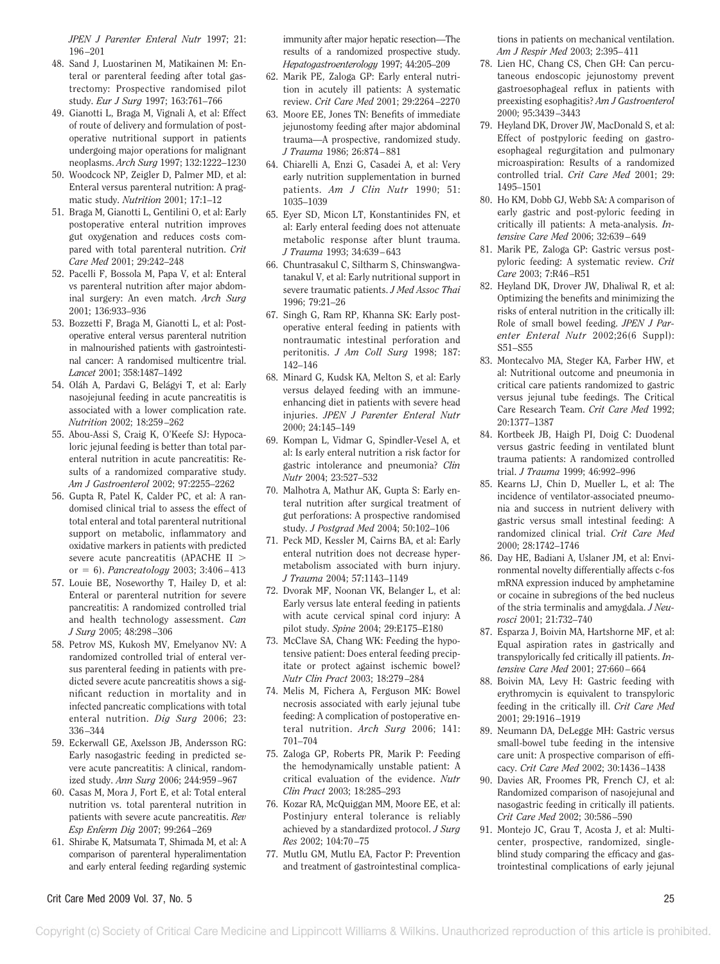*JPEN J Parenter Enteral Nutr* 1997; 21: 196 –201

- 48. Sand J, Luostarinen M, Matikainen M: Enteral or parenteral feeding after total gastrectomy: Prospective randomised pilot study. *Eur J Surg* 1997; 163:761–766
- 49. Gianotti L, Braga M, Vignali A, et al: Effect of route of delivery and formulation of postoperative nutritional support in patients undergoing major operations for malignant neoplasms. *Arch Surg* 1997; 132:1222–1230
- 50. Woodcock NP, Zeigler D, Palmer MD, et al: Enteral versus parenteral nutrition: A pragmatic study. *Nutrition* 2001; 17:1–12
- 51. Braga M, Gianotti L, Gentilini O, et al: Early postoperative enteral nutrition improves gut oxygenation and reduces costs compared with total parenteral nutrition. *Crit Care Med* 2001; 29:242–248
- 52. Pacelli F, Bossola M, Papa V, et al: Enteral vs parenteral nutrition after major abdominal surgery: An even match. *Arch Surg* 2001; 136:933–936
- 53. Bozzetti F, Braga M, Gianotti L, et al: Postoperative enteral versus parenteral nutrition in malnourished patients with gastrointestinal cancer: A randomised multicentre trial. *Lancet* 2001; 358:1487–1492
- 54. Oláh A, Pardavi G, Belágyi T, et al: Early nasojejunal feeding in acute pancreatitis is associated with a lower complication rate. *Nutrition* 2002; 18:259 –262
- 55. Abou-Assi S, Craig K, O'Keefe SJ: Hypocaloric jejunal feeding is better than total parenteral nutrition in acute pancreatitis: Results of a randomized comparative study. *Am J Gastroenterol* 2002; 97:2255–2262
- 56. Gupta R, Patel K, Calder PC, et al: A randomised clinical trial to assess the effect of total enteral and total parenteral nutritional support on metabolic, inflammatory and oxidative markers in patients with predicted severe acute pancreatitis (APACHE II or 6). *Pancreatology* 2003; 3:406 – 413
- 57. Louie BE, Noseworthy T, Hailey D, et al: Enteral or parenteral nutrition for severe pancreatitis: A randomized controlled trial and health technology assessment. *Can J Surg* 2005; 48:298 –306
- 58. Petrov MS, Kukosh MV, Emelyanov NV: A randomized controlled trial of enteral versus parenteral feeding in patients with predicted severe acute pancreatitis shows a significant reduction in mortality and in infected pancreatic complications with total enteral nutrition. *Dig Surg* 2006; 23: 336 –344
- 59. Eckerwall GE, Axelsson JB, Andersson RG: Early nasogastric feeding in predicted severe acute pancreatitis: A clinical, randomized study. *Ann Surg* 2006; 244:959 –967
- 60. Casas M, Mora J, Fort E, et al: Total enteral nutrition vs. total parenteral nutrition in patients with severe acute pancreatitis. *Rev Esp Enferm Dig* 2007; 99:264 –269
- 61. Shirabe K, Matsumata T, Shimada M, et al: A comparison of parenteral hyperalimentation and early enteral feeding regarding systemic

immunity after major hepatic resection—The results of a randomized prospective study. *Hepatogastroenterology* 1997; 44:205–209

- 62. Marik PE, Zaloga GP: Early enteral nutrition in acutely ill patients: A systematic review. *Crit Care Med* 2001; 29:2264 –2270
- 63. Moore EE, Jones TN: Benefits of immediate jejunostomy feeding after major abdominal trauma—A prospective, randomized study. *J Trauma* 1986; 26:874 – 881
- 64. Chiarelli A, Enzi G, Casadei A, et al: Very early nutrition supplementation in burned patients. *Am J Clin Nutr* 1990; 51: 1035–1039
- 65. Eyer SD, Micon LT, Konstantinides FN, et al: Early enteral feeding does not attenuate metabolic response after blunt trauma. *J Trauma* 1993; 34:639 – 643
- 66. Chuntrasakul C, Siltharm S, Chinswangwatanakul V, et al: Early nutritional support in severe traumatic patients. *J Med Assoc Thai* 1996; 79:21–26
- 67. Singh G, Ram RP, Khanna SK: Early postoperative enteral feeding in patients with nontraumatic intestinal perforation and peritonitis. *J Am Coll Surg* 1998; 187: 142–146
- 68. Minard G, Kudsk KA, Melton S, et al: Early versus delayed feeding with an immuneenhancing diet in patients with severe head injuries. *JPEN J Parenter Enteral Nutr* 2000; 24:145–149
- 69. Kompan L, Vidmar G, Spindler-Vesel A, et al: Is early enteral nutrition a risk factor for gastric intolerance and pneumonia? *Clin Nutr* 2004; 23:527–532
- 70. Malhotra A, Mathur AK, Gupta S: Early enteral nutrition after surgical treatment of gut perforations: A prospective randomised study. *J Postgrad Med* 2004; 50:102–106
- 71. Peck MD, Kessler M, Cairns BA, et al: Early enteral nutrition does not decrease hypermetabolism associated with burn injury. *J Trauma* 2004; 57:1143–1149
- 72. Dvorak MF, Noonan VK, Belanger L, et al: Early versus late enteral feeding in patients with acute cervical spinal cord injury: A pilot study. *Spine* 2004; 29:E175–E180
- 73. McClave SA, Chang WK: Feeding the hypotensive patient: Does enteral feeding precipitate or protect against ischemic bowel? *Nutr Clin Pract* 2003; 18:279 –284
- 74. Melis M, Fichera A, Ferguson MK: Bowel necrosis associated with early jejunal tube feeding: A complication of postoperative enteral nutrition. *Arch Surg* 2006; 141: 701–704
- 75. Zaloga GP, Roberts PR, Marik P: Feeding the hemodynamically unstable patient: A critical evaluation of the evidence. *Nutr Clin Pract* 2003; 18:285–293
- 76. Kozar RA, McQuiggan MM, Moore EE, et al: Postinjury enteral tolerance is reliably achieved by a standardized protocol. *J Surg Res* 2002; 104:70 –75
- 77. Mutlu GM, Mutlu EA, Factor P: Prevention and treatment of gastrointestinal complica-

tions in patients on mechanical ventilation. *Am J Respir Med* 2003; 2:395– 411

- 78. Lien HC, Chang CS, Chen GH: Can percutaneous endoscopic jejunostomy prevent gastroesophageal reflux in patients with preexisting esophagitis? *Am J Gastroenterol* 2000; 95:3439 –3443
- 79. Heyland DK, Drover JW, MacDonald S, et al: Effect of postpyloric feeding on gastroesophageal regurgitation and pulmonary microaspiration: Results of a randomized controlled trial. *Crit Care Med* 2001; 29: 1495–1501
- 80. Ho KM, Dobb GJ, Webb SA: A comparison of early gastric and post-pyloric feeding in critically ill patients: A meta-analysis. *Intensive Care Med* 2006; 32:639 – 649
- 81. Marik PE, Zaloga GP: Gastric versus postpyloric feeding: A systematic review. *Crit Care* 2003; 7:R46 –R51
- 82. Heyland DK, Drover JW, Dhaliwal R, et al: Optimizing the benefits and minimizing the risks of enteral nutrition in the critically ill: Role of small bowel feeding. *JPEN J Parenter Enteral Nutr* 2002;26(6 Suppl): S51–S55
- 83. Montecalvo MA, Steger KA, Farber HW, et al: Nutritional outcome and pneumonia in critical care patients randomized to gastric versus jejunal tube feedings. The Critical Care Research Team. *Crit Care Med* 1992; 20:1377–1387
- 84. Kortbeek JB, Haigh PI, Doig C: Duodenal versus gastric feeding in ventilated blunt trauma patients: A randomized controlled trial. *J Trauma* 1999; 46:992–996
- 85. Kearns LJ, Chin D, Mueller L, et al: The incidence of ventilator-associated pneumonia and success in nutrient delivery with gastric versus small intestinal feeding: A randomized clinical trial. *Crit Care Med* 2000; 28:1742–1746
- 86. Day HE, Badiani A, Uslaner JM, et al: Environmental novelty differentially affects c-fos mRNA expression induced by amphetamine or cocaine in subregions of the bed nucleus of the stria terminalis and amygdala. *J Neurosci* 2001; 21:732–740
- 87. Esparza J, Boivin MA, Hartshorne MF, et al: Equal aspiration rates in gastrically and transpylorically fed critically ill patients. *Intensive Care Med* 2001; 27:660 – 664
- 88. Boivin MA, Levy H: Gastric feeding with erythromycin is equivalent to transpyloric feeding in the critically ill. *Crit Care Med* 2001; 29:1916 –1919
- 89. Neumann DA, DeLegge MH: Gastric versus small-bowel tube feeding in the intensive care unit: A prospective comparison of efficacy. *Crit Care Med* 2002; 30:1436 –1438
- 90. Davies AR, Froomes PR, French CJ, et al: Randomized comparison of nasojejunal and nasogastric feeding in critically ill patients. *Crit Care Med* 2002; 30:586 –590
- 91. Montejo JC, Grau T, Acosta J, et al: Multicenter, prospective, randomized, singleblind study comparing the efficacy and gastrointestinal complications of early jejunal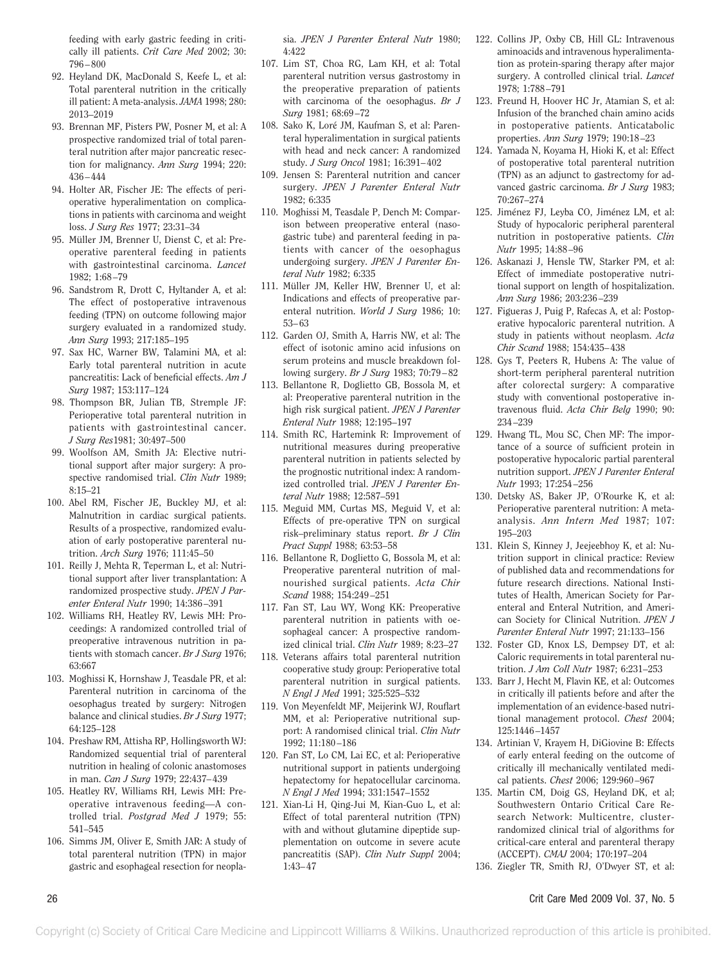feeding with early gastric feeding in critically ill patients. *Crit Care Med* 2002; 30: 796 – 800

- 92. Heyland DK, MacDonald S, Keefe L, et al: Total parenteral nutrition in the critically ill patient: A meta-analysis. *JAMA* 1998; 280: 2013–2019
- 93. Brennan MF, Pisters PW, Posner M, et al: A prospective randomized trial of total parenteral nutrition after major pancreatic resection for malignancy. *Ann Surg* 1994; 220: 436 – 444
- 94. Holter AR, Fischer JE: The effects of perioperative hyperalimentation on complications in patients with carcinoma and weight loss. *J Surg Res* 1977; 23:31–34
- 95. Müller JM, Brenner U, Dienst C, et al: Preoperative parenteral feeding in patients with gastrointestinal carcinoma. *Lancet* 1982; 1:68 –79
- 96. Sandstrom R, Drott C, Hyltander A, et al: The effect of postoperative intravenous feeding (TPN) on outcome following major surgery evaluated in a randomized study. *Ann Surg* 1993; 217:185–195
- 97. Sax HC, Warner BW, Talamini MA, et al: Early total parenteral nutrition in acute pancreatitis: Lack of beneficial effects. *Am J Surg* 1987; 153:117–124
- 98. Thompson BR, Julian TB, Stremple JF: Perioperative total parenteral nutrition in patients with gastrointestinal cancer. *J Surg Res*1981; 30:497–500
- 99. Woolfson AM, Smith JA: Elective nutritional support after major surgery: A prospective randomised trial. *Clin Nutr* 1989; 8:15–21
- 100. Abel RM, Fischer JE, Buckley MJ, et al: Malnutrition in cardiac surgical patients. Results of a prospective, randomized evaluation of early postoperative parenteral nutrition. *Arch Surg* 1976; 111:45–50
- 101. Reilly J, Mehta R, Teperman L, et al: Nutritional support after liver transplantation: A randomized prospective study. *JPEN J Parenter Enteral Nutr* 1990; 14:386 –391
- 102. Williams RH, Heatley RV, Lewis MH: Proceedings: A randomized controlled trial of preoperative intravenous nutrition in patients with stomach cancer. *Br J Surg* 1976; 63:667
- 103. Moghissi K, Hornshaw J, Teasdale PR, et al: Parenteral nutrition in carcinoma of the oesophagus treated by surgery: Nitrogen balance and clinical studies. *Br J Surg* 1977; 64:125–128
- 104. Preshaw RM, Attisha RP, Hollingsworth WJ: Randomized sequential trial of parenteral nutrition in healing of colonic anastomoses in man. *Can J Surg* 1979; 22:437– 439
- 105. Heatley RV, Williams RH, Lewis MH: Preoperative intravenous feeding—A controlled trial. *Postgrad Med J* 1979; 55: 541–545
- 106. Simms JM, Oliver E, Smith JAR: A study of total parenteral nutrition (TPN) in major gastric and esophageal resection for neopla-

sia. *JPEN J Parenter Enteral Nutr* 1980; 4:422

- 107. Lim ST, Choa RG, Lam KH, et al: Total parenteral nutrition versus gastrostomy in the preoperative preparation of patients with carcinoma of the oesophagus. *Br J Surg* 1981; 68:69 –72
- 108. Sako K, Loré JM, Kaufman S, et al: Parenteral hyperalimentation in surgical patients with head and neck cancer: A randomized study. *J Surg Oncol* 1981; 16:391– 402
- 109. Jensen S: Parenteral nutrition and cancer surgery. *JPEN J Parenter Enteral Nutr* 1982; 6:335
- 110. Moghissi M, Teasdale P, Dench M: Comparison between preoperative enteral (nasogastric tube) and parenteral feeding in patients with cancer of the oesophagus undergoing surgery. *JPEN J Parenter Enteral Nutr* 1982; 6:335
- 111. Müller JM, Keller HW, Brenner U, et al: Indications and effects of preoperative parenteral nutrition. *World J Surg* 1986; 10: 53– 63
- 112. Garden OJ, Smith A, Harris NW, et al: The effect of isotonic amino acid infusions on serum proteins and muscle breakdown following surgery. *Br J Surg* 1983; 70:79 – 82
- 113. Bellantone R, Doglietto GB, Bossola M, et al: Preoperative parenteral nutrition in the high risk surgical patient. *JPEN J Parenter Enteral Nutr* 1988; 12:195–197
- 114. Smith RC, Hartemink R: Improvement of nutritional measures during preoperative parenteral nutrition in patients selected by the prognostic nutritional index: A randomized controlled trial. *JPEN J Parenter Enteral Nutr* 1988; 12:587–591
- 115. Meguid MM, Curtas MS, Meguid V, et al: Effects of pre-operative TPN on surgical risk–preliminary status report. *Br J Clin Pract Suppl* 1988; 63:53–58
- 116. Bellantone R, Doglietto G, Bossola M, et al: Preoperative parenteral nutrition of malnourished surgical patients. *Acta Chir Scand* 1988; 154:249 –251
- 117. Fan ST, Lau WY, Wong KK: Preoperative parenteral nutrition in patients with oesophageal cancer: A prospective randomized clinical trial. *Clin Nutr* 1989; 8:23–27
- 118. Veterans affairs total parenteral nutrition cooperative study group: Perioperative total parenteral nutrition in surgical patients. *N Engl J Med* 1991; 325:525–532
- 119. Von Meyenfeldt MF, Meijerink WJ, Rouflart MM, et al: Perioperative nutritional support: A randomised clinical trial. *Clin Nutr* 1992; 11:180 –186
- 120. Fan ST, Lo CM, Lai EC, et al: Perioperative nutritional support in patients undergoing hepatectomy for hepatocellular carcinoma. *N Engl J Med* 1994; 331:1547–1552
- 121. Xian-Li H, Qing-Jui M, Kian-Guo L, et al: Effect of total parenteral nutrition (TPN) with and without glutamine dipeptide supplementation on outcome in severe acute pancreatitis (SAP). *Clin Nutr Suppl* 2004; 1:43– 47
- 122. Collins JP, Oxby CB, Hill GL: Intravenous aminoacids and intravenous hyperalimentation as protein-sparing therapy after major surgery. A controlled clinical trial. *Lancet* 1978; 1:788 –791
- 123. Freund H, Hoover HC Jr, Atamian S, et al: Infusion of the branched chain amino acids in postoperative patients. Anticatabolic properties. *Ann Surg* 1979; 190:18 –23
- 124. Yamada N, Koyama H, Hioki K, et al: Effect of postoperative total parenteral nutrition (TPN) as an adjunct to gastrectomy for advanced gastric carcinoma. *Br J Surg* 1983; 70:267–274
- 125. Jiménez FJ, Leyba CO, Jiménez LM, et al: Study of hypocaloric peripheral parenteral nutrition in postoperative patients. *Clin Nutr* 1995; 14:88 –96
- 126. Askanazi J, Hensle TW, Starker PM, et al: Effect of immediate postoperative nutritional support on length of hospitalization. *Ann Surg* 1986; 203:236 –239
- 127. Figueras J, Puig P, Rafecas A, et al: Postoperative hypocaloric parenteral nutrition. A study in patients without neoplasm. *Acta Chir Scand* 1988; 154:435– 438
- 128. Gys T, Peeters R, Hubens A: The value of short-term peripheral parenteral nutrition after colorectal surgery: A comparative study with conventional postoperative intravenous fluid. *Acta Chir Belg* 1990; 90: 234 –239
- 129. Hwang TL, Mou SC, Chen MF: The importance of a source of sufficient protein in postoperative hypocaloric partial parenteral nutrition support. *JPEN J Parenter Enteral Nutr* 1993; 17:254 –256
- 130. Detsky AS, Baker JP, O'Rourke K, et al: Perioperative parenteral nutrition: A metaanalysis. *Ann Intern Med* 1987; 107: 195–203
- 131. Klein S, Kinney J, Jeejeebhoy K, et al: Nutrition support in clinical practice: Review of published data and recommendations for future research directions. National Institutes of Health, American Society for Parenteral and Enteral Nutrition, and American Society for Clinical Nutrition. *JPEN J Parenter Enteral Nutr* 1997; 21:133–156
- 132. Foster GD, Knox LS, Dempsey DT, et al: Caloric requirements in total parenteral nutrition. *J Am Coll Nutr* 1987; 6:231–253
- 133. Barr J, Hecht M, Flavin KE, et al: Outcomes in critically ill patients before and after the implementation of an evidence-based nutritional management protocol. *Chest* 2004; 125:1446 –1457
- 134. Artinian V, Krayem H, DiGiovine B: Effects of early enteral feeding on the outcome of critically ill mechanically ventilated medical patients. *Chest* 2006; 129:960 –967
- 135. Martin CM, Doig GS, Heyland DK, et al; Southwestern Ontario Critical Care Research Network: Multicentre, clusterrandomized clinical trial of algorithms for critical-care enteral and parenteral therapy (ACCEPT). *CMAJ* 2004; 170:197–204
- 136. Ziegler TR, Smith RJ, O'Dwyer ST, et al: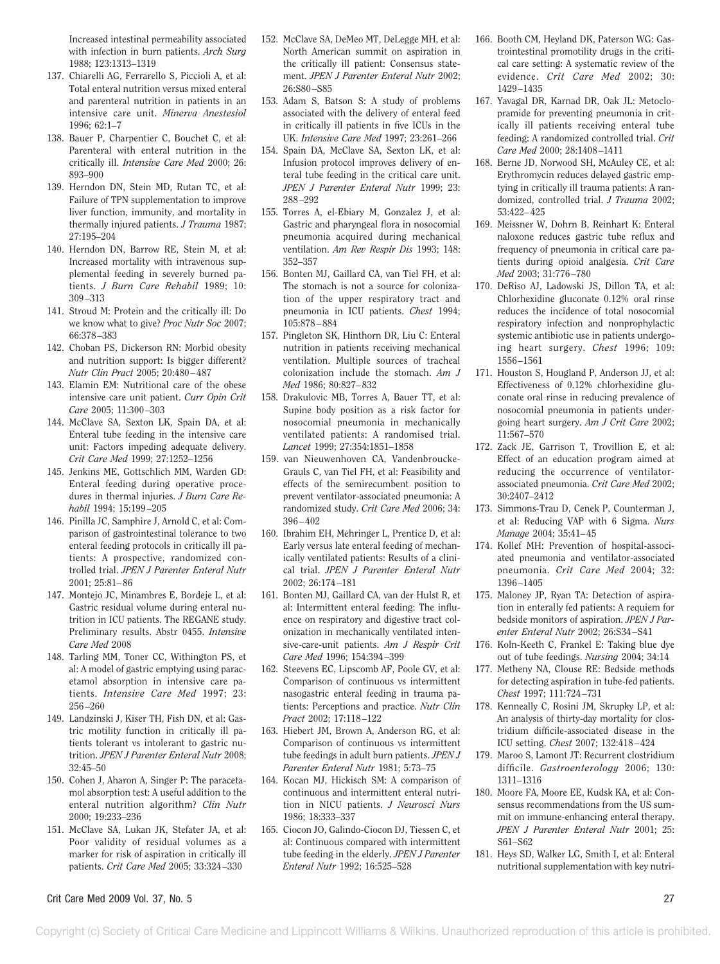Increased intestinal permeability associated with infection in burn patients. *Arch Surg* 1988; 123:1313–1319

- 137. Chiarelli AG, Ferrarello S, Piccioli A, et al: Total enteral nutrition versus mixed enteral and parenteral nutrition in patients in an intensive care unit. *Minerva Anestesiol* 1996; 62:1–7
- 138. Bauer P, Charpentier C, Bouchet C, et al: Parenteral with enteral nutrition in the critically ill. *Intensive Care Med* 2000; 26: 893–900
- 139. Herndon DN, Stein MD, Rutan TC, et al: Failure of TPN supplementation to improve liver function, immunity, and mortality in thermally injured patients. *J Trauma* 1987; 27:195–204
- 140. Herndon DN, Barrow RE, Stein M, et al: Increased mortality with intravenous supplemental feeding in severely burned patients. *J Burn Care Rehabil* 1989; 10: 309 –313
- 141. Stroud M: Protein and the critically ill: Do we know what to give? *Proc Nutr Soc* 2007; 66:378 –383
- 142. Choban PS, Dickerson RN: Morbid obesity and nutrition support: Is bigger different? *Nutr Clin Pract* 2005; 20:480 – 487
- 143. Elamin EM: Nutritional care of the obese intensive care unit patient. *Curr Opin Crit Care* 2005; 11:300 –303
- 144. McClave SA, Sexton LK, Spain DA, et al: Enteral tube feeding in the intensive care unit: Factors impeding adequate delivery. *Crit Care Med* 1999; 27:1252–1256
- 145. Jenkins ME, Gottschlich MM, Warden GD: Enteral feeding during operative procedures in thermal injuries. *J Burn Care Rehabil* 1994; 15:199 –205
- 146. Pinilla JC, Samphire J, Arnold C, et al: Comparison of gastrointestinal tolerance to two enteral feeding protocols in critically ill patients: A prospective, randomized controlled trial. *JPEN J Parenter Enteral Nutr* 2001; 25:81– 86
- 147. Montejo JC, Minambres E, Bordeje L, et al: Gastric residual volume during enteral nutrition in ICU patients. The REGANE study. Preliminary results. Abstr 0455. *Intensive Care Med* 2008
- 148. Tarling MM, Toner CC, Withington PS, et al: A model of gastric emptying using paracetamol absorption in intensive care patients. *Intensive Care Med* 1997; 23: 256 –260
- 149. Landzinski J, Kiser TH, Fish DN, et al: Gastric motility function in critically ill patients tolerant vs intolerant to gastric nutrition. *JPEN J Parenter Enteral Nutr* 2008; 32:45–50
- 150. Cohen J, Aharon A, Singer P: The paracetamol absorption test: A useful addition to the enteral nutrition algorithm? *Clin Nutr* 2000; 19:233–236
- 151. McClave SA, Lukan JK, Stefater JA, et al: Poor validity of residual volumes as a marker for risk of aspiration in critically ill patients. *Crit Care Med* 2005; 33:324 –330
- 152. McClave SA, DeMeo MT, DeLegge MH, et al: North American summit on aspiration in the critically ill patient: Consensus statement. *JPEN J Parenter Enteral Nutr* 2002; 26:S80 –S85
- 153. Adam S, Batson S: A study of problems associated with the delivery of enteral feed in critically ill patients in five ICUs in the UK. *Intensive Care Med* 1997; 23:261–266
- 154. Spain DA, McClave SA, Sexton LK, et al: Infusion protocol improves delivery of enteral tube feeding in the critical care unit. *JPEN J Parenter Enteral Nutr* 1999; 23: 288 –292
- 155. Torres A, el-Ebiary M, Gonzalez J, et al: Gastric and pharyngeal flora in nosocomial pneumonia acquired during mechanical ventilation. *Am Rev Respir Dis* 1993; 148: 352–357
- 156. Bonten MJ, Gaillard CA, van Tiel FH, et al: The stomach is not a source for colonization of the upper respiratory tract and pneumonia in ICU patients. *Chest* 1994; 105:878 – 884
- 157. Pingleton SK, Hinthorn DR, Liu C: Enteral nutrition in patients receiving mechanical ventilation. Multiple sources of tracheal colonization include the stomach. *Am J Med* 1986; 80:827– 832
- 158. Drakulovic MB, Torres A, Bauer TT, et al: Supine body position as a risk factor for nosocomial pneumonia in mechanically ventilated patients: A randomised trial. *Lancet* 1999; 27:354:1851–1858
- 159. van Nieuwenhoven CA, Vandenbroucke-Grauls C, van Tiel FH, et al: Feasibility and effects of the semirecumbent position to prevent ventilator-associated pneumonia: A randomized study. *Crit Care Med* 2006; 34: 396 – 402
- 160. Ibrahim EH, Mehringer L, Prentice D, et al: Early versus late enteral feeding of mechanically ventilated patients: Results of a clinical trial. *JPEN J Parenter Enteral Nutr* 2002; 26:174 –181
- 161. Bonten MJ, Gaillard CA, van der Hulst R, et al: Intermittent enteral feeding: The influence on respiratory and digestive tract colonization in mechanically ventilated intensive-care-unit patients. *Am J Respir Crit Care Med* 1996; 154:394 –399
- 162. Steevens EC, Lipscomb AF, Poole GV, et al: Comparison of continuous vs intermittent nasogastric enteral feeding in trauma patients: Perceptions and practice. *Nutr Clin Pract* 2002; 17:118 –122
- 163. Hiebert JM, Brown A, Anderson RG, et al: Comparison of continuous vs intermittent tube feedings in adult burn patients. *JPEN J Parenter Enteral Nutr* 1981; 5:73–75
- 164. Kocan MJ, Hickisch SM: A comparison of continuous and intermittent enteral nutrition in NICU patients. *J Neurosci Nurs* 1986; 18:333–337
- 165. Ciocon JO, Galindo-Ciocon DJ, Tiessen C, et al: Continuous compared with intermittent tube feeding in the elderly. *JPEN J Parenter Enteral Nutr* 1992; 16:525–528
- 166. Booth CM, Heyland DK, Paterson WG: Gastrointestinal promotility drugs in the critical care setting: A systematic review of the evidence. *Crit Care Med* 2002; 30: 1429 –1435
- 167. Yavagal DR, Karnad DR, Oak JL: Metoclopramide for preventing pneumonia in critically ill patients receiving enteral tube feeding: A randomized controlled trial. *Crit Care Med* 2000; 28:1408 –1411
- 168. Berne JD, Norwood SH, McAuley CE, et al: Erythromycin reduces delayed gastric emptying in critically ill trauma patients: A randomized, controlled trial. *J Trauma* 2002; 53:422– 425
- 169. Meissner W, Dohrn B, Reinhart K: Enteral naloxone reduces gastric tube reflux and frequency of pneumonia in critical care patients during opioid analgesia. *Crit Care Med* 2003; 31:776 –780
- 170. DeRiso AJ, Ladowski JS, Dillon TA, et al: Chlorhexidine gluconate 0.12% oral rinse reduces the incidence of total nosocomial respiratory infection and nonprophylactic systemic antibiotic use in patients undergoing heart surgery. *Chest* 1996; 109: 1556 –1561
- 171. Houston S, Hougland P, Anderson JJ, et al: Effectiveness of 0.12% chlorhexidine gluconate oral rinse in reducing prevalence of nosocomial pneumonia in patients undergoing heart surgery. *Am J Crit Care* 2002; 11:567–570
- 172. Zack JE, Garrison T, Trovillion E, et al: Effect of an education program aimed at reducing the occurrence of ventilatorassociated pneumonia. *Crit Care Med* 2002; 30:2407–2412
- 173. Simmons-Trau D, Cenek P, Counterman J, et al: Reducing VAP with 6 Sigma. *Nurs Manage* 2004; 35:41– 45
- 174. Kollef MH: Prevention of hospital-associated pneumonia and ventilator-associated pneumonia. *Crit Care Med* 2004; 32: 1396 –1405
- 175. Maloney JP, Ryan TA: Detection of aspiration in enterally fed patients: A requiem for bedside monitors of aspiration. *JPEN J Parenter Enteral Nutr* 2002; 26:S34 –S41
- 176. Koln-Keeth C, Frankel E: Taking blue dye out of tube feedings. *Nursing* 2004; 34:14
- 177. Metheny NA, Clouse RE: Bedside methods for detecting aspiration in tube-fed patients. *Chest* 1997; 111:724 –731
- 178. Kenneally C, Rosini JM, Skrupky LP, et al: An analysis of thirty-day mortality for clostridium difficile-associated disease in the ICU setting. *Chest* 2007; 132:418 – 424
- 179. Maroo S, Lamont JT: Recurrent clostridium difficile. *Gastroenterology* 2006; 130: 1311–1316
- 180. Moore FA, Moore EE, Kudsk KA, et al: Consensus recommendations from the US summit on immune-enhancing enteral therapy. *JPEN J Parenter Enteral Nutr* 2001; 25: S61–S62
- 181. Heys SD, Walker LG, Smith I, et al: Enteral nutritional supplementation with key nutri-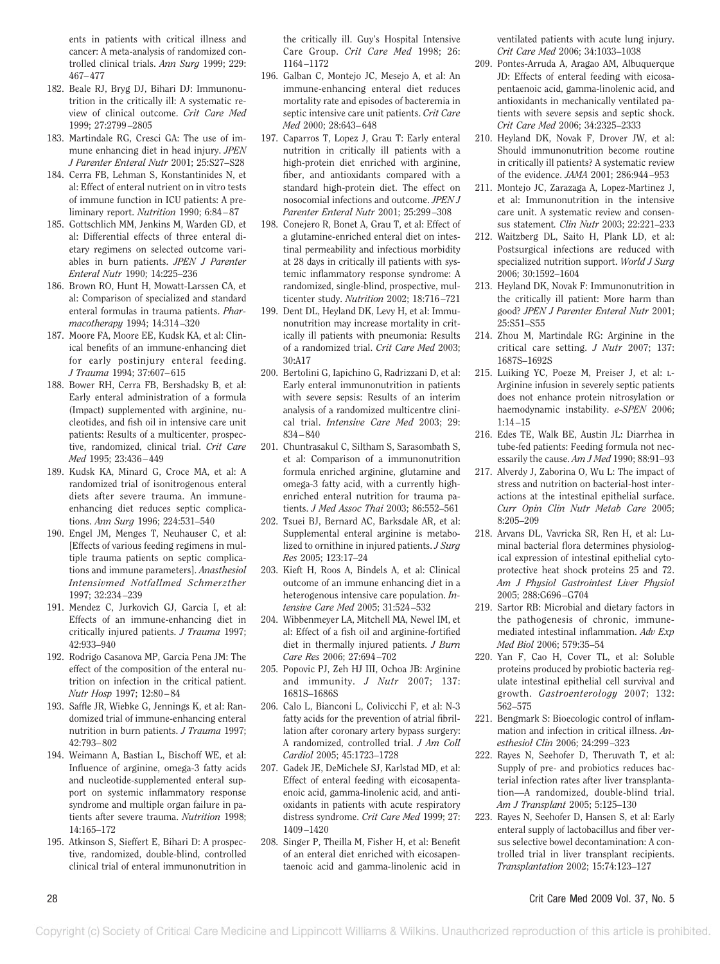ents in patients with critical illness and cancer: A meta-analysis of randomized controlled clinical trials. *Ann Surg* 1999; 229: 467– 477

- 182. Beale RJ, Bryg DJ, Bihari DJ: Immunonutrition in the critically ill: A systematic review of clinical outcome. *Crit Care Med* 1999; 27:2799 –2805
- 183. Martindale RG, Cresci GA: The use of immune enhancing diet in head injury. *JPEN J Parenter Enteral Nutr* 2001; 25:S27–S28
- 184. Cerra FB, Lehman S, Konstantinides N, et al: Effect of enteral nutrient on in vitro tests of immune function in ICU patients: A preliminary report. *Nutrition* 1990; 6:84 – 87
- 185. Gottschlich MM, Jenkins M, Warden GD, et al: Differential effects of three enteral dietary regimens on selected outcome variables in burn patients. *JPEN J Parenter Enteral Nutr* 1990; 14:225–236
- 186. Brown RO, Hunt H, Mowatt-Larssen CA, et al: Comparison of specialized and standard enteral formulas in trauma patients. *Pharmacotherapy* 1994; 14:314 –320
- 187. Moore FA, Moore EE, Kudsk KA, et al: Clinical benefits of an immune-enhancing diet for early postinjury enteral feeding. *J Trauma* 1994; 37:607– 615
- 188. Bower RH, Cerra FB, Bershadsky B, et al: Early enteral administration of a formula (Impact) supplemented with arginine, nucleotides, and fish oil in intensive care unit patients: Results of a multicenter, prospective, randomized, clinical trial. *Crit Care Med* 1995; 23:436 – 449
- 189. Kudsk KA, Minard G, Croce MA, et al: A randomized trial of isonitrogenous enteral diets after severe trauma. An immuneenhancing diet reduces septic complications. *Ann Surg* 1996; 224:531–540
- 190. Engel JM, Menges T, Neuhauser C, et al: [Effects of various feeding regimens in multiple trauma patients on septic complications and immune parameters]. *Anasthesiol Intensivmed Notfallmed Schmerzther* 1997; 32:234 –239
- 191. Mendez C, Jurkovich GJ, Garcia I, et al: Effects of an immune-enhancing diet in critically injured patients. *J Trauma* 1997; 42:933–940
- 192. Rodrigo Casanova MP, Garcia Pena JM: The effect of the composition of the enteral nutrition on infection in the critical patient. *Nutr Hosp* 1997; 12:80 – 84
- 193. Saffle JR, Wiebke G, Jennings K, et al: Randomized trial of immune-enhancing enteral nutrition in burn patients. *J Trauma* 1997; 42:793– 802
- 194. Weimann A, Bastian L, Bischoff WE, et al: Influence of arginine, omega-3 fatty acids and nucleotide-supplemented enteral support on systemic inflammatory response syndrome and multiple organ failure in patients after severe trauma. *Nutrition* 1998; 14:165–172
- 195. Atkinson S, Sieffert E, Bihari D: A prospective, randomized, double-blind, controlled clinical trial of enteral immunonutrition in

the critically ill. Guy's Hospital Intensive Care Group. *Crit Care Med* 1998; 26: 1164 –1172

- 196. Galban C, Montejo JC, Mesejo A, et al: An immune-enhancing enteral diet reduces mortality rate and episodes of bacteremia in septic intensive care unit patients. *Crit Care Med* 2000; 28:643– 648
- 197. Caparros T, Lopez J, Grau T: Early enteral nutrition in critically ill patients with a high-protein diet enriched with arginine, fiber, and antioxidants compared with a standard high-protein diet. The effect on nosocomial infections and outcome. *JPEN J Parenter Enteral Nutr* 2001; 25:299 –308
- 198. Conejero R, Bonet A, Grau T, et al: Effect of a glutamine-enriched enteral diet on intestinal permeability and infectious morbidity at 28 days in critically ill patients with systemic inflammatory response syndrome: A randomized, single-blind, prospective, multicenter study. *Nutrition* 2002; 18:716 –721
- 199. Dent DL, Heyland DK, Levy H, et al: Immunonutrition may increase mortality in critically ill patients with pneumonia: Results of a randomized trial. *Crit Care Med* 2003; 30:A17
- 200. Bertolini G, Iapichino G, Radrizzani D, et al: Early enteral immunonutrition in patients with severe sepsis: Results of an interim analysis of a randomized multicentre clinical trial. *Intensive Care Med* 2003; 29: 834 – 840
- 201. Chuntrasakul C, Siltham S, Sarasombath S, et al: Comparison of a immunonutrition formula enriched arginine, glutamine and omega-3 fatty acid, with a currently highenriched enteral nutrition for trauma patients. *J Med Assoc Thai* 2003; 86:552–561
- 202. Tsuei BJ, Bernard AC, Barksdale AR, et al: Supplemental enteral arginine is metabolized to ornithine in injured patients. *J Surg Res* 2005; 123:17–24
- 203. Kieft H, Roos A, Bindels A, et al: Clinical outcome of an immune enhancing diet in a heterogenous intensive care population. *Intensive Care Med* 2005; 31:524 –532
- 204. Wibbenmeyer LA, Mitchell MA, Newel IM, et al: Effect of a fish oil and arginine-fortified diet in thermally injured patients. *J Burn Care Res* 2006; 27:694 –702
- 205. Popovic PJ, Zeh HJ III, Ochoa JB: Arginine and immunity. *J Nutr* 2007; 137: 1681S–1686S
- 206. Calo L, Bianconi L, Colivicchi F, et al: N-3 fatty acids for the prevention of atrial fibrillation after coronary artery bypass surgery: A randomized, controlled trial. *J Am Coll Cardiol* 2005; 45:1723–1728
- 207. Gadek JE, DeMichele SJ, Karlstad MD, et al: Effect of enteral feeding with eicosapentaenoic acid, gamma-linolenic acid, and antioxidants in patients with acute respiratory distress syndrome. *Crit Care Med* 1999; 27: 1409 –1420
- 208. Singer P, Theilla M, Fisher H, et al: Benefit of an enteral diet enriched with eicosapentaenoic acid and gamma-linolenic acid in

ventilated patients with acute lung injury. *Crit Care Med* 2006; 34:1033–1038

- 209. Pontes-Arruda A, Aragao AM, Albuquerque JD: Effects of enteral feeding with eicosapentaenoic acid, gamma-linolenic acid, and antioxidants in mechanically ventilated patients with severe sepsis and septic shock. *Crit Care Med* 2006; 34:2325–2333
- 210. Heyland DK, Novak F, Drover JW, et al: Should immunonutrition become routine in critically ill patients? A systematic review of the evidence. *JAMA* 2001; 286:944 –953
- 211. Montejo JC, Zarazaga A, Lopez-Martinez J, et al: Immunonutrition in the intensive care unit. A systematic review and consensus statement*. Clin Nutr* 2003; 22:221–233
- 212. Waitzberg DL, Saito H, Plank LD, et al: Postsurgical infections are reduced with specialized nutrition support. *World J Surg* 2006; 30:1592–1604
- 213. Heyland DK, Novak F: Immunonutrition in the critically ill patient: More harm than good? *JPEN J Parenter Enteral Nutr* 2001; 25:S51–S55
- 214. Zhou M, Martindale RG: Arginine in the critical care setting. *J Nutr* 2007; 137: 1687S–1692S
- 215. Luiking YC, Poeze M, Preiser J, et al: L-Arginine infusion in severely septic patients does not enhance protein nitrosylation or haemodynamic instability. *e-SPEN* 2006;  $1:14 - 15$
- 216. Edes TE, Walk BE, Austin JL: Diarrhea in tube-fed patients: Feeding formula not necessarily the cause. *Am J Med* 1990; 88:91–93
- 217. Alverdy J, Zaborina O, Wu L: The impact of stress and nutrition on bacterial-host interactions at the intestinal epithelial surface. *Curr Opin Clin Nutr Metab Care* 2005; 8:205–209
- 218. Arvans DL, Vavricka SR, Ren H, et al: Luminal bacterial flora determines physiological expression of intestinal epithelial cytoprotective heat shock proteins 25 and 72. *Am J Physiol Gastrointest Liver Physiol* 2005; 288:G696 –G704
- 219. Sartor RB: Microbial and dietary factors in the pathogenesis of chronic, immunemediated intestinal inflammation. *Adv Exp Med Biol* 2006; 579:35–54
- 220. Yan F, Cao H, Cover TL, et al: Soluble proteins produced by probiotic bacteria regulate intestinal epithelial cell survival and growth. *Gastroenterology* 2007; 132: 562–575
- 221. Bengmark S: Bioecologic control of inflammation and infection in critical illness. *Anesthesiol Clin* 2006; 24:299 –323
- 222. Rayes N, Seehofer D, Theruvath T, et al: Supply of pre- and probiotics reduces bacterial infection rates after liver transplantation—A randomized, double-blind trial. *Am J Transplant* 2005; 5:125–130
- 223. Rayes N, Seehofer D, Hansen S, et al: Early enteral supply of lactobacillus and fiber versus selective bowel decontamination: A controlled trial in liver transplant recipients. *Transplantation* 2002; 15:74:123–127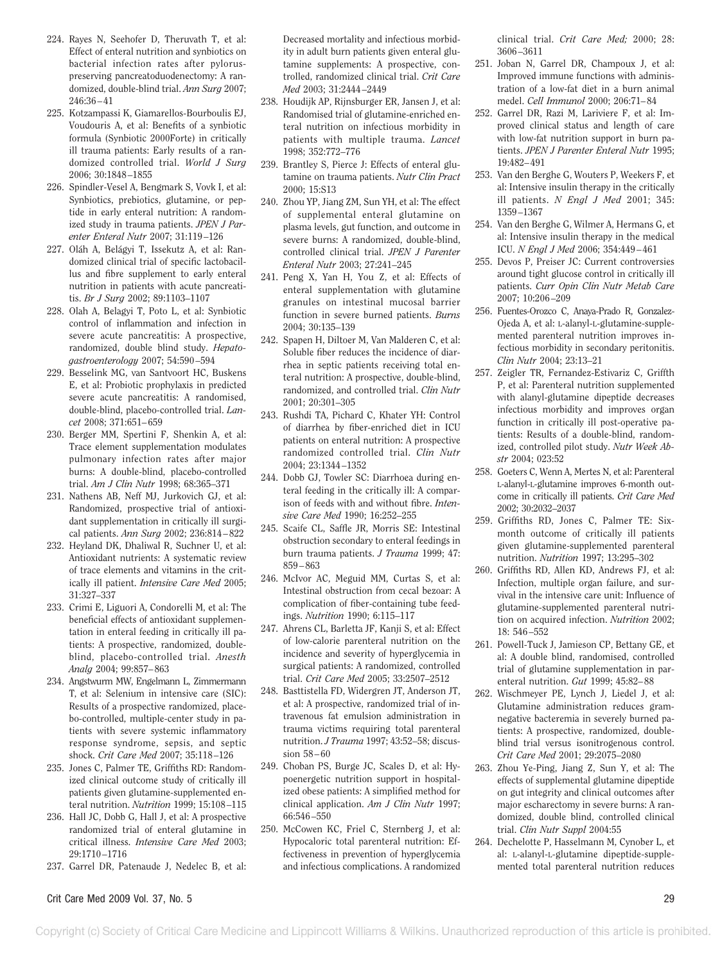- 224. Rayes N, Seehofer D, Theruvath T, et al: Effect of enteral nutrition and synbiotics on bacterial infection rates after pyloruspreserving pancreatoduodenectomy: A randomized, double-blind trial. *Ann Surg* 2007; 246:36 – 41
- 225. Kotzampassi K, Giamarellos-Bourboulis EJ, Voudouris A, et al: Benefits of a synbiotic formula (Synbiotic 2000Forte) in critically ill trauma patients: Early results of a randomized controlled trial. *World J Surg* 2006; 30:1848 –1855
- 226. Spindler-Vesel A, Bengmark S, Vovk I, et al: Synbiotics, prebiotics, glutamine, or peptide in early enteral nutrition: A randomized study in trauma patients. *JPEN J Parenter Enteral Nutr* 2007; 31:119 –126
- 227. Oláh A, Belágyi T, Issekutz A, et al: Randomized clinical trial of specific lactobacillus and fibre supplement to early enteral nutrition in patients with acute pancreatitis. *Br J Surg* 2002; 89:1103–1107
- 228. Olah A, Belagyi T, Poto L, et al: Synbiotic control of inflammation and infection in severe acute pancreatitis: A prospective, randomized, double blind study. *Hepatogastroenterology* 2007; 54:590 –594
- 229. Besselink MG, van Santvoort HC, Buskens E, et al: Probiotic prophylaxis in predicted severe acute pancreatitis: A randomised, double-blind, placebo-controlled trial. *Lancet* 2008; 371:651– 659
- 230. Berger MM, Spertini F, Shenkin A, et al: Trace element supplementation modulates pulmonary infection rates after major burns: A double-blind, placebo-controlled trial. *Am J Clin Nutr* 1998; 68:365–371
- 231. Nathens AB, Neff MJ, Jurkovich GJ, et al: Randomized, prospective trial of antioxidant supplementation in critically ill surgical patients. *Ann Surg* 2002; 236:814 – 822
- 232. Heyland DK, Dhaliwal R, Suchner U, et al: Antioxidant nutrients: A systematic review of trace elements and vitamins in the critically ill patient. *Intensive Care Med* 2005; 31:327–337
- 233. Crimi E, Liguori A, Condorelli M, et al: The beneficial effects of antioxidant supplementation in enteral feeding in critically ill patients: A prospective, randomized, doubleblind, placebo-controlled trial. *Anesth Analg* 2004; 99:857– 863
- 234. Angstwurm MW, Engelmann L, Zimmermann T, et al: Selenium in intensive care (SIC): Results of a prospective randomized, placebo-controlled, multiple-center study in patients with severe systemic inflammatory response syndrome, sepsis, and septic shock. *Crit Care Med* 2007; 35:118 –126
- 235. Jones C, Palmer TE, Griffiths RD: Randomized clinical outcome study of critically ill patients given glutamine-supplemented enteral nutrition. *Nutrition* 1999; 15:108 –115
- 236. Hall JC, Dobb G, Hall J, et al: A prospective randomized trial of enteral glutamine in critical illness. *Intensive Care Med* 2003; 29:1710 –1716
- 237. Garrel DR, Patenaude J, Nedelec B, et al:

Decreased mortality and infectious morbidity in adult burn patients given enteral glutamine supplements: A prospective, controlled, randomized clinical trial. *Crit Care Med* 2003; 31:2444 –2449

- 238. Houdijk AP, Rijnsburger ER, Jansen J, et al: Randomised trial of glutamine-enriched enteral nutrition on infectious morbidity in patients with multiple trauma. *Lancet* 1998; 352:772–776
- 239. Brantley S, Pierce J: Effects of enteral glutamine on trauma patients. *Nutr Clin Pract* 2000; 15:S13
- 240. Zhou YP, Jiang ZM, Sun YH, et al: The effect of supplemental enteral glutamine on plasma levels, gut function, and outcome in severe burns: A randomized, double-blind, controlled clinical trial. *JPEN J Parenter Enteral Nutr* 2003; 27:241–245
- 241. Peng X, Yan H, You Z, et al: Effects of enteral supplementation with glutamine granules on intestinal mucosal barrier function in severe burned patients. *Burns* 2004; 30:135–139
- 242. Spapen H, Diltoer M, Van Malderen C, et al: Soluble fiber reduces the incidence of diarrhea in septic patients receiving total enteral nutrition: A prospective, double-blind, randomized, and controlled trial. *Clin Nutr* 2001; 20:301–305
- 243. Rushdi TA, Pichard C, Khater YH: Control of diarrhea by fiber-enriched diet in ICU patients on enteral nutrition: A prospective randomized controlled trial. *Clin Nutr* 2004; 23:1344 –1352
- 244. Dobb GJ, Towler SC: Diarrhoea during enteral feeding in the critically ill: A comparison of feeds with and without fibre. *Intensive Care Med* 1990; 16:252–255
- 245. Scaife CL, Saffle JR, Morris SE: Intestinal obstruction secondary to enteral feedings in burn trauma patients. *J Trauma* 1999; 47: 859 – 863
- 246. McIvor AC, Meguid MM, Curtas S, et al: Intestinal obstruction from cecal bezoar: A complication of fiber-containing tube feedings. *Nutrition* 1990; 6:115–117
- 247. Ahrens CL, Barletta JF, Kanji S, et al: Effect of low-calorie parenteral nutrition on the incidence and severity of hyperglycemia in surgical patients: A randomized, controlled trial. *Crit Care Med* 2005; 33:2507–2512
- 248. Basttistella FD, Widergren JT, Anderson JT, et al: A prospective, randomized trial of intravenous fat emulsion administration in trauma victims requiring total parenteral nutrition. *J Trauma* 1997; 43:52–58; discussion 58 – 60
- 249. Choban PS, Burge JC, Scales D, et al: Hypoenergetic nutrition support in hospitalized obese patients: A simplified method for clinical application. *Am J Clin Nutr* 1997; 66:546 –550
- 250. McCowen KC, Friel C, Sternberg J, et al: Hypocaloric total parenteral nutrition: Effectiveness in prevention of hyperglycemia and infectious complications. A randomized

clinical trial. *Crit Care Med;* 2000; 28: 3606 –3611

- 251. Joban N, Garrel DR, Champoux J, et al: Improved immune functions with administration of a low-fat diet in a burn animal medel. *Cell Immunol* 2000; 206:71– 84
- 252. Garrel DR, Razi M, Lariviere F, et al: Improved clinical status and length of care with low-fat nutrition support in burn patients. *JPEN J Parenter Enteral Nutr* 1995; 19:482– 491
- 253. Van den Berghe G, Wouters P, Weekers F, et al: Intensive insulin therapy in the critically ill patients. *N Engl J Med* 2001; 345: 1359 –1367
- 254. Van den Berghe G, Wilmer A, Hermans G, et al: Intensive insulin therapy in the medical ICU. *N Engl J Med* 2006; 354:449 – 461
- 255. Devos P, Preiser JC: Current controversies around tight glucose control in critically ill patients. *Curr Opin Clin Nutr Metab Care* 2007; 10:206 –209
- 256. Fuentes-Orozco C, Anaya-Prado R, Gonzalez-Ojeda A, et al: L-alanyl-L-glutamine-supplemented parenteral nutrition improves infectious morbidity in secondary peritonitis. *Clin Nutr* 2004; 23:13–21
- 257. Zeigler TR, Fernandez-Estivariz C, Griffth P, et al: Parenteral nutrition supplemented with alanyl-glutamine dipeptide decreases infectious morbidity and improves organ function in critically ill post-operative patients: Results of a double-blind, randomized, controlled pilot study. *Nutr Week Abstr* 2004; 023:52
- 258. Goeters C, Wenn A, Mertes N, et al: Parenteral L-alanyl-L-glutamine improves 6-month outcome in critically ill patients. *Crit Care Med* 2002; 30:2032–2037
- 259. Griffiths RD, Jones C, Palmer TE: Sixmonth outcome of critically ill patients given glutamine-supplemented parenteral nutrition. *Nutrition* 1997; 13:295–302
- 260. Griffiths RD, Allen KD, Andrews FJ, et al: Infection, multiple organ failure, and survival in the intensive care unit: Influence of glutamine-supplemented parenteral nutrition on acquired infection. *Nutrition* 2002; 18: 546 –552
- 261. Powell-Tuck J, Jamieson CP, Bettany GE, et al: A double blind, randomised, controlled trial of glutamine supplementation in parenteral nutrition. *Gut* 1999; 45:82– 88
- 262. Wischmeyer PE, Lynch J, Liedel J, et al: Glutamine administration reduces gramnegative bacteremia in severely burned patients: A prospective, randomized, doubleblind trial versus isonitrogenous control. *Crit Care Med* 2001; 29:2075–2080
- 263. Zhou Ye-Ping, Jiang Z, Sun Y, et al: The effects of supplemental glutamine dipeptide on gut integrity and clinical outcomes after major escharectomy in severe burns: A randomized, double blind, controlled clinical trial. *Clin Nutr Suppl* 2004:55
- 264. Dechelotte P, Hasselmann M, Cynober L, et al: L-alanyl-L-glutamine dipeptide-supplemented total parenteral nutrition reduces